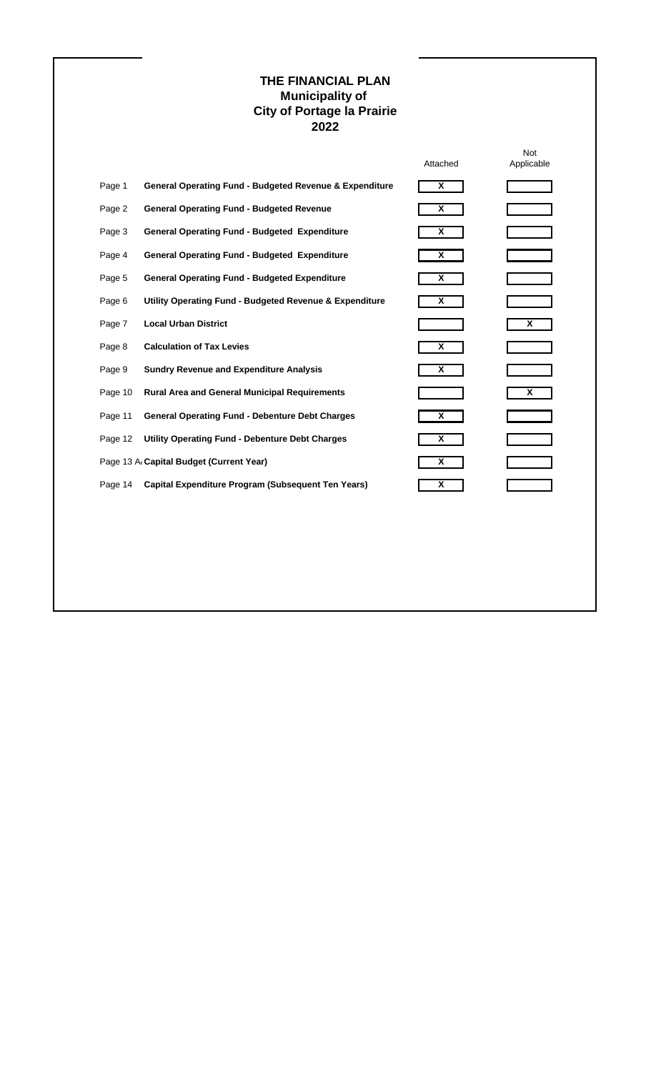# **THE FINANCIAL PLAN Municipality of City of Portage la Prairie 2022**

|         |                                                                    | Attached | <b>Not</b><br>Applicable |
|---------|--------------------------------------------------------------------|----------|--------------------------|
| Page 1  | <b>General Operating Fund - Budgeted Revenue &amp; Expenditure</b> | X        |                          |
| Page 2  | <b>General Operating Fund - Budgeted Revenue</b>                   | X        |                          |
| Page 3  | <b>General Operating Fund - Budgeted Expenditure</b>               | X        |                          |
| Page 4  | <b>General Operating Fund - Budgeted Expenditure</b>               | X        |                          |
| Page 5  | <b>General Operating Fund - Budgeted Expenditure</b>               | X        |                          |
| Page 6  | Utility Operating Fund - Budgeted Revenue & Expenditure            | X        |                          |
| Page 7  | <b>Local Urban District</b>                                        |          | X                        |
| Page 8  | <b>Calculation of Tax Levies</b>                                   | X        |                          |
| Page 9  | <b>Sundry Revenue and Expenditure Analysis</b>                     | X        |                          |
| Page 10 | <b>Rural Area and General Municipal Requirements</b>               |          | X                        |
| Page 11 | <b>General Operating Fund - Debenture Debt Charges</b>             | X        |                          |
| Page 12 | <b>Utility Operating Fund - Debenture Debt Charges</b>             | X        |                          |
|         | Page 13 Al Capital Budget (Current Year)                           | X        |                          |
| Page 14 | Capital Expenditure Program (Subsequent Ten Years)                 | X        |                          |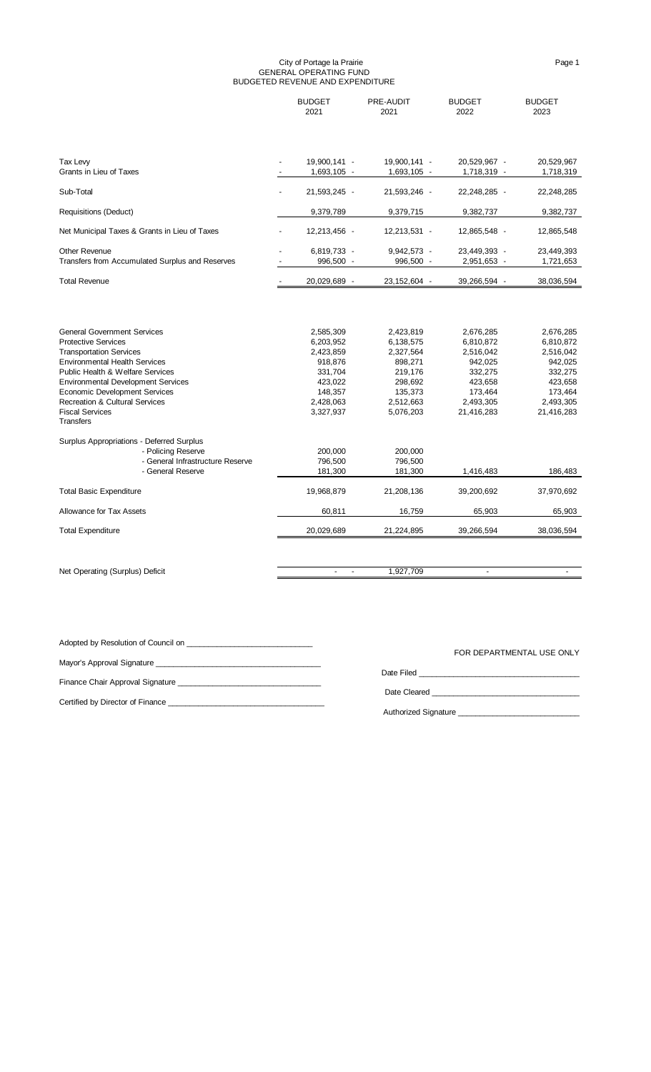#### City of Portage la Prairie Page 1 GENERAL OPERATING FUND BUDGETED REVENUE AND EXPENDITURE

|                                                                                                                                                                                                                                                                                                                                                       | <b>BUDGET</b><br>2021                                                                                     | PRE-AUDIT<br>2021                                                                                         | <b>BUDGET</b><br>2022                                                                                      | <b>BUDGET</b><br>2023                                                                                      |
|-------------------------------------------------------------------------------------------------------------------------------------------------------------------------------------------------------------------------------------------------------------------------------------------------------------------------------------------------------|-----------------------------------------------------------------------------------------------------------|-----------------------------------------------------------------------------------------------------------|------------------------------------------------------------------------------------------------------------|------------------------------------------------------------------------------------------------------------|
|                                                                                                                                                                                                                                                                                                                                                       |                                                                                                           |                                                                                                           |                                                                                                            |                                                                                                            |
| Tax Levy<br>Grants in Lieu of Taxes                                                                                                                                                                                                                                                                                                                   | 19,900,141 -<br>$1,693,105 -$                                                                             | 19,900,141 -<br>1,693,105 -                                                                               | 20,529,967 -<br>1,718,319 -                                                                                | 20,529,967<br>1,718,319                                                                                    |
|                                                                                                                                                                                                                                                                                                                                                       |                                                                                                           |                                                                                                           |                                                                                                            |                                                                                                            |
| Sub-Total                                                                                                                                                                                                                                                                                                                                             | 21,593,245 -                                                                                              | 21,593,246 -                                                                                              | 22,248,285 -                                                                                               | 22,248,285                                                                                                 |
| Requisitions (Deduct)                                                                                                                                                                                                                                                                                                                                 | 9,379,789                                                                                                 | 9,379,715                                                                                                 | 9,382,737                                                                                                  | 9,382,737                                                                                                  |
| Net Municipal Taxes & Grants in Lieu of Taxes                                                                                                                                                                                                                                                                                                         | 12,213,456 -                                                                                              | 12,213,531 -                                                                                              | 12,865,548 -                                                                                               | 12,865,548                                                                                                 |
| <b>Other Revenue</b>                                                                                                                                                                                                                                                                                                                                  | 6,819,733 -                                                                                               | 9,942,573 -                                                                                               | 23,449,393 -                                                                                               | 23,449,393                                                                                                 |
| Transfers from Accumulated Surplus and Reserves                                                                                                                                                                                                                                                                                                       | 996,500 -                                                                                                 | 996,500 -                                                                                                 | 2,951,653 -                                                                                                | 1,721,653                                                                                                  |
| <b>Total Revenue</b>                                                                                                                                                                                                                                                                                                                                  | 20,029,689<br>$\overline{\phantom{a}}$                                                                    | 23,152,604 -                                                                                              | 39,266,594 -                                                                                               | 38,036,594                                                                                                 |
| <b>General Government Services</b><br><b>Protective Services</b><br><b>Transportation Services</b><br><b>Environmental Health Services</b><br><b>Public Health &amp; Welfare Services</b><br><b>Environmental Development Services</b><br><b>Economic Development Services</b><br><b>Recreation &amp; Cultural Services</b><br><b>Fiscal Services</b> | 2,585,309<br>6,203,952<br>2,423,859<br>918,876<br>331,704<br>423,022<br>148,357<br>2,428,063<br>3,327,937 | 2,423,819<br>6,138,575<br>2,327,564<br>898,271<br>219,176<br>298,692<br>135,373<br>2,512,663<br>5,076,203 | 2,676,285<br>6,810,872<br>2,516,042<br>942,025<br>332,275<br>423,658<br>173,464<br>2,493,305<br>21,416,283 | 2,676,285<br>6,810,872<br>2,516,042<br>942,025<br>332,275<br>423,658<br>173,464<br>2,493,305<br>21,416,283 |
| <b>Transfers</b>                                                                                                                                                                                                                                                                                                                                      |                                                                                                           |                                                                                                           |                                                                                                            |                                                                                                            |
| Surplus Appropriations - Deferred Surplus<br>- Policing Reserve<br>- General Infrastructure Reserve<br>- General Reserve                                                                                                                                                                                                                              | 200,000<br>796,500<br>181,300                                                                             | 200,000<br>796,500<br>181,300                                                                             | 1,416,483                                                                                                  | 186,483                                                                                                    |
| <b>Total Basic Expenditure</b>                                                                                                                                                                                                                                                                                                                        | 19,968,879                                                                                                | 21,208,136                                                                                                | 39,200,692                                                                                                 | 37,970,692                                                                                                 |
| Allowance for Tax Assets                                                                                                                                                                                                                                                                                                                              | 60,811                                                                                                    | 16,759                                                                                                    | 65,903                                                                                                     | 65,903                                                                                                     |
| <b>Total Expenditure</b>                                                                                                                                                                                                                                                                                                                              | 20,029,689                                                                                                | 21,224,895                                                                                                | 39,266,594                                                                                                 | 38,036,594                                                                                                 |
|                                                                                                                                                                                                                                                                                                                                                       |                                                                                                           |                                                                                                           |                                                                                                            |                                                                                                            |
| Net Operating (Surplus) Deficit                                                                                                                                                                                                                                                                                                                       | $\overline{\phantom{a}}$<br>$\overline{a}$                                                                | 1,927,709                                                                                                 | $\overline{a}$                                                                                             |                                                                                                            |

| Adopted by Resolution of Council on <u>example and the set of the set of the set of the set of the set of the set of the set of the set of the set of the set of the set of the set of the set of the set of the set of the set </u> | FOR DEPARTMENTAL USE ONLY                |
|--------------------------------------------------------------------------------------------------------------------------------------------------------------------------------------------------------------------------------------|------------------------------------------|
|                                                                                                                                                                                                                                      |                                          |
|                                                                                                                                                                                                                                      |                                          |
|                                                                                                                                                                                                                                      |                                          |
|                                                                                                                                                                                                                                      |                                          |
| Certified by Director of Finance                                                                                                                                                                                                     |                                          |
|                                                                                                                                                                                                                                      | Authorized Signature <b>Example 2018</b> |
|                                                                                                                                                                                                                                      |                                          |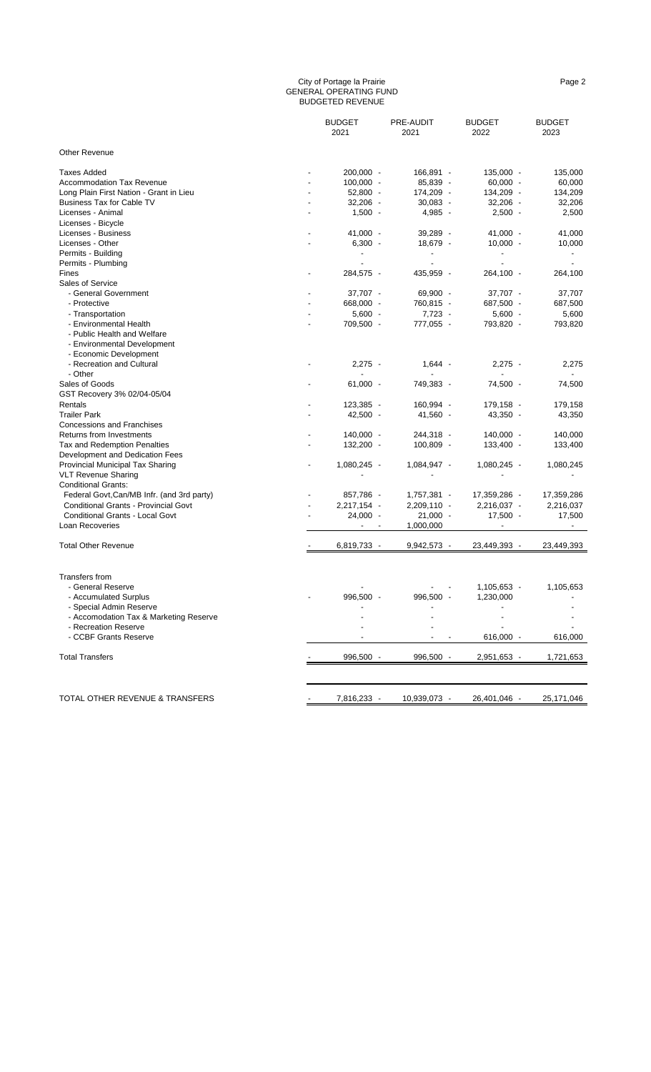#### City of Portage la Prairie Page 2 GENERAL OPERATING FUND BUDGETED REVENUE

|                                            | <b>BUDGET</b><br>2021 | PRE-AUDIT<br>2021        | <b>BUDGET</b><br>2022    | <b>BUDGET</b><br>2023    |
|--------------------------------------------|-----------------------|--------------------------|--------------------------|--------------------------|
|                                            |                       |                          |                          |                          |
| <b>Other Revenue</b>                       |                       |                          |                          |                          |
| Taxes Added                                | 200,000 -             | 166,891 -                | $135,000 -$              | 135,000                  |
| <b>Accommodation Tax Revenue</b>           | $100,000 -$           | 85,839 -                 | $60,000 -$               | 60,000                   |
| Long Plain First Nation - Grant in Lieu    | $52,800 -$            | 174,209 -                | 134,209 -                | 134,209                  |
| <b>Business Tax for Cable TV</b>           | $32,206 -$            | $30,083 -$               | $32,206 -$               | 32,206                   |
| Licenses - Animal                          | $1,500 -$             | $4,985 -$                | $2,500 -$                | 2,500                    |
| Licenses - Bicycle                         |                       |                          |                          |                          |
| Licenses - Business                        | $41,000 -$            | 39,289 -                 | $41,000 -$               | 41,000                   |
| Licenses - Other                           | $6,300 -$             | 18,679 -                 | $10,000 -$               | 10,000                   |
| Permits - Building                         |                       | $\overline{\phantom{a}}$ | $\overline{\phantom{a}}$ | $\blacksquare$           |
| Permits - Plumbing                         |                       |                          | $\overline{\phantom{a}}$ | $\overline{\phantom{a}}$ |
| Fines                                      | 284,575 -             | 435,959 -                | 264,100 -                | 264,100                  |
| Sales of Service                           |                       |                          |                          |                          |
| - General Government                       | 37,707 -              | 69,900 -                 | 37,707 -                 | 37,707                   |
| - Protective                               | 668,000 -             | 760,815 -                | 687,500 -                | 687,500                  |
| - Transportation                           | $5,600 -$             | 7,723 -                  | $5,600 -$                | 5,600                    |
| - Environmental Health                     | 709,500 -             | 777,055 -                | 793,820 -                | 793,820                  |
| - Public Health and Welfare                |                       |                          |                          |                          |
| - Environmental Development                |                       |                          |                          |                          |
| - Economic Development                     |                       |                          |                          |                          |
| - Recreation and Cultural                  | $2,275 -$             | $1,644 -$                | $2,275 -$                | 2,275                    |
| - Other                                    |                       |                          | $\overline{\phantom{a}}$ | $\overline{\phantom{a}}$ |
| Sales of Goods                             | $61,000 -$            | 749,383 -                | 74,500 -                 | 74,500                   |
| GST Recovery 3% 02/04-05/04                |                       |                          |                          |                          |
| Rentals                                    | 123,385 -             | 160,994 -                | 179,158 -                | 179,158                  |
| <b>Trailer Park</b>                        | 42,500 -              | 41,560 -                 | 43,350 -                 | 43,350                   |
| <b>Concessions and Franchises</b>          |                       |                          |                          |                          |
| <b>Returns from Investments</b>            | 140,000 -             | 244,318 -                | 140,000 -                | 140,000                  |
| <b>Tax and Redemption Penalties</b>        | 132,200 -             | $100,809 -$              | 133,400 -                |                          |
| Development and Dedication Fees            |                       |                          |                          | 133,400                  |
|                                            | $1,080,245 -$         | $1,084,947 -$            | $1,080,245 -$            |                          |
| Provincial Municipal Tax Sharing           |                       |                          |                          | 1,080,245                |
| <b>VLT Revenue Sharing</b>                 |                       |                          |                          |                          |
| <b>Conditional Grants:</b>                 |                       |                          |                          |                          |
| Federal Govt, Can/MB Infr. (and 3rd party) | 857,786 -             | 1,757,381 -              | 17,359,286 -             | 17,359,286               |
| Conditional Grants - Provincial Govt       | 2,217,154 -           | $2,209,110 -$            | $2,216,037 -$            | 2,216,037                |
| Conditional Grants - Local Govt            | 24,000 -              | $21,000 -$               | $17,500 -$               | 17,500                   |
| Loan Recoveries                            |                       | 1,000,000                |                          |                          |
| <b>Total Other Revenue</b>                 | 6,819,733 -           | 9,942,573 -              | 23,449,393 -             | 23,449,393               |
|                                            |                       |                          |                          |                          |
|                                            |                       |                          |                          |                          |
| <b>Transfers from</b>                      |                       |                          |                          |                          |
| - General Reserve                          |                       |                          | $1,105,653 -$            | 1,105,653                |
| - Accumulated Surplus                      | 996,500               | 996,500                  | 1,230,000                |                          |
| - Special Admin Reserve                    |                       |                          |                          |                          |
| - Accomodation Tax & Marketing Reserve     |                       |                          |                          |                          |
| - Recreation Reserve                       |                       |                          |                          |                          |
| - CCBF Grants Reserve                      |                       |                          | 616,000 -                | 616,000                  |
| <b>Total Transfers</b>                     | 996,500 -             | 996,500 -                | 2,951,653 -              | 1,721,653                |
|                                            |                       |                          |                          |                          |
|                                            |                       |                          |                          |                          |
| TOTAL OTHER REVENUE & TRANSFERS            | 7,816,233 -           | 10,939,073 -             | 26,401,046 -             | 25,171,046               |
|                                            |                       |                          |                          |                          |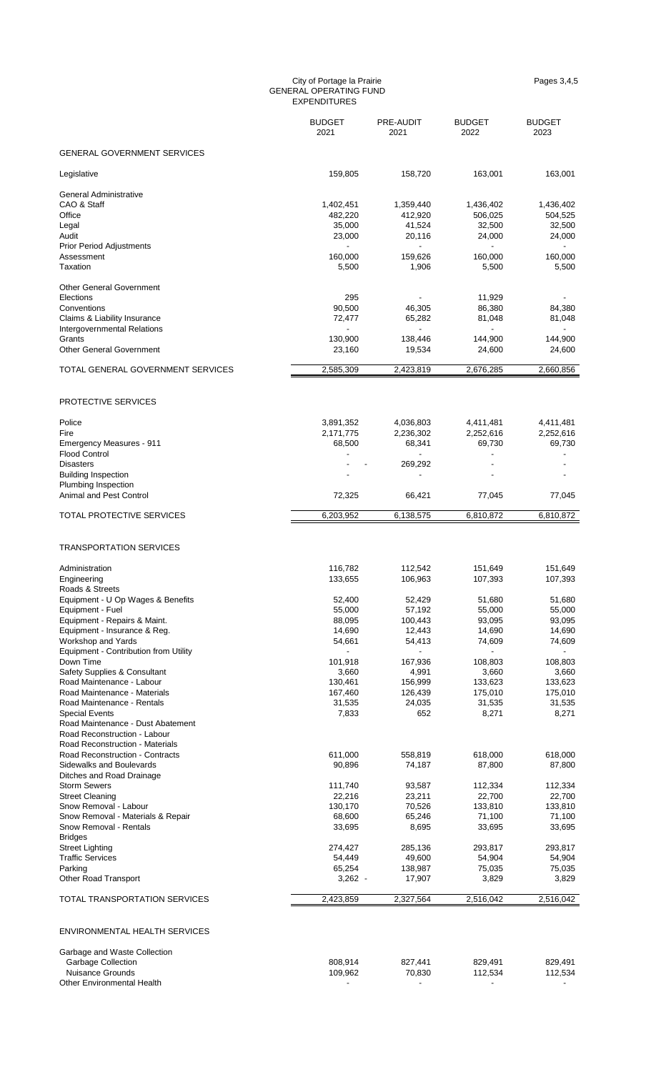#### City of Portage la Prairie **Pages 3,4,5** and 2.5 and 2.6 and 2.6 and 2.7 and 2.7 and 2.7 and 2.7 and 2.7 and 2.7 and 2.7 and 2.7 and 2.7 and 2.7 and 2.7 and 2.7 and 2.7 and 2.7 and 2.7 and 2.7 and 2.7 and 2.7 and 2.7 and 2 GENERAL OPERATING FUND EXPENDITURES

|                                                                                                                               | <b>BUDGET</b><br>2021                                      | PRE-AUDIT<br>2021                                          | <b>BUDGET</b><br>2022                                                | <b>BUDGET</b><br>2023                    |
|-------------------------------------------------------------------------------------------------------------------------------|------------------------------------------------------------|------------------------------------------------------------|----------------------------------------------------------------------|------------------------------------------|
| <b>GENERAL GOVERNMENT SERVICES</b>                                                                                            |                                                            |                                                            |                                                                      |                                          |
| Legislative                                                                                                                   | 159,805                                                    | 158,720                                                    | 163,001                                                              | 163,001                                  |
| General Administrative<br>CAO & Staff<br>Office<br>Legal<br>Audit<br><b>Prior Period Adjustments</b>                          | 1,402,451<br>482,220<br>35,000<br>23,000<br>$\blacksquare$ | 1,359,440<br>412,920<br>41,524<br>20,116<br>$\blacksquare$ | 1,436,402<br>506,025<br>32,500<br>24,000<br>$\overline{\phantom{a}}$ | 1,436,402<br>504,525<br>32,500<br>24,000 |
| Assessment<br>Taxation                                                                                                        | 160,000<br>5,500                                           | 159,626<br>1,906                                           | 160,000<br>5,500                                                     | 160,000<br>5,500                         |
| <b>Other General Government</b><br>Elections<br>Conventions<br>Claims & Liability Insurance                                   | 295<br>90,500<br>72,477                                    | 46,305<br>65,282                                           | 11,929<br>86,380<br>81,048                                           | 84,380<br>81,048                         |
| <b>Intergovernmental Relations</b><br>Grants<br><b>Other General Government</b>                                               | 130,900<br>23,160                                          | 138,446<br>19,534                                          | 144,900<br>24,600                                                    | 144,900<br>24,600                        |
| TOTAL GENERAL GOVERNMENT SERVICES                                                                                             | 2,585,309                                                  | 2,423,819                                                  | 2,676,285                                                            | 2,660,856                                |
| PROTECTIVE SERVICES                                                                                                           |                                                            |                                                            |                                                                      |                                          |
| Police<br>Fire<br>Emergency Measures - 911<br><b>Flood Control</b>                                                            | 3,891,352<br>2,171,775<br>68,500                           | 4,036,803<br>2,236,302<br>68,341                           | 4,411,481<br>2,252,616<br>69,730                                     | 4,411,481<br>2,252,616<br>69,730         |
| <b>Disasters</b><br><b>Building Inspection</b><br>Plumbing Inspection                                                         |                                                            | 269,292                                                    |                                                                      |                                          |
| Animal and Pest Control                                                                                                       | 72,325                                                     | 66,421                                                     | 77,045                                                               | 77,045                                   |
| TOTAL PROTECTIVE SERVICES                                                                                                     | 6,203,952                                                  | 6,138,575                                                  | 6,810,872                                                            | 6,810,872                                |
| <b>TRANSPORTATION SERVICES</b>                                                                                                |                                                            |                                                            |                                                                      |                                          |
| Administration<br>Engineering<br>Roads & Streets                                                                              | 116,782<br>133,655                                         | 112,542<br>106,963                                         | 151,649<br>107,393                                                   | 151,649<br>107,393                       |
| Equipment - U Op Wages & Benefits<br>Equipment - Fuel<br>Equipment - Repairs & Maint.                                         | 52,400<br>55,000<br>88,095                                 | 52,429<br>57,192<br>100,443                                | 51,680<br>55,000<br>93,095                                           | 51,680<br>55,000<br>93,095               |
| Equipment - Insurance & Reg.<br>Workshop and Yards<br>Equipment - Contribution from Utility<br>Down Time                      | 14,690<br>54,661<br>101,918                                | 12,443<br>54,413<br>167,936                                | 14,690<br>74,609<br>108,803                                          | 14,690<br>74,609<br>108,803              |
| Safety Supplies & Consultant<br>Road Maintenance - Labour<br>Road Maintenance - Materials<br>Road Maintenance - Rentals       | 3,660<br>130,461<br>167,460<br>31,535                      | 4,991<br>156,999<br>126,439<br>24,035                      | 3,660<br>133,623<br>175,010<br>31,535                                | 3,660<br>133,623<br>175,010<br>31,535    |
| <b>Special Events</b><br>Road Maintenance - Dust Abatement<br>Road Reconstruction - Labour<br>Road Reconstruction - Materials | 7,833                                                      | 652                                                        | 8,271                                                                | 8,271                                    |
| <b>Road Reconstruction - Contracts</b><br>Sidewalks and Boulevards<br>Ditches and Road Drainage                               | 611,000<br>90,896                                          | 558,819<br>74,187                                          | 618,000<br>87,800                                                    | 618,000<br>87,800                        |
| <b>Storm Sewers</b><br><b>Street Cleaning</b><br>Snow Removal - Labour                                                        | 111,740<br>22,216<br>130,170                               | 93,587<br>23,211<br>70,526                                 | 112,334<br>22,700<br>133,810                                         | 112,334<br>22,700<br>133,810             |
| Snow Removal - Materials & Repair<br>Snow Removal - Rentals<br><b>Bridges</b>                                                 | 68,600<br>33,695                                           | 65,246<br>8,695                                            | 71,100<br>33,695                                                     | 71,100<br>33,695                         |
| <b>Street Lighting</b><br><b>Traffic Services</b><br>Parking<br><b>Other Road Transport</b>                                   | 274,427<br>54,449<br>65,254<br>$3,262 -$                   | 285,136<br>49,600<br>138,987<br>17,907                     | 293,817<br>54,904<br>75,035<br>3,829                                 | 293,817<br>54,904<br>75,035<br>3,829     |
| TOTAL TRANSPORTATION SERVICES                                                                                                 | 2,423,859                                                  | 2,327,564                                                  | 2,516,042                                                            | 2,516,042                                |
| ENVIRONMENTAL HEALTH SERVICES                                                                                                 |                                                            |                                                            |                                                                      |                                          |
| Garbage and Waste Collection<br>Garbage Collection<br><b>Nuisance Grounds</b><br><b>Other Environmental Health</b>            | 808,914<br>109,962                                         | 827,441<br>70,830                                          | 829,491<br>112,534                                                   | 829,491<br>112,534                       |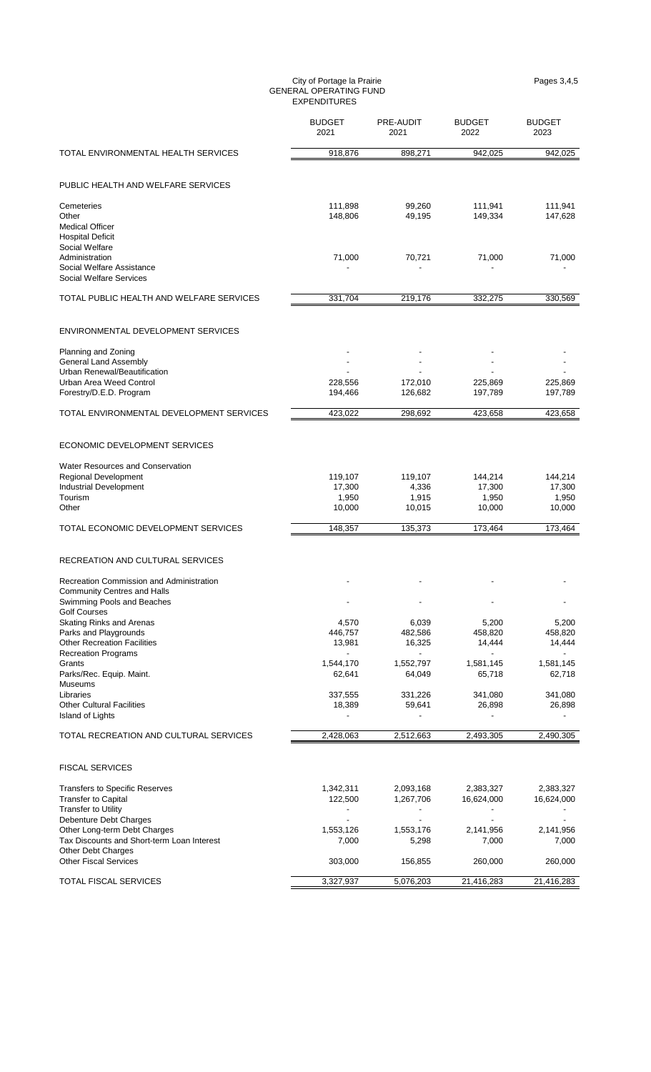#### City of Portage la Prairie **Pages 3,4,5** and 2.5 and 2.6 and 2.6 and 2.7 and 2.7 and 2.7 and 2.7 and 2.7 and 2.7 and 2.7 and 2.7 and 2.7 and 2.7 and 2.7 and 2.7 and 2.7 and 2.7 and 2.7 and 2.7 and 2.7 and 2.7 and 2.7 and 2 GENERAL OPERATING FUND EXPENDITURES

|                                                                                                                                              | <b>BUDGET</b><br>2021                | PRE-AUDIT<br>2021                        | <b>BUDGET</b><br>2022                | <b>BUDGET</b><br>2023                |
|----------------------------------------------------------------------------------------------------------------------------------------------|--------------------------------------|------------------------------------------|--------------------------------------|--------------------------------------|
| TOTAL ENVIRONMENTAL HEALTH SERVICES                                                                                                          | 918,876                              | 898,271                                  | 942,025                              | 942,025                              |
| PUBLIC HEALTH AND WELFARE SERVICES                                                                                                           |                                      |                                          |                                      |                                      |
| Cemeteries<br>Other<br><b>Medical Officer</b>                                                                                                | 111,898<br>148,806                   | 99,260<br>49,195                         | 111,941<br>149,334                   | 111,941<br>147,628                   |
| <b>Hospital Deficit</b><br>Social Welfare<br>Administration<br>Social Welfare Assistance                                                     | 71,000                               | 70,721                                   | 71,000                               | 71,000                               |
| Social Welfare Services<br>TOTAL PUBLIC HEALTH AND WELFARE SERVICES                                                                          | 331,704                              | 219,176                                  | 332,275                              | 330,569                              |
| ENVIRONMENTAL DEVELOPMENT SERVICES                                                                                                           |                                      |                                          |                                      |                                      |
| Planning and Zoning<br><b>General Land Assembly</b><br>Urban Renewal/Beautification<br>Urban Area Weed Control<br>Forestry/D.E.D. Program    | 228,556<br>194,466                   | 172,010<br>126,682                       | 225,869<br>197,789                   | 225,869<br>197,789                   |
| TOTAL ENVIRONMENTAL DEVELOPMENT SERVICES                                                                                                     | 423,022                              | 298,692                                  | 423.658                              | 423,658                              |
| ECONOMIC DEVELOPMENT SERVICES                                                                                                                |                                      |                                          |                                      |                                      |
| <b>Water Resources and Conservation</b><br>Regional Development<br><b>Industrial Development</b><br>Tourism<br>Other                         | 119,107<br>17,300<br>1,950<br>10,000 | 119,107<br>4,336<br>1,915<br>10,015      | 144,214<br>17,300<br>1,950<br>10,000 | 144,214<br>17,300<br>1,950<br>10,000 |
| TOTAL ECONOMIC DEVELOPMENT SERVICES                                                                                                          | 148.357                              | 135,373                                  | 173.464                              | 173,464                              |
| RECREATION AND CULTURAL SERVICES                                                                                                             |                                      |                                          |                                      |                                      |
| Recreation Commission and Administration<br>Community Centres and Halls<br>Swimming Pools and Beaches                                        |                                      |                                          |                                      |                                      |
| <b>Golf Courses</b><br>Skating Rinks and Arenas<br>Parks and Playgrounds<br><b>Other Recreation Facilities</b><br><b>Recreation Programs</b> | 4,570<br>446,757<br>13,981           | 6,039<br>482,586<br>16,325               | 5,200<br>458,820<br>14,444           | 5,200<br>458,820<br>14,444           |
| Grants<br>Parks/Rec. Equip. Maint.<br>Museums<br>Libraries<br><b>Other Cultural Facilities</b>                                               | 1,544,170<br>62,641<br>337,555       | 1,552,797<br>64,049<br>331,226<br>59,641 | 1,581,145<br>65,718<br>341,080       | 1,581,145<br>62,718<br>341,080       |
| <b>Island of Lights</b>                                                                                                                      | 18,389                               |                                          | 26,898                               | 26,898                               |
| TOTAL RECREATION AND CULTURAL SERVICES                                                                                                       | 2,428,063                            | 2,512,663                                | 2,493,305                            | 2,490,305                            |
| <b>FISCAL SERVICES</b>                                                                                                                       |                                      |                                          |                                      |                                      |
| <b>Transfers to Specific Reserves</b><br><b>Transfer to Capital</b><br><b>Transfer to Utility</b><br>Debenture Debt Charges                  | 1,342,311<br>122,500                 | 2,093,168<br>1,267,706                   | 2,383,327<br>16,624,000              | 2,383,327<br>16,624,000              |
| Other Long-term Debt Charges<br>Tax Discounts and Short-term Loan Interest<br>Other Debt Charges<br><b>Other Fiscal Services</b>             | 1,553,126<br>7,000<br>303,000        | 1,553,176<br>5,298<br>156,855            | 2,141,956<br>7,000<br>260,000        | 2,141,956<br>7,000<br>260,000        |
| TOTAL FISCAL SERVICES                                                                                                                        | 3,327,937                            | 5,076,203                                | 21,416,283                           | 21,416,283                           |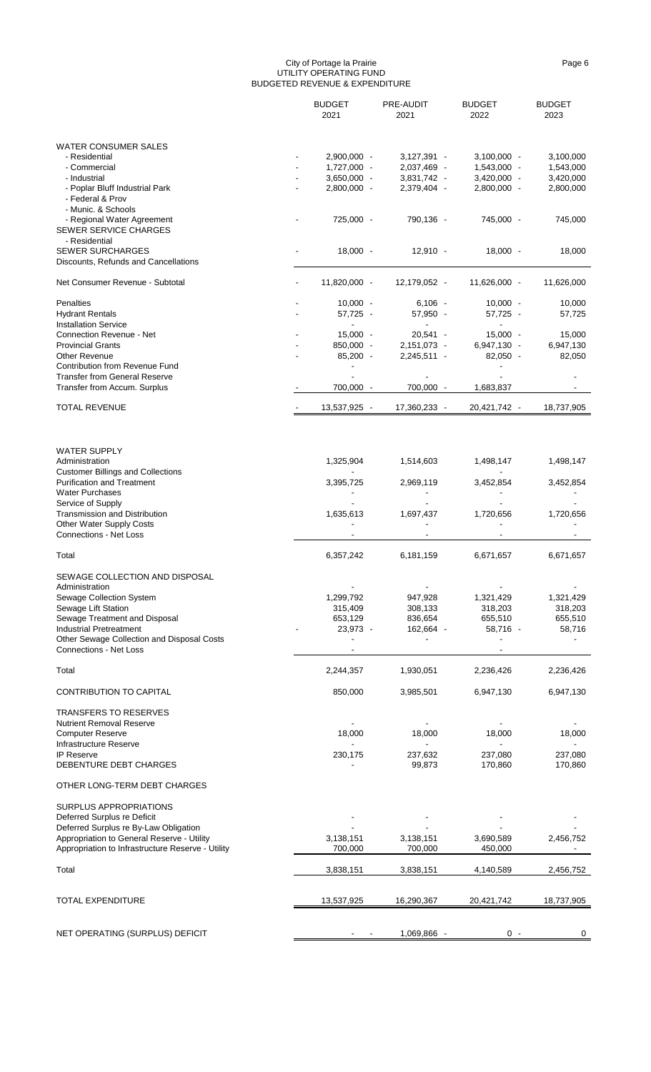#### City of Portage la Prairie Page 6 UTILITY OPERATING FUND BUDGETED REVENUE & EXPENDITURE

|                                                                             | <b>BUDGET</b><br>2021 | PRE-AUDIT<br>2021 | <b>BUDGET</b><br>2022 | <b>BUDGET</b><br>2023 |
|-----------------------------------------------------------------------------|-----------------------|-------------------|-----------------------|-----------------------|
| <b>WATER CONSUMER SALES</b>                                                 |                       |                   |                       |                       |
| - Residential                                                               | 2,900,000 -           | $3,127,391 -$     | $3,100,000 -$         | 3,100,000             |
| - Commercial                                                                | 1,727,000 -           | 2,037,469 -       | $1,543,000 -$         | 1,543,000             |
| - Industrial                                                                | 3,650,000 -           | 3,831,742 -       | $3,420,000 -$         | 3,420,000             |
| - Poplar Bluff Industrial Park                                              | 2,800,000 -           | 2,379,404 -       | 2,800,000 -           | 2,800,000             |
| - Federal & Prov                                                            |                       |                   |                       |                       |
| - Munic. & Schools                                                          |                       |                   |                       |                       |
| - Regional Water Agreement<br><b>SEWER SERVICE CHARGES</b><br>- Residential | 725,000 -             | 790,136 -         | 745,000 -             | 745,000               |
| <b>SEWER SURCHARGES</b>                                                     | $18,000 -$            | $12,910 -$        | $18,000 -$            | 18,000                |
| Discounts, Refunds and Cancellations                                        |                       |                   |                       |                       |
| Net Consumer Revenue - Subtotal                                             | 11,820,000 -          | 12,179,052 -      | 11,626,000 -          | 11,626,000            |
| Penalties                                                                   | $10,000 -$            | $6,106 -$         | $10,000 -$            | 10,000                |
| <b>Hydrant Rentals</b>                                                      | 57,725 -              | 57,950 -          | 57,725 -              | 57,725                |
| <b>Installation Service</b>                                                 |                       |                   |                       |                       |
| <b>Connection Revenue - Net</b>                                             | $15,000 -$            | $20,541 -$        | $15,000 -$            | 15,000                |
| <b>Provincial Grants</b>                                                    | 850,000 -             | 2,151,073 -       | 6,947,130 -           | 6,947,130             |
| <b>Other Revenue</b>                                                        | $85,200 -$            | $2,245,511 -$     | $82,050 -$            | 82,050                |
| Contribution from Revenue Fund                                              |                       |                   |                       |                       |
| <b>Transfer from General Reserve</b>                                        |                       |                   |                       |                       |
| Transfer from Accum. Surplus                                                | 700,000 -             | 700,000 -         | 1,683,837             |                       |
| <b>TOTAL REVENUE</b>                                                        | 13,537,925 -          | 17,360,233 -      | 20,421,742 -          | 18,737,905            |
|                                                                             |                       |                   |                       |                       |
| <b>WATER SUPPLY</b><br>Administration                                       | 1,325,904             | 1,514,603         | 1,498,147             | 1,498,147             |
| <b>Customer Billings and Collections</b>                                    |                       |                   |                       |                       |
| <b>Purification and Treatment</b><br><b>Water Purchases</b>                 | 3,395,725             | 2,969,119         | 3,452,854             | 3,452,854             |
| Service of Supply                                                           |                       |                   |                       |                       |
| Transmission and Distribution                                               | 1,635,613             | 1,697,437         | 1,720,656             | 1,720,656             |
| <b>Other Water Supply Costs</b><br><b>Connections - Net Loss</b>            |                       |                   |                       |                       |
| Total                                                                       | 6,357,242             | 6,181,159         | 6,671,657             | 6,671,657             |
| SEWAGE COLLECTION AND DISPOSAL                                              |                       |                   |                       |                       |
| Administration                                                              |                       |                   |                       |                       |
| Sewage Collection System                                                    | 1,299,792             | 947,928           | 1,321,429             | 1,321,429             |
| Sewage Lift Station                                                         | 315,409               | 308,133           | 318,203               | 318,203               |
| Sewage Treatment and Disposal                                               | 653,129               | 836,654           | 655,510               | 655,510               |
| <b>Industrial Pretreatment</b>                                              | 23,973 -              | 162,664 -         | 58,716 -              | 58,716                |
| Other Sewage Collection and Disposal Costs<br>Connections - Net Loss        |                       |                   |                       |                       |
| Total                                                                       | 2,244,357             | 1,930,051         | 2,236,426             | 2,236,426             |
| <b>CONTRIBUTION TO CAPITAL</b>                                              | 850,000               | 3,985,501         | 6,947,130             | 6,947,130             |
| <b>TRANSFERS TO RESERVES</b>                                                |                       |                   |                       |                       |
| <b>Nutrient Removal Reserve</b>                                             |                       |                   |                       |                       |
| <b>Computer Reserve</b>                                                     | 18,000                | 18,000            | 18,000                | 18,000                |
| Infrastructure Reserve                                                      |                       |                   |                       |                       |
| IP Reserve<br>DEBENTURE DEBT CHARGES                                        | 230,175               | 237,632<br>99,873 | 237,080<br>170,860    | 237,080<br>170,860    |
| OTHER LONG-TERM DEBT CHARGES                                                |                       |                   |                       |                       |
| SURPLUS APPROPRIATIONS                                                      |                       |                   |                       |                       |
| Deferred Surplus re Deficit                                                 |                       |                   |                       |                       |
| Deferred Surplus re By-Law Obligation                                       |                       |                   |                       |                       |
| Appropriation to General Reserve - Utility                                  | 3,138,151             | 3,138,151         | 3,690,589             | 2,456,752             |
| Appropriation to Infrastructure Reserve - Utility                           | 700,000               | 700,000           | 450,000               |                       |
| Total                                                                       | 3,838,151             | 3,838,151         | 4,140,589             | 2,456,752             |
| TOTAL EXPENDITURE                                                           | 13,537,925            | 16,290,367        | 20,421,742            | 18,737,905            |
|                                                                             |                       |                   |                       |                       |
| NET OPERATING (SURPLUS) DEFICIT                                             |                       | 1,069,866 -       | $0 -$                 | 0                     |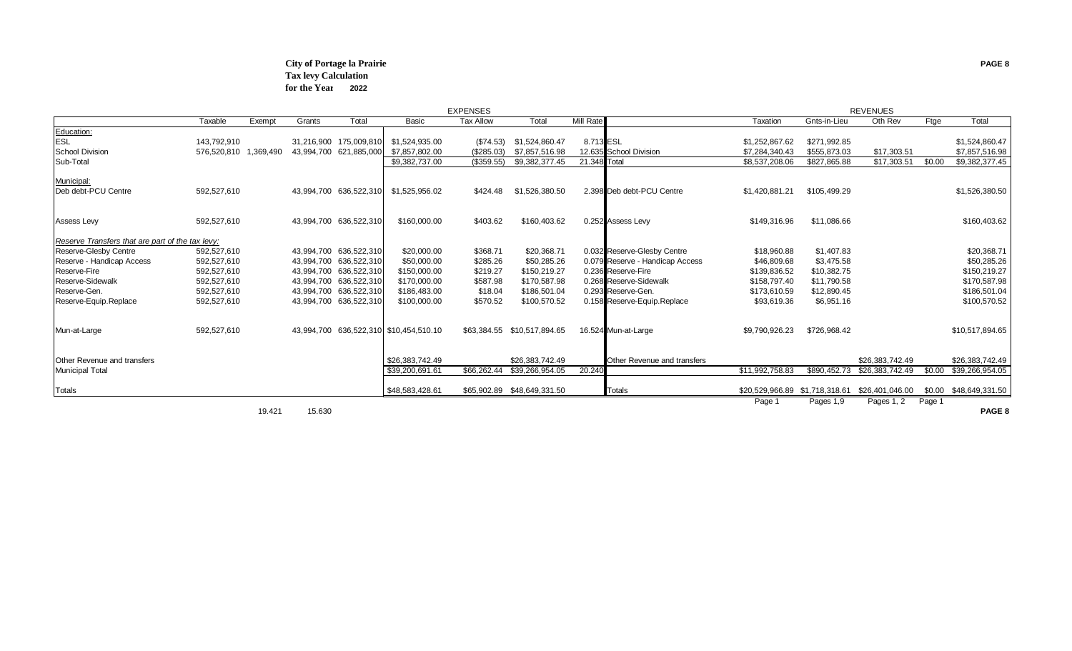#### **City of Portage la Prairie PAGE 8 Tax levy Calculation for the Year 2022**

|                                                  |             |           |            |                        |                                        | <b>EXPENSES</b>  |                             |              |                                 | <b>REVENUES</b>                |              |                 |        |                        |
|--------------------------------------------------|-------------|-----------|------------|------------------------|----------------------------------------|------------------|-----------------------------|--------------|---------------------------------|--------------------------------|--------------|-----------------|--------|------------------------|
|                                                  | Taxable     | Exempt    | Grants     | Total                  | <b>Basic</b>                           | <b>Tax Allow</b> | Total                       | Mill Rate    |                                 | Taxation                       | Gnts-in-Lieu | Oth Rev         | Ftge   | Total                  |
| Education:                                       |             |           |            |                        |                                        |                  |                             |              |                                 |                                |              |                 |        |                        |
| ESL                                              | 143,792,910 |           |            | 31,216,900 175,009,810 | \$1,524,935.00                         | (\$74.53)        | \$1,524,860.47              | 8.713 ESL    |                                 | \$1,252,867.62                 | \$271,992.85 |                 |        | \$1,524,860.47         |
| <b>School Division</b>                           | 576,520,810 | 1.369.490 |            | 43,994,700 621,885,000 | \$7,857,802.00                         | (\$285.03)       | \$7,857,516.98              |              | 12.635 School Division          | \$7,284,340.43                 | \$555,873.03 | \$17,303.51     |        | \$7,857,516.98         |
| Sub-Total                                        |             |           |            |                        | \$9,382,737.00                         | (\$359.55)       | \$9,382,377.45              | 21.348 Total |                                 | \$8,537,208.06                 | \$827,865.88 | \$17,303.51     | \$0.00 | \$9,382,377.45         |
| Municipal:                                       |             |           |            |                        |                                        |                  |                             |              |                                 |                                |              |                 |        |                        |
| Deb debt-PCU Centre                              | 592,527,610 |           |            | 43,994,700 636,522,310 | \$1,525,956.02                         | \$424.48         | \$1,526,380.50              |              | 2.398 Deb debt-PCU Centre       | \$1,420,881.21                 | \$105,499.29 |                 |        | \$1,526,380.50         |
| <b>Assess Levy</b>                               | 592,527,610 |           |            | 43,994,700 636,522,310 | \$160,000.00                           | \$403.62         | \$160,403.62                |              | 0.252 Assess Levy               | \$149,316.96                   | \$11,086.66  |                 |        | \$160,403.62           |
|                                                  |             |           |            |                        |                                        |                  |                             |              |                                 |                                |              |                 |        |                        |
| Reserve Transfers that are part of the tax levy: |             |           |            |                        |                                        |                  |                             |              |                                 |                                |              |                 |        |                        |
| Reserve-Glesby Centre                            | 592,527,610 |           |            | 43,994,700 636,522,310 | \$20,000.00                            | \$368.71         | \$20,368.71                 |              | 0.032 Reserve-Glesby Centre     | \$18,960.88                    | \$1,407.83   |                 |        | \$20,368.71            |
| Reserve - Handicap Access                        | 592,527,610 |           |            | 43,994,700 636,522,310 | \$50,000.00                            | \$285.26         | \$50,285.26                 |              | 0.079 Reserve - Handicap Access | \$46,809.68                    | \$3,475.58   |                 |        | \$50,285.26            |
| <b>Reserve-Fire</b>                              | 592,527,610 |           |            | 43,994,700 636,522,310 | \$150,000.00                           | \$219.27         | \$150,219.27                |              | 0.236 Reserve-Fire              | \$139,836.52                   | \$10,382.75  |                 |        | \$150,219.27           |
| Reserve-Sidewalk                                 | 592,527,610 |           | 43,994,700 | 636,522,310            | \$170,000.00                           | \$587.98         | \$170,587.98                |              | 0.268 Reserve-Sidewalk          | \$158,797.40                   | \$11,790.58  |                 |        | \$170,587.98           |
| Reserve-Gen.                                     | 592,527,610 |           |            | 43,994,700 636,522,310 | \$186,483.00                           | \$18.04          | \$186,501.04                |              | 0.293 Reserve-Gen.              | \$173,610.59                   | \$12,890.45  |                 |        | \$186,501.04           |
| Reserve-Equip.Replace                            | 592,527,610 |           |            | 43,994,700 636,522,310 | \$100,000.00                           | \$570.52         | \$100,570.52                |              | 0.158 Reserve-Equip Replace     | \$93,619.36                    | \$6,951.16   |                 |        | \$100,570.52           |
| Mun-at-Large                                     | 592,527,610 |           |            |                        | 43,994,700 636,522,310 \$10,454,510.10 |                  | \$63,384.55 \$10,517,894.65 |              | 16.524 Mun-at-Large             | \$9,790,926.23                 | \$726,968.42 |                 |        | \$10,517,894.65        |
|                                                  |             |           |            |                        |                                        |                  |                             |              |                                 |                                |              |                 |        |                        |
| <b>Other Revenue and transfers</b>               |             |           |            |                        | \$26.383.742.49                        |                  | \$26.383.742.49             |              | Other Revenue and transfers     |                                |              | \$26,383,742.49 |        | \$26,383,742.49        |
| <b>Municipal Total</b>                           |             |           |            |                        | \$39,200,691.61                        | \$66,262.44      | \$39,266,954.05             | 20.240       |                                 | \$11,992,758.83                | \$890,452.73 | \$26,383,742.49 | \$0.00 | \$39,266,954.05        |
| <b>Totals</b>                                    |             |           |            |                        | \$48,583,428.61                        |                  |                             |              | Totals                          | \$20,529,966.89 \$1,718,318.61 |              | \$26,401,046.00 |        | \$0.00 \$48,649,331.50 |
|                                                  |             |           |            |                        |                                        |                  |                             |              |                                 | Page 1                         | Page 1.9     | $P$ ange 1 2    | Page 1 |                        |

19.421 15.630 **PAGE 8**

Page 1 Pages 1,9 Pages 1, 2 Page 1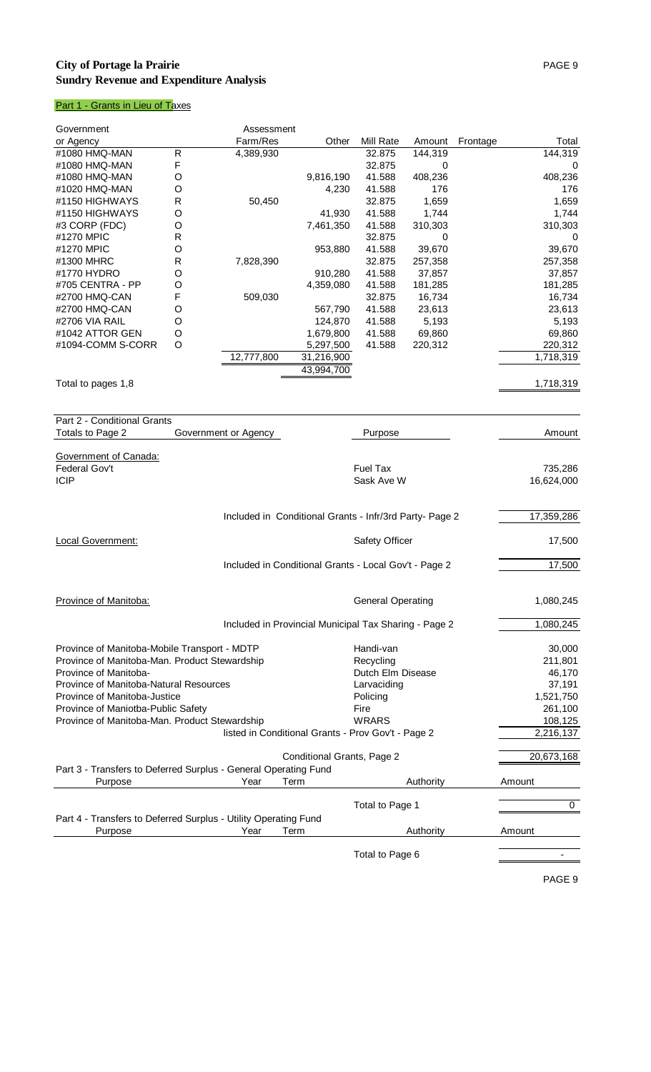## **City of Portage la Prairie** PAGE 9 **Sundry Revenue and Expenditure Analysis**

# Part 1 - Grants in Lieu of Taxes

| Government                                                      |                | Assessment           |                                                         |                          |           |          |             |
|-----------------------------------------------------------------|----------------|----------------------|---------------------------------------------------------|--------------------------|-----------|----------|-------------|
| or Agency                                                       |                | Farm/Res             | Other                                                   | Mill Rate                | Amount    | Frontage | Total       |
| #1080 HMQ-MAN                                                   | $\overline{R}$ | 4,389,930            |                                                         | 32.875                   | 144,319   |          | 144,319     |
| #1080 HMQ-MAN                                                   | F              |                      |                                                         | 32.875                   | 0         |          | 0           |
| #1080 HMQ-MAN                                                   | O              |                      | 9,816,190                                               | 41.588                   | 408,236   |          | 408,236     |
| #1020 HMQ-MAN                                                   | O              |                      | 4,230                                                   | 41.588                   | 176       |          | 176         |
| #1150 HIGHWAYS                                                  | R              | 50,450               |                                                         | 32.875                   | 1,659     |          | 1,659       |
| #1150 HIGHWAYS                                                  | O              |                      | 41,930                                                  | 41.588                   | 1,744     |          | 1,744       |
| #3 CORP (FDC)                                                   | O              |                      | 7,461,350                                               | 41.588                   | 310,303   |          | 310,303     |
| #1270 MPIC                                                      | R              |                      |                                                         | 32.875                   | 0         |          | $\mathbf 0$ |
| #1270 MPIC                                                      | O              |                      | 953,880                                                 | 41.588                   | 39,670    |          | 39,670      |
| #1300 MHRC                                                      | R              | 7,828,390            |                                                         | 32.875                   | 257,358   |          | 257,358     |
|                                                                 |                |                      |                                                         |                          |           |          |             |
| #1770 HYDRO                                                     | O              |                      | 910,280                                                 | 41.588                   | 37,857    |          | 37,857      |
| #705 CENTRA - PP                                                | O              |                      | 4,359,080                                               | 41.588                   | 181,285   |          | 181,285     |
| #2700 HMQ-CAN                                                   | F              | 509,030              |                                                         | 32.875                   | 16,734    |          | 16,734      |
| #2700 HMQ-CAN                                                   | O              |                      | 567,790                                                 | 41.588                   | 23,613    |          | 23,613      |
| #2706 VIA RAIL                                                  | O              |                      | 124,870                                                 | 41.588                   | 5,193     |          | 5,193       |
| #1042 ATTOR GEN                                                 | O              |                      | 1,679,800                                               | 41.588                   | 69,860    |          | 69,860      |
| #1094-COMM S-CORR                                               | O              |                      | 5,297,500                                               | 41.588                   | 220,312   |          | 220,312     |
|                                                                 |                | 12,777,800           | 31,216,900                                              |                          |           |          | 1,718,319   |
|                                                                 |                |                      | 43,994,700                                              |                          |           |          |             |
| Total to pages 1,8                                              |                |                      |                                                         |                          |           |          | 1,718,319   |
|                                                                 |                |                      |                                                         |                          |           |          |             |
|                                                                 |                |                      |                                                         |                          |           |          |             |
| Part 2 - Conditional Grants                                     |                |                      |                                                         |                          |           |          |             |
|                                                                 |                |                      |                                                         |                          |           |          |             |
| Totals to Page 2                                                |                | Government or Agency |                                                         | Purpose                  |           |          | Amount      |
|                                                                 |                |                      |                                                         |                          |           |          |             |
| Government of Canada:                                           |                |                      |                                                         |                          |           |          |             |
| Federal Gov't                                                   |                |                      |                                                         | <b>Fuel Tax</b>          |           |          | 735,286     |
| <b>ICIP</b>                                                     |                |                      |                                                         | Sask Ave W               |           |          | 16,624,000  |
|                                                                 |                |                      |                                                         |                          |           |          |             |
|                                                                 |                |                      |                                                         |                          |           |          |             |
|                                                                 |                |                      | Included in Conditional Grants - Infr/3rd Party- Page 2 |                          |           |          | 17,359,286  |
|                                                                 |                |                      |                                                         |                          |           |          |             |
| <b>Local Government:</b>                                        |                |                      |                                                         | Safety Officer           |           |          | 17,500      |
|                                                                 |                |                      |                                                         |                          |           |          |             |
|                                                                 |                |                      | Included in Conditional Grants - Local Gov't - Page 2   |                          |           |          | 17,500      |
|                                                                 |                |                      |                                                         |                          |           |          |             |
|                                                                 |                |                      |                                                         |                          |           |          |             |
|                                                                 |                |                      |                                                         |                          |           |          |             |
| Province of Manitoba:                                           |                |                      |                                                         | <b>General Operating</b> |           |          | 1,080,245   |
|                                                                 |                |                      |                                                         |                          |           |          |             |
|                                                                 |                |                      | Included in Provincial Municipal Tax Sharing - Page 2   |                          |           |          | 1,080,245   |
|                                                                 |                |                      |                                                         |                          |           |          |             |
| Province of Manitoba-Mobile Transport - MDTP                    |                |                      |                                                         | Handi-van                |           |          | 30,000      |
| Province of Manitoba-Man. Product Stewardship                   |                |                      |                                                         | Recycling                |           |          | 211,801     |
| Province of Manitoba-                                           |                |                      |                                                         | Dutch Elm Disease        |           |          | 46,170      |
| Province of Manitoba-Natural Resources                          |                |                      |                                                         | Larvaciding              |           |          | 37,191      |
| Province of Manitoba-Justice                                    |                |                      |                                                         | Policing                 |           |          | 1,521,750   |
| Province of Maniotba-Public Safety                              |                |                      |                                                         | Fire                     |           |          | 261,100     |
| Province of Manitoba-Man. Product Stewardship                   |                |                      |                                                         | <b>WRARS</b>             |           |          | 108,125     |
|                                                                 |                |                      |                                                         |                          |           |          | 2,216,137   |
|                                                                 |                |                      | listed in Conditional Grants - Prov Gov't - Page 2      |                          |           |          |             |
|                                                                 |                |                      |                                                         |                          |           |          |             |
|                                                                 |                |                      | Conditional Grants, Page 2                              |                          |           |          | 20,673,168  |
| Part 3 - Transfers to Deferred Surplus - General Operating Fund |                |                      |                                                         |                          |           |          |             |
| Purpose                                                         |                | Year                 | Term                                                    |                          | Authority |          | Amount      |
|                                                                 |                |                      |                                                         |                          |           |          |             |
|                                                                 |                |                      |                                                         | Total to Page 1          |           |          | 0           |
| Part 4 - Transfers to Deferred Surplus - Utility Operating Fund |                |                      |                                                         |                          |           |          |             |
| Purpose                                                         |                | Year                 | Term                                                    |                          | Authority |          | Amount      |
|                                                                 |                |                      |                                                         |                          |           |          |             |
|                                                                 |                |                      |                                                         | Total to Page 6          |           |          |             |
|                                                                 |                |                      |                                                         |                          |           |          |             |
|                                                                 |                |                      |                                                         |                          |           |          |             |

PAGE 9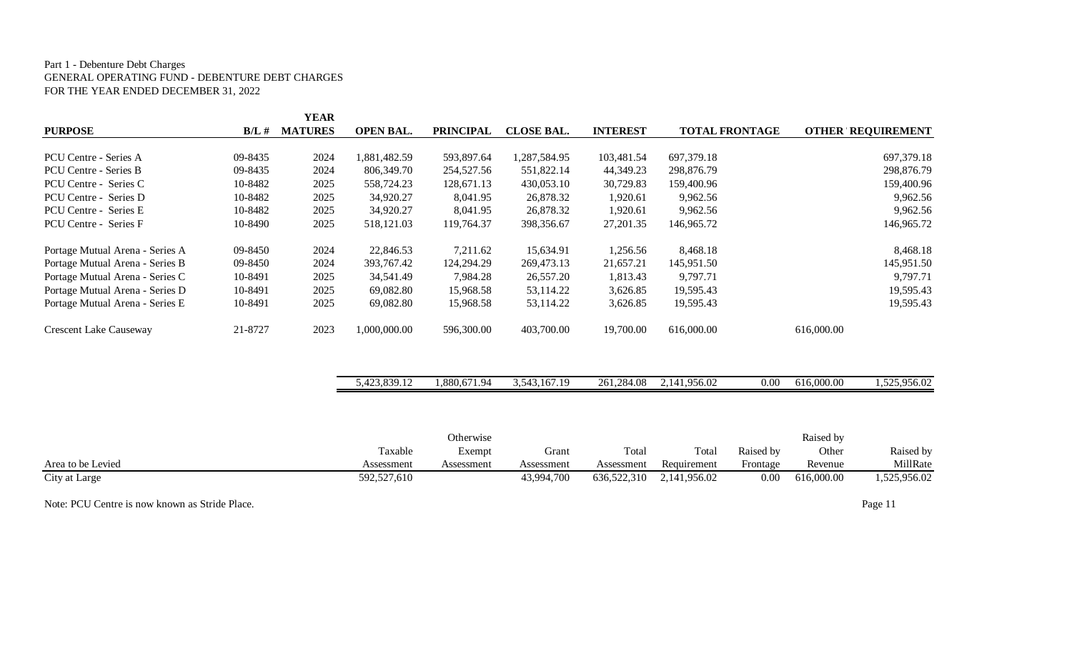#### Part 1 - Debenture Debt Charges GENERAL OPERATING FUND - DEBENTURE DEBT CHARGES FOR THE YEAR ENDED DECEMBER 31, 2022

|                                 |          | <b>YEAR</b>    |                  |                  |                   |                 |                       |                          |
|---------------------------------|----------|----------------|------------------|------------------|-------------------|-----------------|-----------------------|--------------------------|
| <b>PURPOSE</b>                  | $B/L \#$ | <b>MATURES</b> | <b>OPEN BAL.</b> | <b>PRINCIPAL</b> | <b>CLOSE BAL.</b> | <b>INTEREST</b> | <b>TOTAL FRONTAGE</b> | <b>OTHER REQUIREMENT</b> |
| PCU Centre - Series A           | 09-8435  | 2024           | 1,881,482.59     | 593,897.64       | 1,287,584.95      | 103,481.54      | 697,379.18            | 697,379.18               |
| PCU Centre - Series B           | 09-8435  | 2024           | 806,349.70       | 254,527.56       | 551,822.14        | 44,349.23       | 298,876.79            | 298,876.79               |
| PCU Centre - Series C           | 10-8482  | 2025           | 558,724.23       | 128,671.13       | 430,053.10        | 30,729.83       | 159,400.96            | 159,400.96               |
| PCU Centre - Series D           | 10-8482  | 2025           | 34,920.27        | 8.041.95         | 26,878.32         | 1,920.61        | 9,962.56              | 9,962.56                 |
| PCU Centre - Series E           | 10-8482  | 2025           | 34,920.27        | 8,041.95         | 26,878.32         | 1,920.61        | 9,962.56              | 9,962.56                 |
| PCU Centre - Series F           | 10-8490  | 2025           | 518,121.03       | 119,764.37       | 398,356.67        | 27, 201. 35     | 146,965.72            | 146,965.72               |
| Portage Mutual Arena - Series A | 09-8450  | 2024           | 22,846.53        | 7,211.62         | 15,634.91         | 1,256.56        | 8,468.18              | 8,468.18                 |
| Portage Mutual Arena - Series B | 09-8450  | 2024           | 393,767.42       | 124,294.29       | 269,473.13        | 21,657.21       | 145,951.50            | 145,951.50               |
| Portage Mutual Arena - Series C | 10-8491  | 2025           | 34,541.49        | 7,984.28         | 26,557.20         | 1,813.43        | 9,797.71              | 9,797.71                 |
| Portage Mutual Arena - Series D | 10-8491  | 2025           | 69,082.80        | 15,968.58        | 53,114.22         | 3,626.85        | 19,595.43             | 19,595.43                |
| Portage Mutual Arena - Series E | 10-8491  | 2025           | 69,082.80        | 15,968.58        | 53,114.22         | 3,626.85        | 19,595.43             | 19,595.43                |
| <b>Crescent Lake Causeway</b>   | 21-8727  | 2023           | 1,000,000.00     | 596,300.00       | 403,700.00        | 19,700.00       | 616,000.00            | 616,000.00               |

|  | 839<br>$\sqrt{2}$<br>$\Delta$<br>7.14<br>⊤∠J.∪J | .880.671<br>1.94 | 167.19<br>$54^\circ$<br>10<br>ے میں اب | 261.284<br>$+0.08$ | 141,956.02<br><u>، ، ،</u> | 0.00 | 616,000.00 | 525.956.02<br>ر بے ر |
|--|-------------------------------------------------|------------------|----------------------------------------|--------------------|----------------------------|------|------------|----------------------|
|--|-------------------------------------------------|------------------|----------------------------------------|--------------------|----------------------------|------|------------|----------------------|

|                   |             | Otherwise  |            |             |              |           | Raised by  |              |
|-------------------|-------------|------------|------------|-------------|--------------|-----------|------------|--------------|
|                   | Taxable     | Exempt     | Grant      | Total       | Total        | Raised by | Other      | Raised by    |
| Area to be Levied | Assessment  | Assessment | Assessment | Assessment  | Requirement  | Frontage  | Revenue    | MillRate     |
| City at Large     | 592,527,610 |            | 43,994,700 | 636,522,310 | 2.141.956.02 | 0.00      | 616,000.00 | 1,525,956.02 |

Note: PCU Centre is now known as Stride Place. Page 11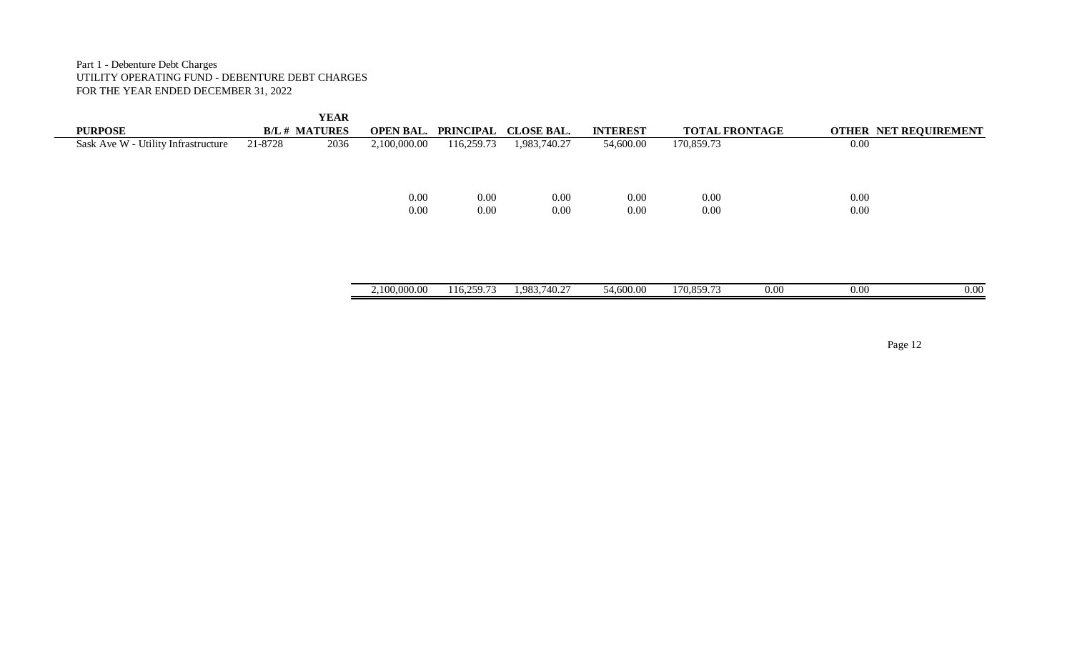Part 1 - Debenture Debt Charges UTILITY OPERATING FUND - DEBENTURE DEBT CHARGES FOR THE YEAR ENDED DECEMBER 31, 2022

| <b>PURPOSE</b>                      | <b>B/L # MATURES</b> | <b>YEAR</b> | <b>OPEN BAL.</b> | PRINCIPAL  | <b>CLOSE BAL.</b> | <b>INTEREST</b> | <b>TOTAL FRONTAGE</b> |          | OTHER NET REQUIREMENT |
|-------------------------------------|----------------------|-------------|------------------|------------|-------------------|-----------------|-----------------------|----------|-----------------------|
| Sask Ave W - Utility Infrastructure | 21-8728              | 2036        | 2,100,000.00     | 116,259.73 | 1,983,740.27      | 54,600.00       | 170,859.73            | $0.00\,$ |                       |
|                                     |                      |             |                  |            |                   |                 |                       |          |                       |
|                                     |                      |             |                  |            |                   |                 |                       |          |                       |
|                                     |                      |             | $0.00\,$         | 0.00       | 0.00              | 0.00            | 0.00                  | 0.00     |                       |
|                                     |                      |             | 0.00             | 0.00       | 0.00              | 0.00            | 0.00                  | $0.00\,$ |                       |
|                                     |                      |             |                  |            |                   |                 |                       |          |                       |
|                                     |                      |             |                  |            |                   |                 |                       |          |                       |
|                                     |                      |             |                  |            |                   |                 |                       |          |                       |
|                                     |                      |             |                  |            |                   |                 |                       |          |                       |
|                                     |                      |             | 2,100,000.00     | 116,259.73 | 1,983,740.27      | 54,600.00       | 170,859.73<br>0.00    | 0.00     | 0.00                  |
|                                     |                      |             |                  |            |                   |                 |                       |          |                       |

Page 12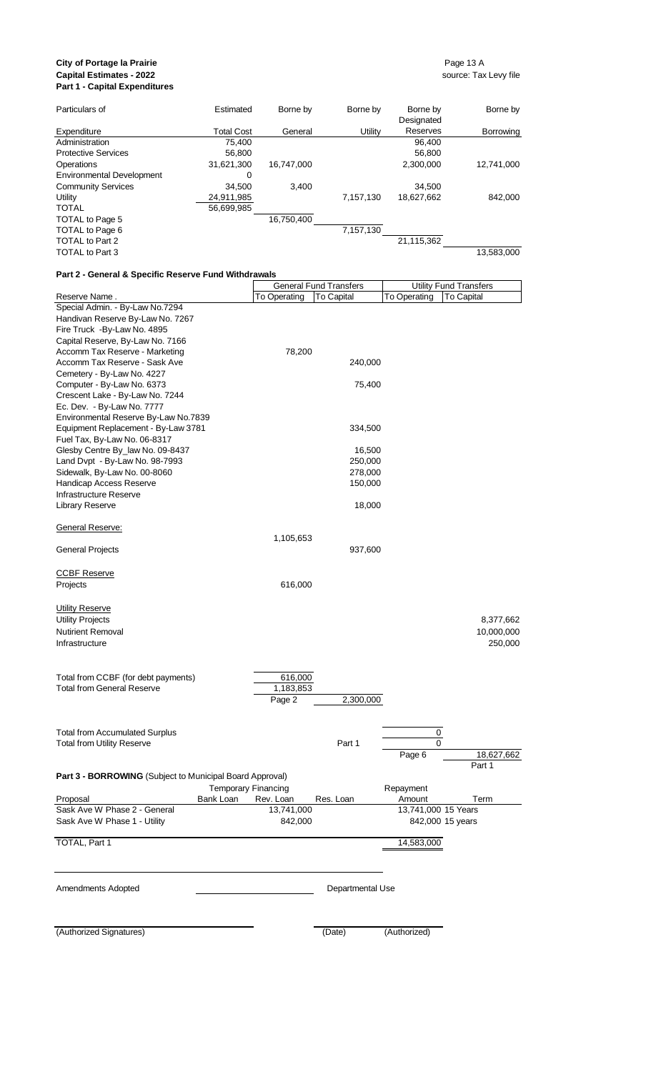#### **City of Portage la Prairie** Page 13 A **Capital Estimates - 2022** source: Tax Levy file **Part 1 - Capital Expenditures**

۳

| Particulars of                   | Estimated         | Borne by   | Borne by  | Borne by   | Borne by   |
|----------------------------------|-------------------|------------|-----------|------------|------------|
|                                  |                   |            |           | Designated |            |
| Expenditure                      | <b>Total Cost</b> | General    | Utility   | Reserves   | Borrowing  |
| Administration                   | 75.400            |            |           | 96,400     |            |
| <b>Protective Services</b>       | 56.800            |            |           | 56,800     |            |
| Operations                       | 31,621,300        | 16.747.000 |           | 2.300.000  | 12.741.000 |
| <b>Environmental Development</b> | 0                 |            |           |            |            |
| <b>Community Services</b>        | 34.500            | 3.400      |           | 34.500     |            |
| Utility                          | 24,911,985        |            | 7,157,130 | 18,627,662 | 842.000    |
| <b>TOTAL</b>                     | 56,699,985        |            |           |            |            |
| TOTAL to Page 5                  |                   | 16,750,400 |           |            |            |
| TOTAL to Page 6                  |                   |            | 7,157,130 |            |            |
| TOTAL to Part 2                  |                   |            |           | 21,115,362 |            |
| TOTAL to Part 3                  |                   |            |           |            | 13,583,000 |

# **Part 2 - General & Specific Reserve Fund Withdrawals**

|                                                          |              | <b>General Fund Transfers</b> |                     | <b>Utility Fund Transfers</b> |
|----------------------------------------------------------|--------------|-------------------------------|---------------------|-------------------------------|
| Reserve Name.                                            | To Operating | <b>To Capital</b>             | To Operating        | <b>To Capital</b>             |
| Special Admin. - By-Law No.7294                          |              |                               |                     |                               |
| Handivan Reserve By-Law No. 7267                         |              |                               |                     |                               |
| Fire Truck - By-Law No. 4895                             |              |                               |                     |                               |
| Capital Reserve, By-Law No. 7166                         |              |                               |                     |                               |
| Accomm Tax Reserve - Marketing                           | 78,200       |                               |                     |                               |
| Accomm Tax Reserve - Sask Ave                            |              | 240,000                       |                     |                               |
| Cemetery - By-Law No. 4227                               |              |                               |                     |                               |
| Computer - By-Law No. 6373                               |              | 75,400                        |                     |                               |
| Crescent Lake - By-Law No. 7244                          |              |                               |                     |                               |
| Ec. Dev. - By-Law No. 7777                               |              |                               |                     |                               |
| Environmental Reserve By-Law No.7839                     |              |                               |                     |                               |
| Equipment Replacement - By-Law 3781                      |              | 334,500                       |                     |                               |
| Fuel Tax, By-Law No. 06-8317                             |              |                               |                     |                               |
| Glesby Centre By_law No. 09-8437                         |              | 16,500                        |                     |                               |
| Land Dvpt - By-Law No. 98-7993                           |              | 250,000                       |                     |                               |
| Sidewalk, By-Law No. 00-8060                             |              | 278,000                       |                     |                               |
| Handicap Access Reserve                                  |              | 150,000                       |                     |                               |
| Infrastructure Reserve                                   |              |                               |                     |                               |
| Library Reserve                                          |              | 18,000                        |                     |                               |
| General Reserve:                                         |              |                               |                     |                               |
|                                                          | 1,105,653    |                               |                     |                               |
| <b>General Projects</b>                                  |              | 937,600                       |                     |                               |
| <b>CCBF Reserve</b>                                      |              |                               |                     |                               |
| Projects                                                 | 616,000      |                               |                     |                               |
| <b>Utility Reserve</b>                                   |              |                               |                     |                               |
| <b>Utility Projects</b>                                  |              |                               |                     | 8,377,662                     |
| <b>Nutirient Removal</b>                                 |              |                               |                     | 10,000,000                    |
| Infrastructure                                           |              |                               |                     | 250,000                       |
|                                                          |              |                               |                     |                               |
| Total from CCBF (for debt payments)                      | 616,000      |                               |                     |                               |
| <b>Total from General Reserve</b>                        | 1,183,853    |                               |                     |                               |
|                                                          | Page 2       | 2,300,000                     |                     |                               |
|                                                          |              |                               |                     |                               |
| <b>Total from Accumulated Surplus</b>                    |              |                               | $\pmb{0}$           |                               |
| <b>Total from Utility Reserve</b>                        |              | Part 1                        | 0                   |                               |
|                                                          |              |                               | Page 6              | 18,627,662                    |
|                                                          |              |                               |                     | Part 1                        |
| Part 3 - BORROWING (Subject to Municipal Board Approval) |              |                               |                     |                               |
| <b>Temporary Financing</b>                               |              |                               | Repayment           |                               |
| Bank Loan<br>Proposal                                    | Rev. Loan    | Res. Loan                     | Amount              | Term                          |
| Sask Ave W Phase 2 - General                             | 13,741,000   |                               | 13,741,000 15 Years |                               |
| Sask Ave W Phase 1 - Utility                             | 842,000      |                               |                     | 842,000 15 years              |
| TOTAL, Part 1                                            |              |                               | 14,583,000          |                               |
|                                                          |              |                               |                     |                               |
| Amendments Adopted                                       |              | Departmental Use              |                     |                               |
|                                                          |              |                               |                     |                               |
| (Authorized Signatures)                                  |              | (Date)                        | (Authorized)        |                               |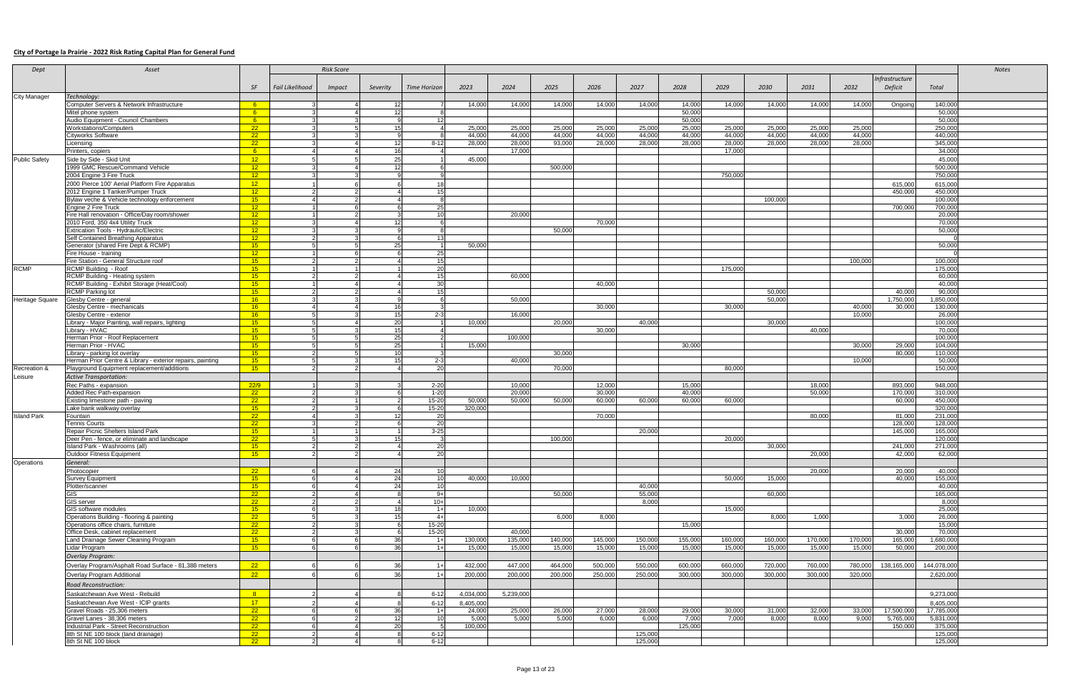#### **City of Portage la Prairie - 2022 Risk Rating Capital Plan for General Fund**

| Dept                 | Asset                                                                               |                       |                 | <b>Risk Score</b> |             |                     |                  |                 |                 |                 |                 |                 |                 |                 |                 |                 |                      |                         | <b>Notes</b> |
|----------------------|-------------------------------------------------------------------------------------|-----------------------|-----------------|-------------------|-------------|---------------------|------------------|-----------------|-----------------|-----------------|-----------------|-----------------|-----------------|-----------------|-----------------|-----------------|----------------------|-------------------------|--------------|
|                      |                                                                                     |                       |                 |                   |             |                     |                  |                 |                 |                 |                 |                 |                 |                 |                 |                 | Infrastructure       |                         |              |
|                      |                                                                                     | <b>SF</b>             | Fail Likelihood | <i>Impact</i>     | Severity    | <b>Time Horizon</b> | 2023             | 2024            | 2025            | 2026            | 2027            | 2028            | 2029            | 2030            | 2031            | 2032            | Deficit              | Total                   |              |
| <b>City Manager</b>  | Technology:                                                                         |                       |                 |                   |             |                     |                  |                 |                 |                 |                 |                 |                 |                 |                 |                 |                      |                         |              |
|                      | Computer Servers & Network Infrastructure                                           | 6 <sup>6</sup>        |                 |                   |             |                     | 14.000           | 14,000          | 14,000          | 14,000          | 14,000          | 14,000          | 14.000          | 14,000          | 14,000          | 14,000          | Ongoing              | 140,000                 |              |
|                      | Mitel phone system                                                                  | 6 <sup>°</sup>        |                 |                   |             |                     |                  |                 |                 |                 |                 | 50,000          |                 |                 |                 |                 |                      | 50,000                  |              |
|                      | Audio Equipment - Council Chambers                                                  | 6 <sup>°</sup>        |                 |                   |             |                     |                  |                 |                 |                 |                 | 50,000          |                 |                 |                 |                 |                      | 50,000                  |              |
|                      | <b>Workstations/Computers</b>                                                       | 22                    |                 |                   |             |                     | 25,000           | 25,000          | 25,000          | 25,000          | 25,000          | 25,000          | 25,000          | 25,000          | 25,000          | 25,000          |                      | 250,000                 |              |
|                      | Cityworks Software                                                                  | 22                    |                 |                   |             |                     | 44,000           | 44,000          | 44,000          | 44,000          | 44,000          | 44,000          | 44,000          | 44.000          | 44.000          | 44.000          |                      | 440,000                 |              |
|                      | Licensing                                                                           | $-22$                 |                 |                   |             | $8 - 12$            | 28,000           | 28,000          | 93,000          | 28,000          | 28.000          | 28.000          | 28,000          | 28,000          | 28,000          | 28,000          |                      | 345,000                 |              |
|                      | Printers, copiers                                                                   | 6 <sup>o</sup>        |                 |                   | 10          |                     |                  | 17,000          |                 |                 |                 |                 | 17,000          |                 |                 |                 |                      | 34,000                  |              |
| <b>Public Safety</b> | Side by Side - Skid Unit                                                            | 12 <sup>2</sup>       |                 |                   | 25          |                     | 45,000           |                 |                 |                 |                 |                 |                 |                 |                 |                 |                      | 45,000                  |              |
|                      | 1999 GMC Rescue/Command Vehicle                                                     | 12 <sup>2</sup>       |                 |                   |             |                     |                  |                 | 500.000         |                 |                 |                 |                 |                 |                 |                 |                      | 500.000                 |              |
|                      | 2004 Engine 3 Fire Truck                                                            | 12 <sup>2</sup>       |                 |                   |             |                     |                  |                 |                 |                 |                 |                 | 750,000         |                 |                 |                 |                      | 750,000                 |              |
|                      | 2000 Pierce 100' Aerial Platform Fire Apparatus                                     | 12 <sup>2</sup>       |                 |                   |             |                     |                  |                 |                 |                 |                 |                 |                 |                 |                 |                 | 615,000              | 615,000                 |              |
|                      | 2012 Engine 1 Tanker/Pumper Truck                                                   | 12 <sup>2</sup>       |                 |                   |             | 15                  |                  |                 |                 |                 |                 |                 |                 |                 |                 |                 | 450,000              | 450,000                 |              |
|                      | Bylaw veche & Vehicle technology enforcement                                        | 15                    |                 |                   |             |                     |                  |                 |                 |                 |                 |                 |                 | 100,000         |                 |                 |                      | 100,000                 |              |
|                      | Engine 2 Fire Truck                                                                 | 12                    |                 |                   |             | 25                  |                  |                 |                 |                 |                 |                 |                 |                 |                 |                 | 700,000              | 700,000                 |              |
|                      | Fire Hall renovation - Office/Day room/shower                                       | 12 <sup>2</sup>       |                 |                   |             |                     |                  | 20.000          |                 |                 |                 |                 |                 |                 |                 |                 |                      | 20,000                  |              |
|                      | 2010 Ford, 350 4x4 Utility Truck                                                    | 12                    |                 |                   |             |                     |                  |                 |                 | 70,000          |                 |                 |                 |                 |                 |                 |                      | 70.000                  |              |
|                      | <b>Extrication Tools - Hydraulic/Electric</b><br>Self Contained Breathing Apparatus | 12 <sup>2</sup><br>12 |                 |                   |             | 13                  |                  |                 | 50.000          |                 |                 |                 |                 |                 |                 |                 |                      | 50,000<br>$\Omega$      |              |
|                      | Generator (shared Fire Dept & RCMP)                                                 | 15                    |                 |                   | 25          |                     | 50.000           |                 |                 |                 |                 |                 |                 |                 |                 |                 |                      | 50,000                  |              |
|                      | Fire House - training                                                               | 12 <sup>2</sup>       |                 |                   |             | -25                 |                  |                 |                 |                 |                 |                 |                 |                 |                 |                 |                      |                         |              |
|                      | Fire Station - General Structure roof                                               | 15                    |                 |                   |             | - 15                |                  |                 |                 |                 |                 |                 |                 |                 |                 | 100.000         |                      | 100,000                 |              |
| <b>RCMP</b>          | RCMP Building - Roof                                                                | 15                    |                 |                   |             | 20                  |                  |                 |                 |                 |                 |                 | 175,000         |                 |                 |                 |                      | 175,000                 |              |
|                      | RCMP Building - Heating system                                                      | 15                    |                 |                   |             | 15                  |                  | 60,000          |                 |                 |                 |                 |                 |                 |                 |                 |                      | 60,000                  |              |
|                      | RCMP Building - Exhibit Storage (Heat/Cool)                                         | 15                    |                 |                   |             | -30                 |                  |                 |                 | 40,000          |                 |                 |                 |                 |                 |                 |                      | 40,000                  |              |
|                      | <b>RCMP Parking lot</b>                                                             | 15                    |                 |                   |             |                     |                  |                 |                 |                 |                 |                 |                 | 50,000          |                 |                 | 40,000               | 90,000                  |              |
| Heritage Square      | Glesby Centre - general                                                             | 16                    |                 |                   |             |                     |                  | 50,000          |                 |                 |                 |                 |                 | 50,000          |                 |                 | 1,750,000            | 1,850,000               |              |
|                      | Glesby Centre - mechanicals                                                         | 16                    |                 |                   |             |                     |                  |                 |                 | 30,000          |                 |                 | 30.000          |                 |                 | 40,000          | 30,000               | 130,000                 |              |
|                      | Glesby Centre - exterior<br>Library - Major Painting, wall repairs, lighting        | 16<br>15              |                 |                   | - 20        | $2 - 3$             | 10.000           | 16,000          | 20,000          |                 | 40,000          |                 |                 | 30,000          |                 | 10.000          |                      | 26,000<br>100,000       |              |
|                      | Library - HVAC                                                                      | 15                    |                 |                   |             |                     |                  |                 |                 | 30,000          |                 |                 |                 |                 | 40.000          |                 |                      | 70,000                  |              |
|                      | Herman Prior - Roof Replacement                                                     | 15                    |                 |                   | - 25        |                     |                  | 100,000         |                 |                 |                 |                 |                 |                 |                 |                 |                      | 100,000                 |              |
|                      | Herman Prior - HVAC                                                                 | 15                    |                 |                   | - 25        |                     | 15,000           |                 |                 |                 |                 | 30,000          |                 |                 |                 | 30,000          | 29,000               | 104,000                 |              |
|                      | Library - parking lot overlay                                                       | 15                    |                 |                   |             |                     |                  |                 | 30,000          |                 |                 |                 |                 |                 |                 |                 | 80.000               | 110,000                 |              |
|                      | Herman Prior Centre & Library - exterior repairs, painting                          | 15                    |                 |                   |             | $2 - 3$             |                  | 40,000          |                 |                 |                 |                 |                 |                 |                 | 10.000          |                      | 50.000                  |              |
| Recreation &         | Playground Equipment replacement/additions                                          | 15                    |                 |                   |             | -20                 |                  |                 | 70.000          |                 |                 |                 | 80.000          |                 |                 |                 |                      | 150.000                 |              |
| Leisure              | <b>Active Transportation:</b>                                                       |                       |                 |                   |             |                     |                  |                 |                 |                 |                 |                 |                 |                 |                 |                 |                      |                         |              |
|                      | Rec Paths - expansion                                                               | 22/9                  |                 |                   |             | $2 - 20$            |                  | 10,000          |                 | 12,000          |                 | 15,000          |                 |                 | 18,000          |                 | 893,000              | 948,000                 |              |
|                      | Added Rec Path-expansion                                                            | 22                    |                 |                   |             | $1 - 20$            |                  | 20,000          |                 | 30,000          |                 | 40,000          |                 |                 | 50,000          |                 | 170,000              | 310,000                 |              |
|                      | Existing limestone path - paving                                                    | 22                    |                 |                   |             | $15 - 20$           | 50,000           | 50,000          | 50,000          | 60,000          | 60,000          | 60.000          | 60,000          |                 |                 |                 | 60,000               | 450,000                 |              |
|                      | Lake bank walkway overlay                                                           | 15<br>22              |                 |                   |             | $15 - 20$           | 320.000          |                 |                 | 70.000          |                 |                 |                 |                 | 80.000          |                 | 81.000               | 320,000                 |              |
| <b>Island Park</b>   | Fountain<br><b>Tennis Courts</b>                                                    | 22                    |                 |                   |             | - 20<br>- 20        |                  |                 |                 |                 |                 |                 |                 |                 |                 |                 | 128,000              | 231,000<br>128,000      |              |
|                      | Repair Picnic Shelters Island Park                                                  | 15                    |                 |                   |             | $3 - 25$            |                  |                 |                 |                 | 20.000          |                 |                 |                 |                 |                 | 145,000              | 165,000                 |              |
|                      | Deer Pen - fence, or eliminate and landscape                                        | 22                    |                 |                   |             |                     |                  |                 | 100,000         |                 |                 |                 | 20,000          |                 |                 |                 |                      | 120,000                 |              |
|                      | sland Park - Washrooms (all)                                                        | 15                    |                 |                   |             | 20                  |                  |                 |                 |                 |                 |                 |                 | 30,000          |                 |                 | 241,000              | 271,000                 |              |
|                      | <b>Outdoor Fitness Equipment</b>                                                    | 15                    |                 |                   |             | 20                  |                  |                 |                 |                 |                 |                 |                 |                 | 20,000          |                 | 42.000               | 62,000                  |              |
| Operations           | General:                                                                            |                       |                 |                   |             |                     |                  |                 |                 |                 |                 |                 |                 |                 |                 |                 |                      |                         |              |
|                      | Photocopier                                                                         | 22                    |                 |                   | 24          | 10                  |                  |                 |                 |                 |                 |                 |                 |                 | 20,000          |                 | 20.000               | 40.000                  |              |
|                      | <b>Survey Equipment</b>                                                             | 15                    |                 |                   | -24         | 10                  | 40,000           | 10,000          |                 |                 |                 |                 | 50,000          | 15,000          |                 |                 | 40,000               | 155,000                 |              |
|                      | Plotter/scanner                                                                     | 15                    |                 |                   | 24          | 10                  |                  |                 |                 |                 | 40,000          |                 |                 |                 |                 |                 |                      | 40,000                  |              |
|                      | GIS                                                                                 | 22                    |                 |                   |             | $9+$                |                  |                 | 50.000          |                 | 55,000          |                 |                 | 60,000          |                 |                 |                      | 165,000                 |              |
|                      | <b>GIS server</b>                                                                   | 22                    |                 |                   |             | $10+$<br>$1+$       | 10.000           |                 |                 |                 | 8,000           |                 | 15.000          |                 |                 |                 |                      | 8,000<br>25,000         |              |
|                      | GIS software modules<br>Operations Building - flooring & painting                   | 15<br>22              |                 |                   |             | $4+$                |                  |                 | 6,000           | 8,000           |                 |                 |                 | 8,000           | 1,000           |                 | 3,000                | 26,000                  |              |
|                      | Operations office chairs, furniture                                                 | 22                    |                 |                   |             | 15-20               |                  |                 |                 |                 |                 | 15.000          |                 |                 |                 |                 |                      | 15,000                  |              |
|                      | Office Desk, cabinet replacement                                                    | 22                    |                 |                   |             | $15 - 20$           |                  | 40,000          |                 |                 |                 |                 |                 |                 |                 |                 | 30,000               | 70,000                  |              |
|                      | Land Drainage Sewer Cleaning Program                                                | 15                    |                 |                   | - 36        | $1+$                | 130,000          | 135,000         | 140,000         | 145,000         | 150,000         | 155,000         | 160,000         | 160,000         | 170,000         | 170,000         | 165,000              | 1,680,000               |              |
|                      | Lidar Program                                                                       | 15                    |                 |                   | - 36        | $1+$                | 15,000           | 15,000          | 15,000          | 15,000          | 15,000          | 15,000          | 15,000          | 15,000          | 15,000          | 15,000          | 50,000               | 200,000                 |              |
|                      | <b>Overlay Program:</b>                                                             |                       |                 |                   |             |                     |                  |                 |                 |                 |                 |                 |                 |                 |                 |                 |                      |                         |              |
|                      | Overlay Program/Asphalt Road Surface - 81,388 meters                                | 22                    |                 |                   | - 36        | $1+$                | 432.000          | 447,000         | 464,000         | 500,000         | 550,000         | 600,000         | 660,000         | 720,000         | 760,000         | 780,000         | 138,165,000          | 144,078,000             |              |
|                      | Overlay Program Additional                                                          | 22                    |                 |                   | -36         | $\overline{1}$      | 200,000          | 200,000         | 200,000         | 250,000         | 250,000         | 300,000         | 300.000         | 300.000         | 300.000         | 320,000         |                      | 2,620,000               |              |
|                      |                                                                                     |                       |                 |                   |             |                     |                  |                 |                 |                 |                 |                 |                 |                 |                 |                 |                      |                         |              |
|                      | <b>Road Reconstruction:</b>                                                         |                       |                 |                   |             |                     |                  |                 |                 |                 |                 |                 |                 |                 |                 |                 |                      |                         |              |
|                      | Saskatchewan Ave West - Rebuild                                                     | 8 <sup>°</sup>        |                 |                   |             | $6 - 12$            | 4,034,000        | 5.239.000       |                 |                 |                 |                 |                 |                 |                 |                 |                      | 9,273,000               |              |
|                      | Saskatchewan Ave West - ICIP grants                                                 | 17 <sup>2</sup>       |                 |                   |             | $6 - 12$            | 8,405,000        |                 |                 |                 |                 |                 |                 |                 |                 |                 |                      | 8,405,000               |              |
|                      | Gravel Roads - 25,306 meters<br>Gravel Lanes - 38,306 meters                        | 22                    |                 |                   | -36<br>- 12 | $1+$<br>10          | 24,000           | 25,000<br>5.000 | 26,000<br>5.000 | 27,000<br>6.000 | 28,000<br>6.000 | 29,000<br>7,000 | 30,000<br>7.000 | 31,000<br>8.000 | 32,000<br>8.000 | 33,000<br>9.000 | 17,500,000           | 17,785,000<br>5,831,000 |              |
|                      | Industrial Park - Street Reconstruction                                             | 22<br>22              |                 |                   | - 20        |                     | 5,000<br>100,000 |                 |                 |                 |                 | 125,000         |                 |                 |                 |                 | 5,765,000<br>150,000 | 375,000                 |              |
|                      | 8th St NE 100 block (land drainage)                                                 | 22                    |                 |                   |             | $6 - 12$            |                  |                 |                 |                 | 125,000         |                 |                 |                 |                 |                 |                      | 125,000                 |              |
|                      | 8th St NE 100 block                                                                 | 22                    |                 |                   |             | $6 - 12$            |                  |                 |                 |                 | 125,000         |                 |                 |                 |                 |                 |                      | 125,000                 |              |
|                      |                                                                                     |                       |                 |                   |             |                     |                  |                 |                 |                 |                 |                 |                 |                 |                 |                 |                      |                         |              |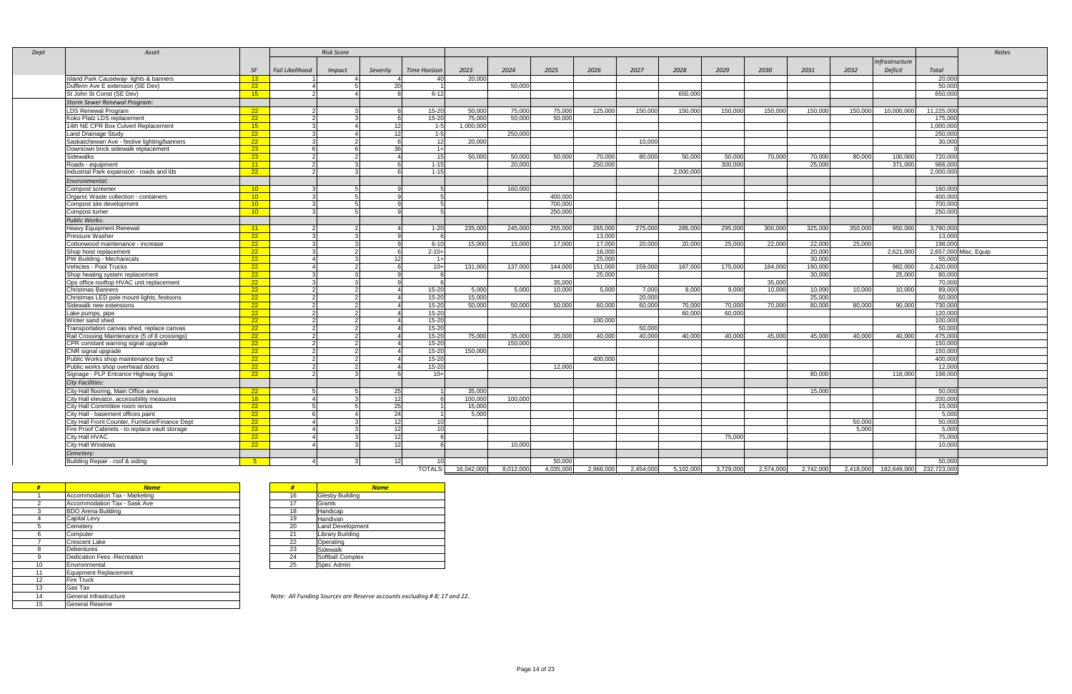| Dept | Asset                                           |                 |                 | <b>Risk Score</b> |                 |                     |            |           |           |           |           |           |           |           |           |         |               |                                   | <b>Notes</b>          |
|------|-------------------------------------------------|-----------------|-----------------|-------------------|-----------------|---------------------|------------|-----------|-----------|-----------|-----------|-----------|-----------|-----------|-----------|---------|---------------|-----------------------------------|-----------------------|
|      |                                                 |                 |                 |                   |                 |                     |            |           |           |           |           |           |           |           |           |         | nfrastructure |                                   |                       |
|      |                                                 | <b>SF</b>       | Fail Likelihood | <b>Impact</b>     | Severity        | <b>Time Horizon</b> | 2023       | 2024      | 2025      | 2026      | 2027      | 2028      | 2029      | 2030      | 2031      | 2032    | Deficit       | Total                             |                       |
|      | Island Park Causeway- lights & banners          | $-13$           |                 |                   |                 | 40                  | 20,000     |           |           |           |           |           |           |           |           |         |               | 20,000                            |                       |
|      | Dufferin Ave E extension (SE Dev)               | 22              |                 |                   | 20              |                     |            | 50,000    |           |           |           |           |           |           |           |         |               | 50,000                            |                       |
|      | St John St Const (SE Dev)                       | 15              |                 |                   |                 | $6 - 12$            |            |           |           |           |           | 650.000   |           |           |           |         |               | 650,000                           |                       |
|      | <b>Storm Sewer Renewal Program:</b>             |                 |                 |                   |                 |                     |            |           |           |           |           |           |           |           |           |         |               |                                   |                       |
|      | <b>LDS Renewal Program</b>                      | 22              |                 |                   |                 | 15-20               | 50,000     | 75.000    | 75.000    | 125,000   | 150,000   | 150.000   | 150.000   | 150,000   | 150,000   | 150.000 | 10.000.000    | 11.225.000                        |                       |
|      | Koko Platz LDS replacement                      | 22              | $\mathcal{P}$   |                   |                 | 15-20               | 75.000     | 50.000    | 50,000    |           |           |           |           |           |           |         |               | 175,000                           |                       |
|      | 14th NE CPR Box Culvert Replacement             | 15              |                 |                   | 12              | $1 - 5$             | 1,000,000  |           |           |           |           |           |           |           |           |         |               | 1,000,000                         |                       |
|      | Land Drainage Study                             | $\overline{22}$ |                 |                   | 12              | $1 - 5$             |            | 250,000   |           |           |           |           |           |           |           |         |               | 250,000                           |                       |
|      | Saskatchewan Ave - festive lighting/banners     | $-22$           |                 |                   |                 | 12                  | 20.000     |           |           |           | 10.000    |           |           |           |           |         |               | 30.000                            |                       |
|      | Downtown brick sidewalk replacement             | 23 <sup>2</sup> |                 |                   | 36              | $1+$                |            |           |           |           |           |           |           |           |           |         |               |                                   |                       |
|      | Sidewalks                                       | 23 <sup>2</sup> | $\overline{2}$  |                   |                 | 15 <sup>1</sup>     | 50.000     | 50.000    | 50.000    | 70.000    | 80.000    | 50.000    | 50.000    | 70.000    | 70.000    | 80.000  | 100.000       | 720.000                           |                       |
|      | Roads - equipment                               | 11              | $\overline{2}$  |                   |                 | $1 - 15$            |            | 20,000    |           | 250,000   |           |           | 300.000   |           | 25.000    |         | 371.000       | 966,000                           |                       |
|      | Industrial Park expansion - roads and Ids       | 22              |                 |                   |                 | $1 - 15$            |            |           |           |           |           | 2,000,000 |           |           |           |         |               | 2,000,000                         |                       |
|      | Environmental:                                  |                 |                 |                   |                 |                     |            |           |           |           |           |           |           |           |           |         |               |                                   |                       |
|      | Compost screener                                | 10 <sup>2</sup> |                 |                   |                 |                     |            | 160,000   |           |           |           |           |           |           |           |         |               | 160,000                           |                       |
|      | Organic Waste collection - containers           | 10 <sup>2</sup> |                 |                   |                 |                     |            |           | 400.00    |           |           |           |           |           |           |         |               | 400.000                           |                       |
|      | Compost site development                        | 10 <sup>1</sup> |                 |                   |                 |                     |            |           | 700.00    |           |           |           |           |           |           |         |               | 700,000                           |                       |
|      | Compost turner                                  | 10 <sup>1</sup> |                 |                   |                 |                     |            |           | 250,000   |           |           |           |           |           |           |         |               | 250,000                           |                       |
|      | <b>Public Works:</b>                            |                 |                 |                   |                 |                     |            |           |           |           |           |           |           |           |           |         |               |                                   |                       |
|      | Heavy Equipment Renewal                         | 11              |                 |                   |                 | $1 - 20$            | 235,000    | 245,000   | 255,000   | 265,000   | 275,000   | 285,000   | 295,000   | 300,000   | 325,000   | 350,000 | 950,000       | 3,780,000                         |                       |
|      | Pressure Washer                                 | $\overline{22}$ |                 |                   |                 |                     |            |           |           | 13,000    |           |           |           |           |           |         |               | 13,000                            |                       |
|      | Cottonwood maintenance - increase               | 22              |                 |                   |                 | $6-10$              | 15.000     | 15.000    | 17.00     | 17.000    | 20,000    | 20.000    | 25.000    | 22,000    | 22,000    | 25,000  |               | 198,000                           |                       |
|      | Shop hoist replacement                          | 22              |                 |                   |                 | $2 - 10 +$          |            |           |           | 16.000    |           |           |           |           | 20,000    |         | 2.621.000     |                                   | 2,657,000 Misc. Equip |
|      | PW Building - Mechanicals                       | 22              |                 |                   | 12              | $1+$                |            |           |           | 25.000    |           |           |           |           | 30.000    |         |               | 55.000                            |                       |
|      | Vehicles - Pool Trucks                          | $-22$           | $\overline{a}$  |                   |                 | $10+$               | 131.000    | 137.000   | 144,000   | 151.000   | 159.000   | 167.000   | 175,000   | 184.000   | 190.000   |         | 982.000       | 2,420,000                         |                       |
|      | Shop heating system replacement                 | 22              |                 |                   |                 |                     |            |           |           | 25,000    |           |           |           |           | 30,000    |         | 25,000        | 80,000                            |                       |
|      | Ops office rooftop HVAC unit replacement        | 22              |                 |                   |                 |                     |            |           | 35,000    |           |           |           |           | 35.000    |           |         |               | 70.000                            |                       |
|      | <b>Christmas Banners</b>                        | 22              | $\overline{2}$  |                   |                 | 15-20               | 5,000      | 5,000     | 10.00     | 5,000     | 7,000     | 8.000     | 9,000     | 10.000    | 10,000    | 10.000  | 10.000        | 89.000                            |                       |
|      | Christmas LED pole mount lights, festoons       | 22              |                 |                   |                 | 15-20               | 15,000     |           |           |           | 20.000    |           |           |           | 25.000    |         |               | 60.000                            |                       |
|      | Sidewalk new extensions                         | 22              |                 |                   |                 | 15-20               | 50,000     | 50,000    | 50,000    | 60,000    | 60,000    | 70,000    | 70,000    | 70,000    | 80.000    | 80,000  | 90,000        | 730,000                           |                       |
|      | Lake pumps, pipe                                | $\overline{22}$ | $\mathcal{P}$   |                   |                 | $15 - 20$           |            |           |           |           |           | 60.000    | 60,000    |           |           |         |               | 120,000                           |                       |
|      | Winter sand shed                                | $-22$           | $\overline{2}$  |                   |                 | $15 - 20$           |            |           |           | 100.000   |           |           |           |           |           |         |               | 100.000                           |                       |
|      | Transportation canvas shed, replace canvas      | 22              | -2              |                   |                 | 15-20               |            |           |           |           | 50.000    |           |           |           |           |         |               | 50,000                            |                       |
|      | Rail Crossing Maintenance (5 of 8 crossings)    | 22              | $\overline{2}$  |                   |                 | 15-20               | 75.000     | 35.000    | 35,000    | 40,000    | 40.000    | 40.000    | 40.000    | 45.000    | 45.000    | 40.000  | 40.000        | 475.000                           |                       |
|      | CPR constant warning signal upgrade             | $-22$           | -21             |                   |                 | $15 - 20$           |            | 150,000   |           |           |           |           |           |           |           |         |               | 150,000                           |                       |
|      | CNR signal upgrade                              | 22              |                 |                   |                 | 15-20               | 150,000    |           |           |           |           |           |           |           |           |         |               | 150,000                           |                       |
|      | Public Works shop maintenance bay x2            | 22              |                 |                   |                 | $15 - 20$           |            |           |           | 400.000   |           |           |           |           |           |         |               | 400.000                           |                       |
|      | Public works shop overhead doors                | $-22$           | $\mathcal{P}$   |                   |                 | 15-20               |            |           | 12,000    |           |           |           |           |           |           |         |               | 12,000                            |                       |
|      | Signage - PLP Entrance Highway Signs            | 22              | $\overline{2}$  |                   |                 | $10+$               |            |           |           |           |           |           |           |           | 80.000    |         | 118.000       | 198.000                           |                       |
|      | City Facilities:                                |                 |                 |                   |                 |                     |            |           |           |           |           |           |           |           |           |         |               |                                   |                       |
|      | City Hall flooring, Main Office area            | 22              |                 |                   | 25              |                     | 35,000     |           |           |           |           |           |           |           | 15,000    |         |               | 50,000                            |                       |
|      | City Hall elevator, accessibility measures      | $\overline{18}$ |                 |                   | $\overline{12}$ |                     | 100,000    | 100,000   |           |           |           |           |           |           |           |         |               | 200.000                           |                       |
|      | City Hall Committee room renos                  | 22              |                 |                   | 25              |                     | 15,000     |           |           |           |           |           |           |           |           |         |               | 15,000                            |                       |
|      | City Hall - basement offices paint              | 22              |                 |                   | 24              |                     | 5.000      |           |           |           |           |           |           |           |           |         |               | 5.000                             |                       |
|      | City Hall Front Counter, Furniture/Finance Dept | $\overline{22}$ |                 |                   | 12              | 10 <sup>1</sup>     |            |           |           |           |           |           |           |           |           | 50,000  |               | 50.000                            |                       |
|      | Fire Proof Cabinets - to replace vault storage  | 22              |                 |                   | 12              | 10 <sup>1</sup>     |            |           |           |           |           |           |           |           |           | 5,000   |               | 5,000                             |                       |
|      | City Hall HVAC                                  | 22              | 4               |                   | 12              |                     |            |           |           |           |           |           | 75,000    |           |           |         |               | 75,000                            |                       |
|      | City Hall Windows                               | 22              |                 |                   | 12              |                     |            | 10,000    |           |           |           |           |           |           |           |         |               | 10.000                            |                       |
|      | Cemetery:                                       |                 |                 |                   |                 |                     |            |           |           |           |           |           |           |           |           |         |               |                                   |                       |
|      | Building Repair - roof & siding                 | $-5$            |                 |                   | 12              |                     |            |           | 50,000    |           |           |           |           |           |           |         |               | 50,000                            |                       |
|      |                                                 |                 |                 |                   |                 | TOTALS:             | 16.042.000 | 8.012.000 | 4.035.000 | 2.966.000 | 2.454.000 | 5.102.000 | 3,729,000 | 2.574.000 | 2.742.000 |         |               | 2.418.000 182.649.000 232.723.000 |                       |

| #  | <b>Name</b>                        | #  | <b>Name</b>                                |
|----|------------------------------------|----|--------------------------------------------|
|    | Accommodation Tax - Marketing      | 16 | Glesby Building                            |
| 2  | Accommodation Tax - Sask Ave       | 17 | Grants                                     |
| 3  | <b>BDO Arena Building</b>          | 18 | Handicap                                   |
| 4  | Capital Levy                       | 19 | Handivan                                   |
| 5  | Cemeterv                           | 20 | Land Development                           |
| 6  | Computer                           | 21 | Library Building                           |
|    | <b>Crescent Lake</b>               | 22 | Operating                                  |
| 8  | Debentures                         | 23 | Sidewalk                                   |
| 9  | <b>Dedication Fees -Recreation</b> | 24 | Softball Complex                           |
| 10 | Environmental                      | 25 | Spec Admin                                 |
| 11 | <b>Equipment Replacement</b>       |    |                                            |
| 12 | Fire Truck                         |    |                                            |
| 13 | Gas Tax                            |    |                                            |
| 14 | General Infrastructure             |    | Note: All Funding Sources are Reserve acco |
| 15 | <b>General Reserve</b>             |    |                                            |

| Glesby Building<br>16<br>Grants<br>17<br>Handicap<br>18<br>Handivan<br>19<br>Land Development<br>20<br><b>Library Building</b><br>21<br>22<br>Operating<br>Sidewalk<br>23<br>Softball Complex<br>24<br>25<br>Spec Admin | # | <b>Name</b> |
|-------------------------------------------------------------------------------------------------------------------------------------------------------------------------------------------------------------------------|---|-------------|
|                                                                                                                                                                                                                         |   |             |
|                                                                                                                                                                                                                         |   |             |
|                                                                                                                                                                                                                         |   |             |
|                                                                                                                                                                                                                         |   |             |
|                                                                                                                                                                                                                         |   |             |
|                                                                                                                                                                                                                         |   |             |
|                                                                                                                                                                                                                         |   |             |
|                                                                                                                                                                                                                         |   |             |
|                                                                                                                                                                                                                         |   |             |
|                                                                                                                                                                                                                         |   |             |

Note: All Funding Sources are Reserve accounts excluding # 8; 17 and 22.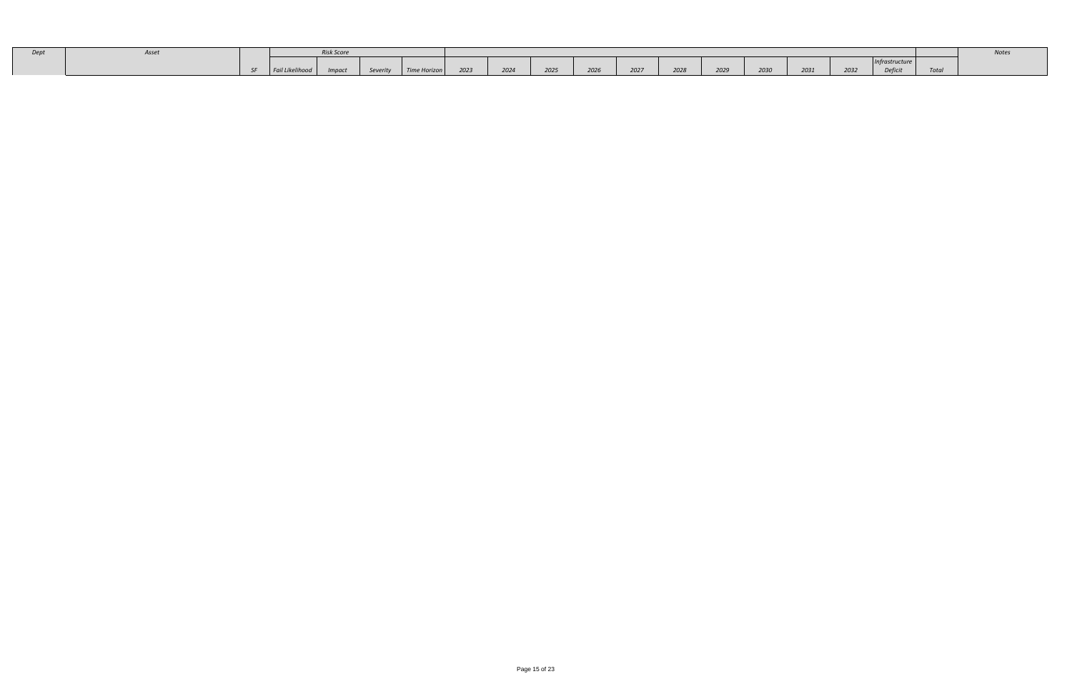| Dep |        |                        | <b>Risk Score</b> |          |              |      |      |      |      |      |      |      |      |      |      |             |      | voles |
|-----|--------|------------------------|-------------------|----------|--------------|------|------|------|------|------|------|------|------|------|------|-------------|------|-------|
|     |        |                        |                   |          |              |      |      |      |      |      |      |      |      |      |      | rastructure |      |       |
|     | $\sim$ | <b>Fail Likelinood</b> | Imnact            | Severity | Time Horizon | 2023 | 2024 | 2025 | 2026 | 2027 | 2028 | 2029 | 2030 | 2031 | 2032 | Deficit     | TULU |       |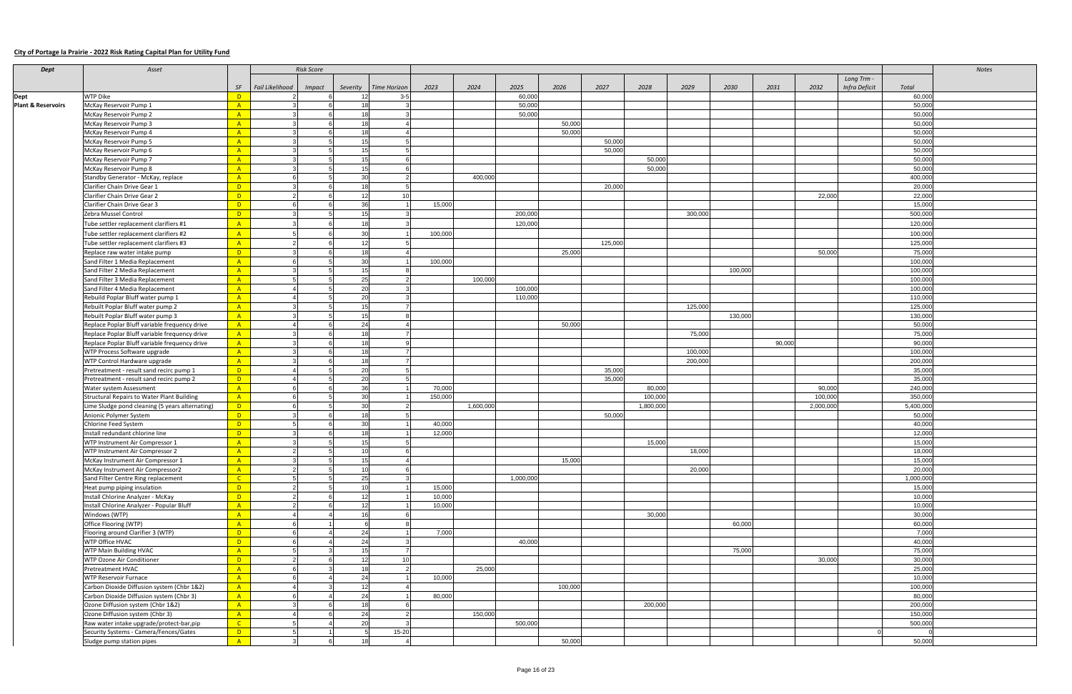#### **City of Portage la Prairie - 2022 Risk Rating Capital Plan for Utility Fund**

| <b>Dept</b>                   | Asset                                             |                | <b>Risk Score</b>                |                 |              |         |           |           |         |         |           |         |         |        |           |               |           | <b>Notes</b> |
|-------------------------------|---------------------------------------------------|----------------|----------------------------------|-----------------|--------------|---------|-----------|-----------|---------|---------|-----------|---------|---------|--------|-----------|---------------|-----------|--------------|
|                               |                                                   |                |                                  |                 |              |         |           |           |         |         |           |         |         |        |           | Long Trm -    |           |              |
|                               |                                                   | SF             | Fail Likelihood<br><b>Impact</b> | Severity        | Time Horizon | 2023    | 2024      | 2025      | 2026    | 2027    | 2028      | 2029    | 2030    | 2031   | 2032      | Infra Deficit | Total     |              |
| <b>Dept</b>                   | <b>WTP Dike</b>                                   | $\overline{D}$ |                                  | 12              | $3 - 5$      |         |           | 60,000    |         |         |           |         |         |        |           |               | 60,000    |              |
| <b>Plant &amp; Reservoirs</b> | McKay Reservoir Pump 1                            | A              |                                  | 18              |              |         |           | 50,000    |         |         |           |         |         |        |           |               | 50,000    |              |
|                               | McKay Reservoir Pump 2                            | A              |                                  | 18              |              |         |           | 50,000    |         |         |           |         |         |        |           |               | 50,000    |              |
|                               | McKay Reservoir Pump 3                            | A              |                                  | 18              |              |         |           |           | 50,000  |         |           |         |         |        |           |               | 50,000    |              |
|                               | McKay Reservoir Pump 4                            | A              |                                  | 18              |              |         |           |           | 50,000  |         |           |         |         |        |           |               | 50,000    |              |
|                               | McKay Reservoir Pump 5                            | A              |                                  | 15              |              |         |           |           |         | 50,000  |           |         |         |        |           |               | 50,000    |              |
|                               | McKay Reservoir Pump 6                            | A              |                                  | 15              |              |         |           |           |         | 50,000  |           |         |         |        |           |               | 50,000    |              |
|                               | McKay Reservoir Pump 7                            | $\mathsf{A}$   |                                  | 15              |              |         |           |           |         |         | 50,000    |         |         |        |           |               | 50,000    |              |
|                               |                                                   |                |                                  | 15              |              |         |           |           |         |         |           |         |         |        |           |               |           |              |
|                               | McKay Reservoir Pump 8                            | A              |                                  |                 |              |         |           |           |         |         | 50,000    |         |         |        |           |               | 50,000    |              |
|                               | Standby Generator - McKay, replace                | $\mathsf{A}$   |                                  | 30              |              |         | 400,000   |           |         |         |           |         |         |        |           |               | 400,000   |              |
|                               | Clarifier Chain Drive Gear 1                      | $\Box$         |                                  | 18              |              |         |           |           |         | 20,000  |           |         |         |        |           |               | 20,000    |              |
|                               | Clarifier Chain Drive Gear 2                      | $\Box$         |                                  | 12              | 10           |         |           |           |         |         |           |         |         |        | 22,000    |               | 22,000    |              |
|                               | Clarifier Chain Drive Gear 3                      | $\Box$         |                                  | 36              |              | 15,000  |           |           |         |         |           |         |         |        |           |               | 15,000    |              |
|                               | Zebra Mussel Control                              | $\mathsf{D}$   |                                  | 15              |              |         |           | 200,000   |         |         |           | 300,000 |         |        |           |               | 500,000   |              |
|                               | Tube settler replacement clarifiers #1            | $\mathsf{A}$   |                                  | 18              |              |         |           | 120,000   |         |         |           |         |         |        |           |               | 120,000   |              |
|                               | Tube settler replacement clarifiers #2            | A              |                                  | 30              |              | 100,000 |           |           |         |         |           |         |         |        |           |               | 100,000   |              |
|                               | Tube settler replacement clarifiers #3            | $\mathsf{A}$   |                                  | 12              |              |         |           |           |         | 125,000 |           |         |         |        |           |               | 125,000   |              |
|                               | Replace raw water intake pump                     | $\Box$         |                                  | 18              |              |         |           |           | 25,000  |         |           |         |         |        | 50,000    |               | 75,000    |              |
|                               | Sand Filter 1 Media Replacement                   | A              |                                  | 30              |              | 100,000 |           |           |         |         |           |         |         |        |           |               | 100,000   |              |
|                               | Sand Filter 2 Media Replacement                   | A              |                                  | 15              |              |         |           |           |         |         |           |         | 100,000 |        |           |               | 100,000   |              |
|                               | Sand Filter 3 Media Replacement                   | A              |                                  | 25              |              |         | 100,000   |           |         |         |           |         |         |        |           |               | 100,000   |              |
|                               | Sand Filter 4 Media Replacement                   | A              |                                  | 20              |              |         |           | 100,000   |         |         |           |         |         |        |           |               | 100,000   |              |
|                               |                                                   |                |                                  |                 |              |         |           |           |         |         |           |         |         |        |           |               |           |              |
|                               | Rebuild Poplar Bluff water pump 1                 | $-A$           |                                  | 20              |              |         |           | 110,000   |         |         |           |         |         |        |           |               | 110,000   |              |
|                               | Rebuilt Poplar Bluff water pump 2                 | $\mathsf{A}$   |                                  | 15              |              |         |           |           |         |         |           | 125,000 |         |        |           |               | 125,000   |              |
|                               | Rebuilt Poplar Bluff water pump 3                 | $-A$           |                                  | 15              |              |         |           |           |         |         |           |         | 130,000 |        |           |               | 130,000   |              |
|                               | Replace Poplar Bluff variable frequency drive     | A              |                                  | 24              |              |         |           |           | 50,000  |         |           |         |         |        |           |               | 50,000    |              |
|                               | Replace Poplar Bluff variable frequency drive     | A              |                                  | 18 <sup>1</sup> |              |         |           |           |         |         |           | 75,000  |         |        |           |               | 75,000    |              |
|                               | Replace Poplar Bluff variable frequency drive     | $\mathbf{A}$   |                                  | 18              |              |         |           |           |         |         |           |         |         | 90,000 |           |               | 90,000    |              |
|                               | WTP Process Software upgrade                      | A              |                                  | 18              |              |         |           |           |         |         |           | 100,000 |         |        |           |               | 100,000   |              |
|                               | WTP Control Hardware upgrade                      | A              |                                  | 18              |              |         |           |           |         |         |           | 200,000 |         |        |           |               | 200,000   |              |
|                               | Pretreatment - result sand recirc pump 1          | D              |                                  | 20              |              |         |           |           |         | 35,000  |           |         |         |        |           |               | 35,000    |              |
|                               | Pretreatment - result sand recirc pump 2          | $\Box$         |                                  | 20              |              |         |           |           |         | 35,000  |           |         |         |        |           |               | 35,000    |              |
|                               | Water system Assessment                           | A              |                                  | 36              |              | 70,000  |           |           |         |         | 80,000    |         |         |        | 90,000    |               | 240,000   |              |
|                               | <b>Structural Repairs to Water Plant Building</b> | A              |                                  | 30              |              | 150,000 |           |           |         |         | 100,000   |         |         |        | 100,000   |               | 350,000   |              |
|                               | ime Sludge pond cleaning (5 years alternating).   | $\Box$         |                                  | 30              |              |         | 1,600,000 |           |         |         | 1,800,000 |         |         |        | 2,000,000 |               | 5,400,000 |              |
|                               | Anionic Polymer System                            | $\mathsf{D}$   |                                  | 18 <sup>1</sup> |              |         |           |           |         | 50,000  |           |         |         |        |           |               | 50,000    |              |
|                               | <b>Chlorine Feed System</b>                       | $\Box$         |                                  | 30              |              | 40,000  |           |           |         |         |           |         |         |        |           |               | 40,000    |              |
|                               | Install redundant chlorine line                   | $\Box$         |                                  | 18              |              | 12,000  |           |           |         |         |           |         |         |        |           |               | 12,000    |              |
|                               | WTP Instrument Air Compressor 1                   | A              |                                  | 15              |              |         |           |           |         |         | 15,000    |         |         |        |           |               | 15,000    |              |
|                               | WTP Instrument Air Compressor 2                   | $\overline{A}$ |                                  | 10              |              |         |           |           |         |         |           | 18,000  |         |        |           |               | 18,000    |              |
|                               | McKay Instrument Air Compressor 1                 | $-A$           |                                  | 15              |              |         |           |           | 15,000  |         |           |         |         |        |           |               | 15,000    |              |
|                               | McKay Instrument Air Compressor2                  | $\mathbf{A}$   |                                  | 10              |              |         |           |           |         |         |           | 20,000  |         |        |           |               | 20,000    |              |
|                               | Sand Filter Centre Ring replacement               | $\overline{C}$ |                                  | 25              |              |         |           | 1,000,000 |         |         |           |         |         |        |           |               | 1,000,000 |              |
|                               |                                                   | $\Box$         |                                  | 10 <sup>1</sup> |              | 15,000  |           |           |         |         |           |         |         |        |           |               | 15,000    |              |
|                               | Heat pump piping insulation                       |                |                                  | 12              |              | 10,000  |           |           |         |         |           |         |         |        |           |               | 10,000    |              |
|                               | Install Chlorine Analyzer - McKay                 | $\Box$         |                                  |                 |              |         |           |           |         |         |           |         |         |        |           |               |           |              |
|                               | Install Chlorine Analyzer - Popular Bluff         | A              |                                  | 12              |              | 10,000  |           |           |         |         |           |         |         |        |           |               | 10,000    |              |
|                               | Windows (WTP)                                     | $\mathsf{A}$   |                                  | 16              |              |         |           |           |         |         | 30,000    |         |         |        |           |               | 30,000    |              |
|                               | Office Flooring (WTP)                             | A              |                                  |                 |              |         |           |           |         |         |           |         | 60,000  |        |           |               | 60,000    |              |
|                               | Flooring around Clarifier 3 (WTP)                 | $\mathsf{D}$   |                                  | 24              |              | 7,000   |           |           |         |         |           |         |         |        |           |               | 7,000     |              |
|                               | WTP Office HVAC                                   | D              |                                  | 24              |              |         |           | 40,000    |         |         |           |         |         |        |           |               | 40,000    |              |
|                               | <b>WTP Main Building HVAC</b>                     | $\mathsf{A}$   |                                  | 15              |              |         |           |           |         |         |           |         | 75,000  |        |           |               | 75,000    |              |
|                               | WTP Ozone Air Conditioner                         | $\mathsf{D}$   |                                  | 12              | 10           |         |           |           |         |         |           |         |         |        | 30,000    |               | 30,000    |              |
|                               | <b>Pretreatment HVAC</b>                          | A              |                                  | 18              |              |         | 25,000    |           |         |         |           |         |         |        |           |               | 25,000    |              |
|                               | <b>WTP Reservoir Furnace</b>                      | A              |                                  | 24              |              | 10,000  |           |           |         |         |           |         |         |        |           |               | 10,000    |              |
|                               | Carbon Dioxide Diffusion system (Chbr 1&2)        | $-A$           |                                  | 12              |              |         |           |           | 100,000 |         |           |         |         |        |           |               | 100,000   |              |
|                               | Carbon Dioxide Diffusion system (Chbr 3)          | A              |                                  | 24              |              | 80,000  |           |           |         |         |           |         |         |        |           |               | 80,000    |              |
|                               | Ozone Diffusion system (Chbr 1&2)                 | A              |                                  | 18              |              |         |           |           |         |         | 200,000   |         |         |        |           |               | 200,000   |              |
|                               | Ozone Diffusion system (Chbr 3)                   | A              |                                  | 24              |              |         | 150,000   |           |         |         |           |         |         |        |           |               | 150,000   |              |
|                               | Raw water intake upgrade/protect-bar,pip          | $\overline{C}$ |                                  | 20              |              |         |           | 500,000   |         |         |           |         |         |        |           |               | 500,000   |              |
|                               | Security Systems - Camera/Fences/Gates            | $\Box$         | 5                                | -5              | 15-20        |         |           |           |         |         |           |         |         |        |           |               |           |              |
|                               | Sludge pump station pipes                         | A              |                                  | 18              |              |         |           |           | 50,000  |         |           |         |         |        |           |               | 50,000    |              |
|                               |                                                   |                |                                  |                 |              |         |           |           |         |         |           |         |         |        |           |               |           |              |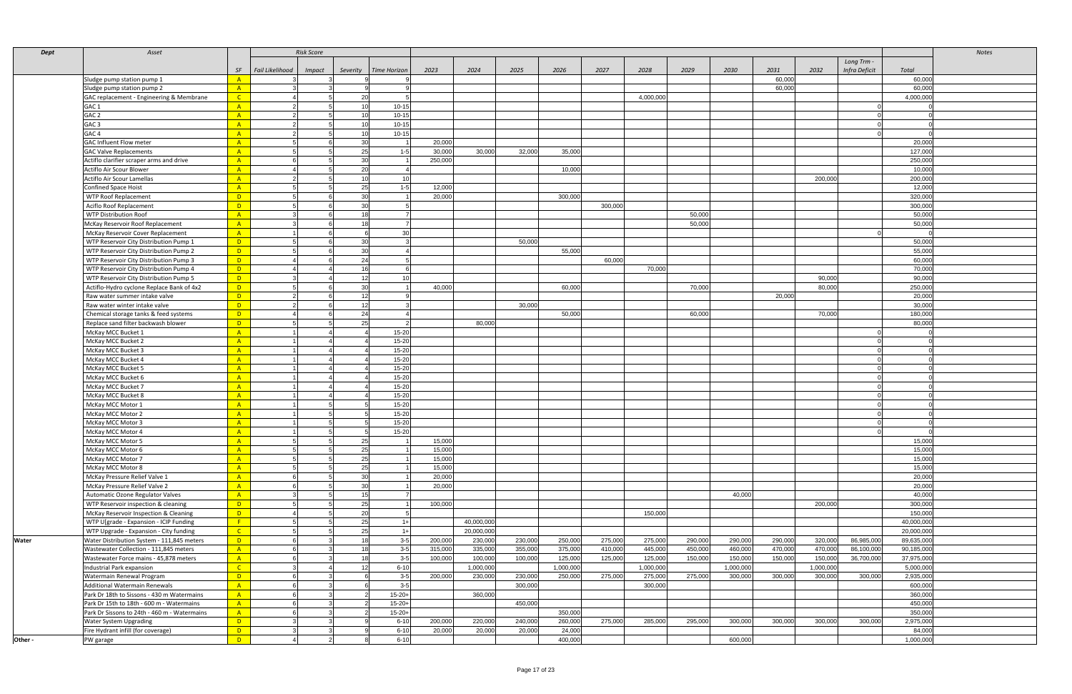| Dept    | Asset                                        |                |                 | <b>Risk Score</b> |                 |                 |         |            |         |           |         |           |         |           |         |           |               |            | <b>Notes</b> |
|---------|----------------------------------------------|----------------|-----------------|-------------------|-----------------|-----------------|---------|------------|---------|-----------|---------|-----------|---------|-----------|---------|-----------|---------------|------------|--------------|
|         |                                              |                |                 |                   |                 |                 |         |            |         |           |         |           |         |           |         |           | Long Trm -    |            |              |
|         |                                              | <b>SF</b>      | Fail Likelihood | <i>Impact</i>     | Severity        | Time Horizon    | 2023    | 2024       | 2025    | 2026      | 2027    | 2028      | 2029    | 2030      | 2031    | 2032      | Infra Deficit | Total      |              |
|         | Sludge pump station pump 1                   | $-A$           |                 |                   |                 |                 |         |            |         |           |         |           |         |           | 60,000  |           |               | 60,000     |              |
|         | Sludge pump station pump 2                   | A              |                 |                   |                 |                 |         |            |         |           |         |           |         |           | 60,000  |           |               | 60,000     |              |
|         | GAC replacement - Engineering & Membrane     | $\overline{C}$ |                 |                   | 20              | -5              |         |            |         |           |         | 4,000,000 |         |           |         |           |               | 4,000,000  |              |
|         | GAC <sub>1</sub>                             | A              |                 |                   | 10 <sup>1</sup> | $10 - 15$       |         |            |         |           |         |           |         |           |         |           |               |            |              |
|         | GAC <sub>2</sub>                             | A              |                 |                   | 10 <sup>1</sup> | $10 - 15$       |         |            |         |           |         |           |         |           |         |           |               |            |              |
|         | GAC <sub>3</sub>                             | A              |                 |                   | 10 <sup>1</sup> | $10 - 15$       |         |            |         |           |         |           |         |           |         |           |               |            |              |
|         | GAC <sub>4</sub>                             | $-A$           |                 |                   | 10              | $10 - 15$       |         |            |         |           |         |           |         |           |         |           |               |            |              |
|         | <b>GAC Influent Flow meter</b>               | A              |                 |                   | 30 <sup>1</sup> |                 | 20,000  |            |         |           |         |           |         |           |         |           |               | 20,000     |              |
|         | <b>GAC Valve Replacements</b>                | A              |                 |                   | 25              | $1 - 5$         | 30,000  | 30,000     | 32,000  | 35,000    |         |           |         |           |         |           |               | 127,000    |              |
|         | Actiflo clarifier scraper arms and drive     | A              |                 |                   | 30 <sup>1</sup> |                 | 250,000 |            |         |           |         |           |         |           |         |           |               | 250,000    |              |
|         | Actiflo Air Scour Blower                     | A              |                 |                   | 20              |                 |         |            |         | 10,000    |         |           |         |           |         |           |               | 10,000     |              |
|         | Actiflo Air Scour Lamellas                   | A              |                 |                   | 10              | 10              |         |            |         |           |         |           |         |           |         | 200,000   |               | 200,000    |              |
|         | Confined Space Hoist                         | A              |                 |                   | 25              | $1 - 5$         | 12,000  |            |         |           |         |           |         |           |         |           |               | 12,000     |              |
|         | <b>WTP Roof Replacement</b>                  | $\Box$         |                 |                   | 30              |                 | 20,000  |            |         | 300,000   |         |           |         |           |         |           |               | 320,000    |              |
|         | Aciflo Roof Replacement                      | $\overline{D}$ |                 |                   | 30              |                 |         |            |         |           | 300,000 |           |         |           |         |           |               | 300,000    |              |
|         | <b>WTP Distribution Roof</b>                 | A              |                 |                   | 18 <sup>1</sup> |                 |         |            |         |           |         |           | 50,000  |           |         |           |               | 50,000     |              |
|         | McKay Reservoir Roof Replacement             | A              |                 |                   | 18              |                 |         |            |         |           |         |           | 50,000  |           |         |           |               | 50,000     |              |
|         | McKay Reservoir Cover Replacement            | A              |                 |                   |                 | 30              |         |            |         |           |         |           |         |           |         |           |               |            |              |
|         |                                              | D              |                 |                   |                 | $\mathcal{R}$   |         |            |         |           |         |           |         |           |         |           |               |            |              |
|         | WTP Reservoir City Distribution Pump 1       |                |                 |                   | 30<br>30        |                 |         |            | 50,000  |           |         |           |         |           |         |           |               | 50,000     |              |
|         | WTP Reservoir City Distribution Pump 2       | $\blacksquare$ |                 |                   |                 |                 |         |            |         | 55,000    |         |           |         |           |         |           |               | 55,000     |              |
|         | WTP Reservoir City Distribution Pump 3       | D              |                 |                   | 24              | 5               |         |            |         |           | 60,000  |           |         |           |         |           |               | 60,000     |              |
|         | WTP Reservoir City Distribution Pump 4       | $\blacksquare$ |                 |                   | 16              | - 6             |         |            |         |           |         | 70,000    |         |           |         |           |               | 70,000     |              |
|         | WTP Reservoir City Distribution Pump 5       | $\blacksquare$ |                 |                   | 12              | 10 <sup>1</sup> |         |            |         |           |         |           |         |           |         | 90,000    |               | 90,000     |              |
|         | Actiflo-Hydro cyclone Replace Bank of 4x2    | $\blacksquare$ |                 |                   | 30 <sup>1</sup> |                 | 40,000  |            |         | 60,000    |         |           | 70,000  |           |         | 80,000    |               | 250,000    |              |
|         | Raw water summer intake valve                | $\Box$ D       |                 |                   | 12              |                 |         |            |         |           |         |           |         |           | 20,000  |           |               | 20,000     |              |
|         | Raw water winter intake valve                | $\overline{D}$ |                 |                   | 12              | $\mathbf{a}$    |         |            | 30,000  |           |         |           |         |           |         |           |               | 30,000     |              |
|         | Chemical storage tanks & feed systems        | $\overline{D}$ |                 |                   | 24              |                 |         |            |         | 50,000    |         |           | 60,000  |           |         | 70,000    |               | 180,000    |              |
|         | Replace sand filter backwash blower          | $\overline{D}$ |                 |                   | 25              | $\overline{2}$  |         | 80,000     |         |           |         |           |         |           |         |           |               | 80,000     |              |
|         | McKay MCC Bucket 1                           | A              |                 |                   |                 | 15-20           |         |            |         |           |         |           |         |           |         |           |               |            |              |
|         | McKay MCC Bucket 2                           | A              |                 |                   |                 | 15-20           |         |            |         |           |         |           |         |           |         |           |               |            |              |
|         | McKay MCC Bucket 3                           | A              |                 |                   |                 | 15-20           |         |            |         |           |         |           |         |           |         |           |               |            |              |
|         | McKay MCC Bucket 4                           | $-A$           |                 |                   |                 | 15-20           |         |            |         |           |         |           |         |           |         |           |               |            |              |
|         | McKay MCC Bucket 5                           | A              |                 |                   |                 | 15-20           |         |            |         |           |         |           |         |           |         |           |               |            |              |
|         | McKay MCC Bucket 6                           | A              |                 |                   |                 | 15-20           |         |            |         |           |         |           |         |           |         |           |               |            |              |
|         | McKay MCC Bucket 7                           | A              |                 |                   |                 | 15-20           |         |            |         |           |         |           |         |           |         |           |               |            |              |
|         | McKay MCC Bucket 8                           | A              |                 |                   |                 | 15-20           |         |            |         |           |         |           |         |           |         |           |               |            |              |
|         | McKay MCC Motor 1                            | A              |                 |                   |                 | 15-20           |         |            |         |           |         |           |         |           |         |           |               |            |              |
|         | McKay MCC Motor 2                            | A              |                 |                   |                 | 15-20           |         |            |         |           |         |           |         |           |         |           |               |            |              |
|         | McKay MCC Motor 3                            | A              |                 |                   |                 | 15-20           |         |            |         |           |         |           |         |           |         |           |               |            |              |
|         | McKay MCC Motor 4                            | A              |                 |                   |                 | 15-20           |         |            |         |           |         |           |         |           |         |           |               |            |              |
|         | McKay MCC Motor 5                            | - A -          |                 |                   | -25             |                 | 15,000  |            |         |           |         |           |         |           |         |           |               | 15,000     |              |
|         | McKay MCC Motor 6                            | A              |                 |                   | 25              |                 | 15,000  |            |         |           |         |           |         |           |         |           |               | 15,000     |              |
|         | McKay MCC Motor 7                            | A              |                 |                   | 25              |                 | 15,000  |            |         |           |         |           |         |           |         |           |               | 15,000     |              |
|         | McKay MCC Motor 8                            | A              |                 |                   | 25              |                 | 15,000  |            |         |           |         |           |         |           |         |           |               | 15,000     |              |
|         | McKay Pressure Relief Valve 1                | A              |                 |                   | 30              |                 | 20,000  |            |         |           |         |           |         |           |         |           |               | 20,000     |              |
|         | McKay Pressure Relief Valve 2                | A              |                 |                   | 30              |                 | 20,000  |            |         |           |         |           |         |           |         |           |               | 20,000     |              |
|         | <b>Automatic Ozone Regulator Valves</b>      | $-A$           |                 |                   | 15              |                 |         |            |         |           |         |           |         | 40,000    |         |           |               | 40,000     |              |
|         | WTP Reservoir inspection & cleaning          | $\blacksquare$ |                 |                   | 25              |                 | 100,000 |            |         |           |         |           |         |           |         | 200,000   |               | 300,000    |              |
|         | McKay Reservoir Inspection & Cleaning        | $\blacksquare$ |                 |                   | 20              | 5               |         |            |         |           |         | 150,000   |         |           |         |           |               | 150,000    |              |
|         | WTP U[grade - Expansion - ICIP Funding       | $-F$           |                 |                   | 25              | $1 +$           |         | 40,000,000 |         |           |         |           |         |           |         |           |               | 40,000,000 |              |
|         | WTP Upgrade - Expansion - City funding       | $\overline{C}$ |                 |                   | 25              | $1+$            |         | 20,000,000 |         |           |         |           |         |           |         |           |               | 20,000,000 |              |
| Water   | Water Distribution System - 111,845 meters   | $\Box$ D       |                 |                   | 18              | $3-5$           | 200,000 | 230,000    | 230,000 | 250,000   | 275,000 | 275,000   | 290,000 | 290,000   | 290,000 | 320,000   | 86,985,000    | 89,635,000 |              |
|         | Wastewater Collection - 111,845 meters       | A              |                 |                   | 18              | $3-5$           | 315,000 | 335,000    | 355,000 | 375,000   | 410,000 | 445,000   | 450,000 | 460,000   | 470,000 | 470,000   | 86,100,000    | 90,185,000 |              |
|         | Wastewater Force mains - 45,878 meters       | A              |                 |                   | 18              | $3-5$           | 100,000 | 100,000    | 100,000 | 125,000   | 125,000 | 125,000   | 150,000 | 150,000   | 150,000 | 150,000   | 36,700,000    | 37,975,000 |              |
|         |                                              | $\mathsf{C}$   |                 |                   |                 | $6 - 10$        |         | 1,000,000  |         | 1,000,000 |         | 1,000,000 |         | 1,000,000 |         | 1,000,000 |               | 5,000,000  |              |
|         | Industrial Park expansion                    |                |                 |                   | 12              |                 |         |            |         |           |         |           |         |           |         |           |               |            |              |
|         | Watermain Renewal Program                    | $\overline{D}$ |                 |                   |                 | $3 - 5$         | 200,000 | 230,000    | 230,000 | 250,000   | 275,000 | 275,000   | 275,000 | 300.000   | 300,000 | 300,000   | 300,000       | 2,935,000  |              |
|         | Additional Watermain Renewals                | $-A$           |                 |                   |                 | $3 - 5$         |         |            | 300,000 |           |         | 300,000   |         |           |         |           |               | 600,000    |              |
|         | Park Dr 18th to Sissons - 430 m Watermains   | A              |                 |                   |                 | $15 - 20 +$     |         | 360,000    |         |           |         |           |         |           |         |           |               | 360,000    |              |
|         | Park Dr 15th to 18th - 600 m - Watermains    | A              |                 |                   |                 | $15 - 20 +$     |         |            | 450,000 |           |         |           |         |           |         |           |               | 450,000    |              |
|         | Park Dr Sissons to 24th - 460 m - Watermains | A              |                 |                   |                 | $15 - 20 +$     |         |            |         | 350,000   |         |           |         |           |         |           |               | 350,000    |              |
|         | <b>Water System Upgrading</b>                | D              |                 |                   |                 | $6 - 10$        | 200,000 | 220,000    | 240,000 | 260,000   | 275,000 | 285,000   | 295,000 | 300,000   | 300,000 | 300,000   | 300,000       | 2,975,000  |              |
|         | Fire Hydrant infill (for coverage)           | $\mathbf{D}$   |                 |                   |                 | $6 - 10$        | 20,000  | 20,000     | 20,000  | 24,000    |         |           |         |           |         |           |               | 84,000     |              |
| Other - | PW garage                                    | $\mathsf{D}$   |                 |                   |                 | $6 - 10$        |         |            |         | 400,000   |         |           |         | 600,000   |         |           |               | 1,000,000  |              |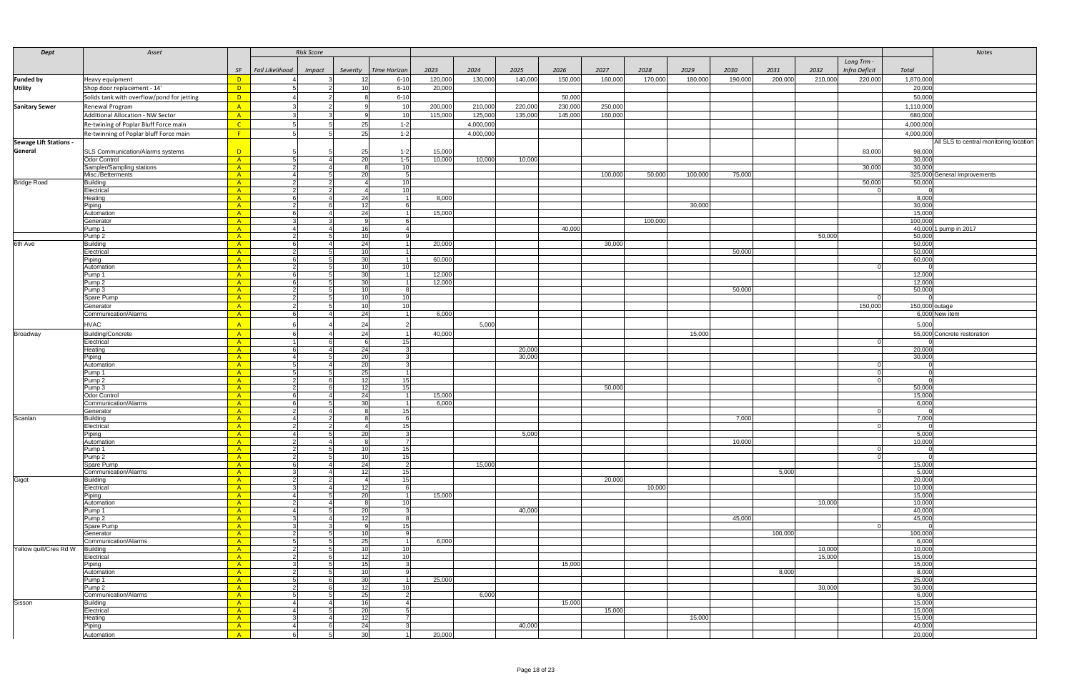| Dept                          | Asset                                      |                | <b>Risk Score</b>                |                                 |                  |           |         |         |         |         |         |         |         |         |               |                  | Notes                                  |
|-------------------------------|--------------------------------------------|----------------|----------------------------------|---------------------------------|------------------|-----------|---------|---------|---------|---------|---------|---------|---------|---------|---------------|------------------|----------------------------------------|
|                               |                                            |                |                                  |                                 |                  |           |         |         |         |         |         |         |         |         | Long Trm -    |                  |                                        |
|                               |                                            | SF             | Fail Likelihood<br><b>Impact</b> | Severity<br><b>Time Horizon</b> | 2023             | 2024      | 2025    | 2026    | 2027    | 2028    | 2029    | 2030    | 2031    | 2032    | Infra Deficit | Total            |                                        |
| <b>Funded by</b>              | Heavy equipment                            | $\blacksquare$ |                                  | $6 - 10$<br>12 <sup>1</sup>     | 120,000          | 130,000   | 140,000 | 150,000 | 160,000 | 170,000 | 180,000 | 190,000 | 200,000 | 210,000 | 220,000       | 1,870,00         |                                        |
| <b>Utility</b>                | Shop door replacement - 14'                | $\Box$ D       |                                  | $6 - 10$                        | 20,000           |           |         |         |         |         |         |         |         |         |               | 20,000           |                                        |
|                               | Solids tank with overflow/pond for jetting | $\blacksquare$ |                                  | $6 - 10$                        |                  |           |         | 50,000  |         |         |         |         |         |         |               | 50,00            |                                        |
|                               |                                            |                |                                  | 1 <sup>1</sup>                  |                  |           |         |         |         |         |         |         |         |         |               |                  |                                        |
| <b>Sanitary Sewer</b>         | Renewal Program                            | A              |                                  |                                 | 200,000          | 210,000   | 220,000 | 230,000 | 250,000 |         |         |         |         |         |               | 1,110,00         |                                        |
|                               | Additional Allocation - NW Sector          | A              |                                  | 10                              | 115,000          | 125,000   | 135,000 | 145,000 | 160,000 |         |         |         |         |         |               | 680,000          |                                        |
|                               | Re-twining of Poplar Bluff Force main      | $\overline{C}$ |                                  | $1 - 2$<br>25                   |                  | 4,000,000 |         |         |         |         |         |         |         |         |               | 4,000,000        |                                        |
|                               | Re-twinning of Poplar bluff Force main     | $- F$          |                                  | 25<br>$1 - 2$                   |                  | 4,000,000 |         |         |         |         |         |         |         |         |               | 4,000,000        |                                        |
| <b>Sewage Lift Stations -</b> |                                            |                |                                  |                                 |                  |           |         |         |         |         |         |         |         |         |               |                  | All SLS to central monitoring location |
| General                       | SLS Communication/Alarms systems           | $\Box$         |                                  | $1 - 2$<br>25                   | 15,000           |           |         |         |         |         |         |         |         |         | 83,000        | 98,000           |                                        |
|                               | <b>Odor Control</b>                        | $-A$           |                                  | $1 - 5$<br>20                   | 10,000           | 10,000    | 10,000  |         |         |         |         |         |         |         |               | 30,000           |                                        |
|                               | Sampler/Sampling stations                  | $-A$           |                                  | 10                              |                  |           |         |         |         |         |         |         |         |         | 30,000        | 30,000           |                                        |
|                               | Misc./Betterments                          | $-A$           |                                  | 20                              |                  |           |         |         | 100,000 | 50,000  | 100,000 | 75,000  |         |         |               |                  | 325,000 General Improvements           |
| <b>Bridge Road</b>            | <b>Building</b>                            | $-A$           |                                  |                                 |                  |           |         |         |         |         |         |         |         |         | 50,000        | 50,000           |                                        |
|                               | Electrical                                 | A<br>A         |                                  | 24                              | 8,000            |           |         |         |         |         |         |         |         |         |               | 8,000            |                                        |
|                               | Heating<br>Piping                          | A              |                                  | 12                              |                  |           |         |         |         |         | 30,000  |         |         |         |               | 30,000           |                                        |
|                               | Automation                                 | $-A$           |                                  | 24                              | 15,000           |           |         |         |         |         |         |         |         |         |               | 15,000           |                                        |
|                               | Generator                                  | $-A$           |                                  |                                 |                  |           |         |         |         | 100,000 |         |         |         |         |               | 100,00           |                                        |
|                               | Pump 1                                     | $-A$           |                                  | 16 I                            |                  |           |         | 40,000  |         |         |         |         |         |         |               |                  | 40,000 1 pump in 2017                  |
|                               | Pump <sub>2</sub>                          | $-A$           |                                  | 10I                             |                  |           |         |         |         |         |         |         |         | 50,000  |               | 50,000           |                                        |
| 6th Ave                       | Building                                   | $-A$           |                                  | 24                              | 20,000           |           |         |         | 30,000  |         |         |         |         |         |               | 50,000           |                                        |
|                               | Electrical                                 | $-A$           |                                  | 10 <sup>1</sup>                 |                  |           |         |         |         |         |         | 50.000  |         |         |               | 50,000           |                                        |
|                               | Piping                                     | $-A$           |                                  | 30                              | 60,000           |           |         |         |         |         |         |         |         |         |               | 60,000           |                                        |
|                               | Automation                                 | $-A$           |                                  | 10 <sup>1</sup><br>10           |                  |           |         |         |         |         |         |         |         |         |               |                  |                                        |
|                               | Pump 1                                     | $-A$           |                                  | 30<br>30 <sup>1</sup>           | 12,000<br>12,000 |           |         |         |         |         |         |         |         |         |               | 12,000<br>12,000 |                                        |
|                               | Pump <sub>2</sub><br>Pump 3                | $-A$<br>A      |                                  | 10 <sup>1</sup>                 |                  |           |         |         |         |         |         | 50,000  |         |         |               | 50,000           |                                        |
|                               | Spare Pump                                 | $-A$           |                                  | 10 <sup>1</sup><br>10           |                  |           |         |         |         |         |         |         |         |         |               |                  |                                        |
|                               | Generator                                  | A              |                                  | 10 <sup>1</sup>                 |                  |           |         |         |         |         |         |         |         |         | 150,000       | 150,000 outage   |                                        |
|                               | Communication/Alarms                       | A              |                                  | 24                              | 6,000            |           |         |         |         |         |         |         |         |         |               |                  | 6,000 New item                         |
|                               |                                            | A              |                                  | 24                              |                  | 5,000     |         |         |         |         |         |         |         |         |               |                  |                                        |
|                               | <b>HVAC</b>                                |                |                                  |                                 |                  |           |         |         |         |         |         |         |         |         |               | 5,000            |                                        |
| <b>Broadway</b>               | Building/Concrete                          | A<br>A         |                                  | 24<br>15<br>ĥ.                  | 40,000           |           |         |         |         |         | 15,000  |         |         |         |               |                  | 55,000 Concrete restoration            |
|                               | Electrical<br>Heating                      | $-A$           |                                  | 24                              |                  |           | 20,000  |         |         |         |         |         |         |         |               | 20,000           |                                        |
|                               | Piping                                     | $-A$           |                                  | 20                              |                  |           | 30,000  |         |         |         |         |         |         |         |               | 30,000           |                                        |
|                               | Automation                                 | $-A$           |                                  | 20                              |                  |           |         |         |         |         |         |         |         |         |               |                  |                                        |
|                               | Pump 1                                     | $-A$           |                                  | 25                              |                  |           |         |         |         |         |         |         |         |         | - 0           |                  |                                        |
|                               | Pump <sub>2</sub>                          | $-A$           |                                  | 12<br>15                        |                  |           |         |         |         |         |         |         |         |         |               |                  |                                        |
|                               | Pump 3                                     | $-A$           |                                  | 12                              |                  |           |         |         | 50,000  |         |         |         |         |         |               | 50,000           |                                        |
|                               | <b>Odor Control</b>                        | $-A$           |                                  | 24                              | 15,000           |           |         |         |         |         |         |         |         |         |               | 15,000           |                                        |
|                               | Communication/Alarms                       | $-A$           |                                  | 30 <sup>1</sup>                 | 6,000            |           |         |         |         |         |         |         |         |         |               | 6,000            |                                        |
|                               | Generator                                  | A              |                                  | 8<br>15                         |                  |           |         |         |         |         |         | 7,000   |         |         |               |                  |                                        |
| Scanlan                       | <b>Building</b><br>Electrical              | A<br>A         |                                  | 1 <sup>E</sup><br>4             |                  |           |         |         |         |         |         |         |         |         |               | 7,000            |                                        |
|                               | Piping                                     | $-A$           |                                  | 20                              |                  |           | 5,000   |         |         |         |         |         |         |         |               | 5,000            |                                        |
|                               | Automation                                 | $-A$           |                                  | 81                              |                  |           |         |         |         |         |         | 10,000  |         |         |               | 10,000           |                                        |
|                               | Pump 1                                     | $-A$           |                                  | 15<br>10                        |                  |           |         |         |         |         |         |         |         |         | - 0           |                  |                                        |
|                               | Pump <sub>2</sub>                          | $-A$           |                                  | 10I<br>-15                      |                  |           |         |         |         |         |         |         |         |         |               |                  |                                        |
|                               | Spare Pump                                 | $-A$           |                                  | 24                              |                  | 15,000    |         |         |         |         |         |         |         |         |               | 15,000           |                                        |
|                               | Communication/Alarms                       | $-A$           |                                  | 12 <sup>1</sup><br>-15          |                  |           |         |         |         |         |         |         | 5,000   |         |               | 5,000            |                                        |
| Gigot                         | <b>Building</b>                            | $-A$           |                                  | 15<br>$\overline{4}$            |                  |           |         |         | 20,000  |         |         |         |         |         |               | 20,000           |                                        |
|                               | Electrical                                 | A<br>$-A$      |                                  | 12<br>20                        | 15,000           |           |         |         |         | 10,000  |         |         |         |         |               | 10,000<br>15,000 |                                        |
|                               | Piping<br>Automation                       | A              |                                  |                                 |                  |           |         |         |         |         |         |         |         | 10,000  |               | 10,000           |                                        |
|                               | Pump 1                                     | A              |                                  | 20                              |                  |           | 40,000  |         |         |         |         |         |         |         |               | 40,000           |                                        |
|                               | Pump <sub>2</sub>                          | A              |                                  | 12                              |                  |           |         |         |         |         |         | 45,000  |         |         |               | 45,000           |                                        |
|                               | Spare Pump                                 | $-A$           |                                  | a<br>15                         |                  |           |         |         |         |         |         |         |         |         |               |                  |                                        |
|                               | Generator                                  | $-A$           |                                  | 10 <sup>1</sup>                 |                  |           |         |         |         |         |         |         | 100,000 |         |               | 100,000          |                                        |
|                               | Communication/Alarms                       | $-A$           |                                  | 25                              | 6,000            |           |         |         |         |         |         |         |         |         |               | 6,000            |                                        |
| Yellow quill/Cres Rd W        | <b>Building</b>                            | $-A$           |                                  | 10 <sup>1</sup><br>10           |                  |           |         |         |         |         |         |         |         | 10,000  |               | 10,000           |                                        |
|                               | Electrical                                 | A              | ൳                                | 12 <sup>1</sup><br>10           |                  |           |         |         |         |         |         |         |         | 15,000  |               | 15,000           |                                        |
|                               | Piping<br>Automation                       | A<br>$-A$      |                                  | 15 <sup>1</sup><br>10           |                  |           |         | 15,000  |         |         |         |         | 8,000   |         |               | 15,000<br>8,000  |                                        |
|                               | Pump 1                                     | $-A$           |                                  | 30 <sup>1</sup>                 | 25,000           |           |         |         |         |         |         |         |         |         |               | 25,000           |                                        |
|                               | Pump <sub>2</sub>                          | A              |                                  | 12                              |                  |           |         |         |         |         |         |         |         | 30,000  |               | 30,000           |                                        |
|                               | Communication/Alarms                       | A              |                                  | 25                              |                  | 6,000     |         |         |         |         |         |         |         |         |               | 6,000            |                                        |
| Sisson                        | Building                                   | $-A$           |                                  | 16                              |                  |           |         | 15,000  |         |         |         |         |         |         |               | 15,000           |                                        |
|                               | Electrical                                 | A              |                                  | 20                              |                  |           |         |         | 15,000  |         |         |         |         |         |               | 15,000           |                                        |
|                               | Heating                                    | A              |                                  | 12                              |                  |           |         |         |         |         | 15,000  |         |         |         |               | 15,000           |                                        |
|                               | Piping                                     | $-A$           | 6                                | 24                              |                  |           | 40,000  |         |         |         |         |         |         |         |               | 40,000           |                                        |
|                               | Automation                                 | $\mathsf{A}$   |                                  | 30 <sup>1</sup>                 | 20,000           |           |         |         |         |         |         |         |         |         |               | 20,000           |                                        |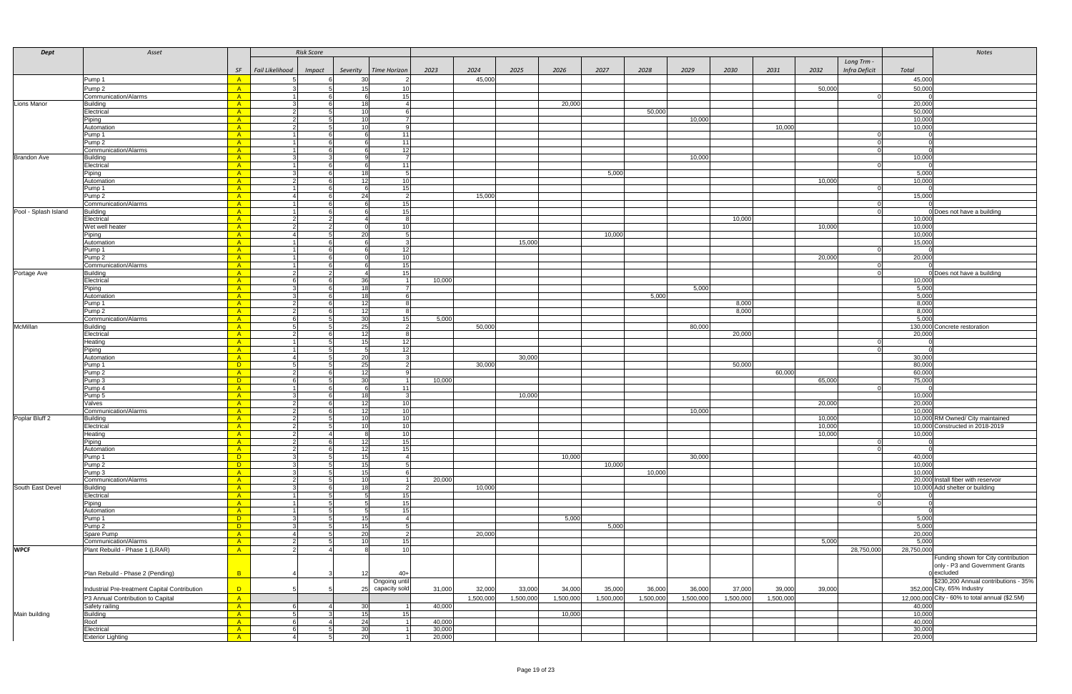| <b>Dept</b>          | Asset                                         |                          | <b>Risk Score</b>         |                                    |                  |           |           |           |           |           |           |           |           |                       |                  | <b>Notes</b>                                   |
|----------------------|-----------------------------------------------|--------------------------|---------------------------|------------------------------------|------------------|-----------|-----------|-----------|-----------|-----------|-----------|-----------|-----------|-----------------------|------------------|------------------------------------------------|
|                      |                                               |                          |                           |                                    |                  |           |           |           |           |           |           |           |           | Long Trm -            |                  |                                                |
|                      |                                               | SF                       | Fail Likelihood<br>Impact | Severity<br><b>Time Horizon</b>    | 2023             | 2024      | 2025      | 2026      | 2027      | 2028      | 2029      | 2030      | 2031      | Infra Deficit<br>2032 | Total            |                                                |
|                      | Pump 1                                        | A                        |                           | 30                                 |                  | 45,000    |           |           |           |           |           |           |           |                       | 45,000           |                                                |
|                      | Pump <sub>2</sub>                             | A                        |                           | 15 <sub>l</sub><br>10              |                  |           |           |           |           |           |           |           |           | 50,000                | 50,000           |                                                |
|                      | Communication/Alarms                          | A                        |                           | -15<br>6                           |                  |           |           |           |           |           |           |           |           |                       |                  |                                                |
| Lions Manor          | <b>Building</b>                               | $-A$                     |                           | 181                                |                  |           |           | 20,000    |           |           |           |           |           |                       | 20,000           |                                                |
|                      | Electrical                                    | $-A$<br>$-A$             | 2<br>$\mathcal{P}$        | 10I<br>10 <sup>1</sup>             |                  |           |           |           |           | 50,000    | 10,000    |           |           |                       | 50,000<br>10,000 |                                                |
|                      | Piping<br>Automation                          | $-A$                     | -2                        | 10 <sup>1</sup>                    |                  |           |           |           |           |           |           |           | 10,000    |                       | 10,000           |                                                |
|                      | Pump 1                                        | A                        |                           |                                    |                  |           |           |           |           |           |           |           |           |                       |                  |                                                |
|                      | Pump <sub>2</sub>                             | A                        |                           | - 11                               |                  |           |           |           |           |           |           |           |           |                       |                  |                                                |
|                      | Communication/Alarms                          | $-A$                     |                           | - 12 l                             |                  |           |           |           |           |           |           |           |           |                       |                  |                                                |
| <b>Brandon Ave</b>   | <b>Building</b><br>Electrical                 | $-A$<br>$-A$             | -3<br>$\overline{1}$      | 11<br>6                            |                  |           |           |           |           |           | 10,000    |           |           | റ                     | 10,000           |                                                |
|                      | Piping                                        | $-A$                     | -3                        | 18                                 |                  |           |           |           | 5,000     |           |           |           |           |                       | 5,000            |                                                |
|                      | Automation                                    | $\overline{A}$           | 2                         | 10<br>12                           |                  |           |           |           |           |           |           |           |           | 10,000                | 10,000           |                                                |
|                      | Pump 1                                        | $-A$                     |                           | -15<br>6                           |                  |           |           |           |           |           |           |           |           |                       |                  |                                                |
|                      | Pump 2                                        | A                        | -4                        | <b>24</b>                          |                  | 15,000    |           |           |           |           |           |           |           |                       | 15,000           |                                                |
| Pool - Splash Island | Communication/Alarms                          | $-A$                     |                           | 15<br>15                           |                  |           |           |           |           |           |           |           |           | - 0                   |                  |                                                |
|                      | <b>Building</b><br>Electrical                 | $\overline{A}$<br>$-A$   | 2                         |                                    |                  |           |           |           |           |           |           | 10,000    |           |                       | 10,000           | 0 Does not have a building                     |
|                      | Wet well heater                               | A                        |                           |                                    |                  |           |           |           |           |           |           |           |           | 10,000                | 10,000           |                                                |
|                      | Piping                                        | A                        |                           | 20                                 |                  |           |           |           | 10,000    |           |           |           |           |                       | 10,000           |                                                |
|                      | Automation                                    | A                        |                           |                                    |                  |           | 15,000    |           |           |           |           |           |           |                       | 15,000           |                                                |
|                      | Pump 1<br>Pump <sub>2</sub>                   | A<br>A                   |                           | 12<br>10                           |                  |           |           |           |           |           |           |           |           | 20,000                | 20,000           |                                                |
|                      | Communication/Alarms                          | $\overline{A}$           |                           | 15I                                |                  |           |           |           |           |           |           |           |           |                       |                  |                                                |
| Portage Ave          | <b>Building</b>                               | $\overline{A}$           | $\mathcal{P}$             | 15                                 |                  |           |           |           |           |           |           |           |           |                       |                  | 0 Does not have a building                     |
|                      | Electrical                                    | $-A$                     | - 6                       | -36 I                              | 10,000           |           |           |           |           |           |           |           |           |                       | 10,000           |                                                |
|                      | Piping                                        | $-A$                     | -3                        | 18I                                |                  |           |           |           |           |           | 5,000     |           |           |                       | 5,000            |                                                |
|                      | Automation                                    | $-A$<br>$-A$             | -3<br>2                   | 18<br>12 <sup>1</sup>              |                  |           |           |           |           | 5,000     |           | 8,000     |           |                       | 5,000<br>8,000   |                                                |
|                      | Pump 1<br>Pump <sub>2</sub>                   | $-A$                     | 2                         | 12                                 |                  |           |           |           |           |           |           | 8,000     |           |                       | 8,000            |                                                |
|                      | Communication/Alarms                          | $-A$                     | 6                         | 30 <sup>°</sup><br>15              | 5,000            |           |           |           |           |           |           |           |           |                       | 5,000            |                                                |
| McMillan             | <b>Building</b>                               | A                        |                           | 25                                 |                  | 50,000    |           |           |           |           | 80,000    |           |           |                       |                  | 130,000 Concrete restoration                   |
|                      | Electrical                                    | A                        | 2                         | 12 <sup>1</sup>                    |                  |           |           |           |           |           |           | 20.000    |           |                       | 20,000           |                                                |
|                      | Heating<br>Piping                             | $-A$<br>$-A$             |                           | 15<br>12<br>- 12 I<br>5            |                  |           |           |           |           |           |           |           |           | - 0                   |                  |                                                |
|                      | Automation                                    | $-A$                     | $\overline{4}$            | 20                                 |                  |           | 30,000    |           |           |           |           |           |           |                       | 30,000           |                                                |
|                      | Pump 1                                        | <b>D</b>                 | -5                        | 25                                 |                  | 30,000    |           |           |           |           |           | 50,000    |           |                       | 80,000           |                                                |
|                      | Pump <sub>2</sub>                             | $-A$                     | -2                        | -12                                |                  |           |           |           |           |           |           |           | 60,000    |                       | 60,000           |                                                |
|                      | Pump 3                                        | <b>D</b>                 | -6                        | 30                                 | 10,000           |           |           |           |           |           |           |           |           | 65,000                | 75,000           |                                                |
|                      | Pump 4<br>Pump 5                              | $-A$<br>A                |                           | - 11<br>18                         |                  |           | 10,000    |           |           |           |           |           |           |                       | 10,000           |                                                |
|                      | Valves                                        | A                        | -2                        | 12 <sup>1</sup><br>10              |                  |           |           |           |           |           |           |           |           | 20,000                | 20,000           |                                                |
|                      | Communication/Alarms                          | A                        | 2                         | 12<br>10                           |                  |           |           |           |           |           | 10,000    |           |           |                       | 10,000           |                                                |
| Poplar Bluff 2       | Building                                      | A                        |                           |                                    |                  |           |           |           |           |           |           |           |           | 10,000                |                  | 10,000 RM Owned/ City maintained               |
|                      | Electrical<br>Heating                         | A<br>A                   |                           |                                    |                  |           |           |           |           |           |           |           |           | 10,000<br>10,000      | 10,000           | 10,000 Constructed in 2018-2019                |
|                      | Piping                                        | A                        |                           | 12                                 |                  |           |           |           |           |           |           |           |           |                       |                  |                                                |
|                      | Automation                                    | $-A$                     | 2                         | 12 <sub>l</sub><br>15I             |                  |           |           |           |           |           |           |           |           |                       |                  |                                                |
|                      | Pump 1                                        | $\Box$ D                 | $\mathbf{3}$              | 15 <sup>1</sup>                    |                  |           |           | 10,000    |           |           | 30,000    |           |           |                       | 40,000           |                                                |
|                      | Pump <sub>2</sub>                             | $\Box$ D                 | -3                        | 15 <sup>1</sup>                    |                  |           |           |           | 10,000    |           |           |           |           |                       | 10,000           |                                                |
|                      | Pump 3<br>Communication/Alarms                | $-A$<br>$-A$             | -3<br>2                   | 15<br>10                           | 20,000           |           |           |           |           | 10,000    |           |           |           |                       | 10,000           | 20,000 Install fiber with reservoir            |
| South East Devel     | <b>Building</b>                               | $-A$                     | -3                        | 18                                 |                  | 10,000    |           |           |           |           |           |           |           |                       |                  | 10,000 Add shelter or building                 |
|                      | Electrical                                    | $-A$                     |                           | 5<br>15                            |                  |           |           |           |           |           |           |           |           | -0                    |                  |                                                |
|                      | Piping                                        | A                        |                           | 15<br>5 <sup>1</sup>               |                  |           |           |           |           |           |           |           |           | - 0                   |                  |                                                |
|                      | Automation                                    | A                        | -3                        | 15 <sup>1</sup><br>51              |                  |           |           | 5,000     |           |           |           |           |           |                       | 5,000            |                                                |
|                      | Pump 1<br>Pump <sub>2</sub>                   | $\Box$<br>$\overline{D}$ | -3                        | 15 <sub>l</sub><br>15 <sup>1</sup> |                  |           |           |           | 5,000     |           |           |           |           |                       | 5,000            |                                                |
|                      | Spare Pump                                    | A                        | $\overline{4}$            | 20                                 |                  | 20,000    |           |           |           |           |           |           |           |                       | 20,000           |                                                |
|                      | Communication/Alarms                          | $-A$                     | $\overline{2}$            | 10 <sup>1</sup><br>15              |                  |           |           |           |           |           |           |           |           | 5,000                 | 5,000            |                                                |
| <b>WPCF</b>          | Plant Rebuild - Phase 1 (LRAR)                | A                        |                           | 10                                 |                  |           |           |           |           |           |           |           |           | 28,750,000            | 28,750,000       |                                                |
|                      |                                               |                          |                           |                                    |                  |           |           |           |           |           |           |           |           |                       |                  | Funding shown for City contribution            |
|                      | Plan Rebuild - Phase 2 (Pending)              | $\overline{B}$           |                           | $40+$                              |                  |           |           |           |           |           |           |           |           |                       |                  | only - P3 and Government Grants<br>0 excluded  |
|                      |                                               |                          |                           | Ongoing until                      |                  |           |           |           |           |           |           |           |           |                       |                  | \$230,200 Annual contributions - 35%           |
|                      | Industrial Pre-treatment Capital Contribution | $\Box$                   |                           | capacity sold<br>25                | 31,000           | 32,000    | 33,000    | 34,000    | 35,000    | 36,000    | 36,000    | 37,000    | 39,000    | 39,000                |                  | 352,000 City, 65% Industry                     |
|                      | P3 Annual Contribution to Capital             | A                        |                           |                                    |                  | 1,500,000 | 1,500,000 | 1,500,000 | 1,500,000 | 1,500,000 | 1,500,000 | 1,500,000 | 1,500,000 |                       |                  | 12,000,000 City - 60% to total annual (\$2.5M) |
|                      | Safety railing                                | $-A$                     |                           | 30                                 | 40,000           |           |           |           |           |           |           |           |           |                       | 40,000           |                                                |
| Main building        | <b>Building</b>                               | $\overline{A}$           |                           | 15                                 |                  |           |           | 10,000    |           |           |           |           |           |                       | 10,000           |                                                |
|                      | Roof                                          | $\overline{A}$<br>$-A$   | 6                         | 24                                 | 40,00            |           |           |           |           |           |           |           |           |                       | 40,000<br>30,000 |                                                |
|                      | Electrical<br><b>Exterior Lighting</b>        | A                        |                           | 30 <sup>1</sup><br>20              | 30,000<br>20,000 |           |           |           |           |           |           |           |           |                       | 20,000           |                                                |
|                      |                                               |                          |                           |                                    |                  |           |           |           |           |           |           |           |           |                       |                  |                                                |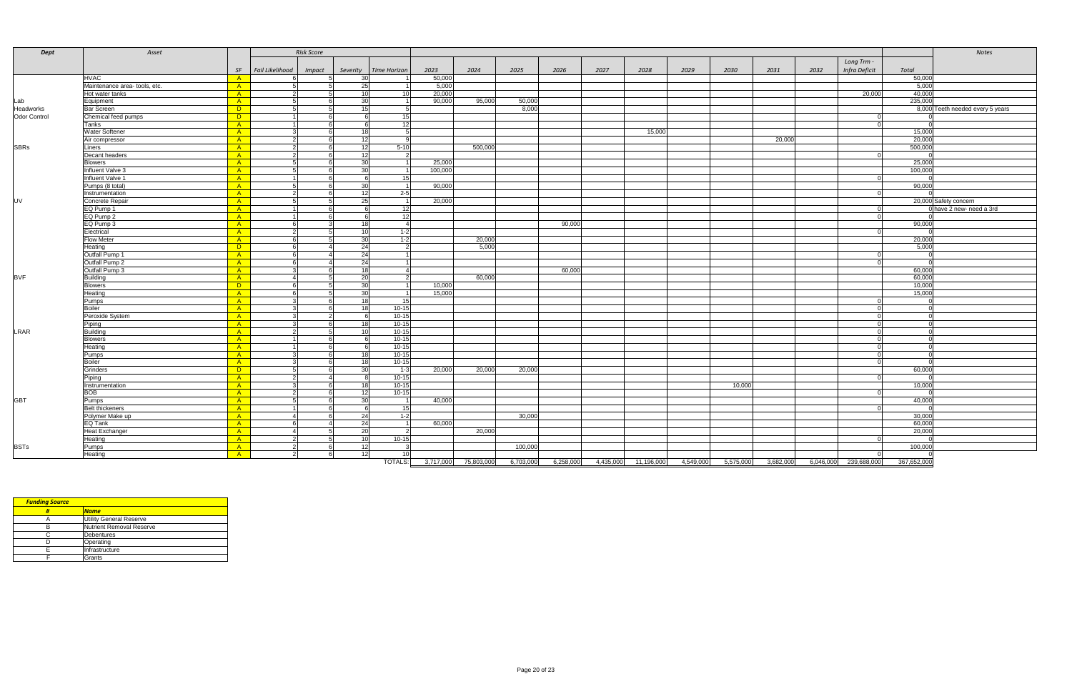| <b>Dept</b>         | Asset                         |                |                 | <b>Risk Score</b> |                 |                 |           |            |           |           |           |            |           |           |           |           |               |             | Notes                            |
|---------------------|-------------------------------|----------------|-----------------|-------------------|-----------------|-----------------|-----------|------------|-----------|-----------|-----------|------------|-----------|-----------|-----------|-----------|---------------|-------------|----------------------------------|
|                     |                               |                |                 |                   |                 |                 |           |            |           |           |           |            |           |           |           |           | Long Trm -    |             |                                  |
|                     |                               | SF             | Fail Likelihood | Impact            | Severity        | Time Horizon    | 2023      | 2024       | 2025      | 2026      | 2027      | 2028       | 2029      | 2030      | 2031      | 2032      | Infra Deficit | Total       |                                  |
|                     | <b>HVAC</b>                   | $-A$           |                 |                   | 30              |                 | 50,000    |            |           |           |           |            |           |           |           |           |               | 50,000      |                                  |
|                     | Maintenance area- tools, etc. | A              | -51             | -5                | 25              |                 | 5,000     |            |           |           |           |            |           |           |           |           |               | 5,000       |                                  |
|                     | Hot water tanks               | A              | $\overline{2}$  | -51               | 10 <sup>1</sup> | 10 <sup>1</sup> | 20,000    |            |           |           |           |            |           |           |           |           | 20,000        | 40,000      |                                  |
| Lab                 | Equipment                     | A              | -51             |                   | 30              |                 | 90,000    | 95,000     | 50,000    |           |           |            |           |           |           |           |               | 235,000     |                                  |
| Headworks           | <b>Bar Screen</b>             | $\Box$ D       | -5              | -51               | 15              | $5^{\circ}$     |           |            | 8,000     |           |           |            |           |           |           |           |               |             | 8,000 Teeth needed every 5 years |
| <b>Odor Control</b> | Chemical feed pumps           | $\Box$ D       |                 | -6                | 6               | 15              |           |            |           |           |           |            |           |           |           |           | 0             |             |                                  |
|                     | Tanks                         | A              |                 | - 6               | 6               | 12              |           |            |           |           |           |            |           |           |           |           | $\Omega$      |             |                                  |
|                     | <b>Water Softener</b>         | A              |                 |                   | 18              | 51              |           |            |           |           |           | 15,000     |           |           |           |           |               | 15,000      |                                  |
|                     | Air compressor                | $-A$           | 2               |                   | 12              | q               |           |            |           |           |           |            |           |           | 20,000    |           |               | 20,000      |                                  |
| <b>SBRs</b>         | Liners                        | A              |                 |                   | 12              | $5 - 10$        |           | 500,000    |           |           |           |            |           |           |           |           |               | 500,000     |                                  |
|                     | Decant headers                | A              | $\mathcal{P}$   |                   | 12              |                 |           |            |           |           |           |            |           |           |           |           |               |             |                                  |
|                     | <b>Blowers</b>                | A              | -51             |                   | 30              |                 | 25,000    |            |           |           |           |            |           |           |           |           |               | 25,000      |                                  |
|                     | Influent Valve 3              | $-A$           |                 |                   | 30              |                 | 100,000   |            |           |           |           |            |           |           |           |           |               | 100,000     |                                  |
|                     | Influent Valve 1              | A              |                 |                   |                 | 15 <sup>1</sup> |           |            |           |           |           |            |           |           |           |           |               |             |                                  |
|                     | Pumps (8 total)               | A              | $5\overline{5}$ |                   | 30              |                 | 90,000    |            |           |           |           |            |           |           |           |           |               | 90,000      |                                  |
|                     | Instrumentation               | A              | $\mathcal{P}$   |                   | 12              | $2 - 5$         |           |            |           |           |           |            |           |           |           |           |               |             |                                  |
| <b>UV</b>           | Concrete Repair               | A              | 5               |                   | 25              |                 | 20,000    |            |           |           |           |            |           |           |           |           |               |             | 20,000 Safety concern            |
|                     | EQ Pump 1                     | A              |                 |                   |                 | $12 \,$         |           |            |           |           |           |            |           |           |           |           |               |             | 0 have 2 new- need a 3rd         |
|                     | EQ Pump 2                     | A              |                 |                   |                 | 12              |           |            |           |           |           |            |           |           |           |           |               |             |                                  |
|                     | EQ Pump 3                     | A              | 6               |                   | 18I             | $\overline{4}$  |           |            |           | 90,000    |           |            |           |           |           |           |               | 90,000      |                                  |
|                     | Electrical                    | A              |                 |                   | 10              | $1 - 2$         |           |            |           |           |           |            |           |           |           |           |               |             |                                  |
|                     | <b>Flow Meter</b>             | $-A$           | - 6             |                   | 30 <sup>1</sup> | $1-2$           |           | 20,000     |           |           |           |            |           |           |           |           |               | 20,000      |                                  |
|                     | Heating                       | $\Box$ D       | - 61            |                   | 24              | $\overline{2}$  |           | 5,000      |           |           |           |            |           |           |           |           |               | 5,000       |                                  |
|                     | Outfall Pump 1                | $-A$           | 6               | -4                | 24              |                 |           |            |           |           |           |            |           |           |           |           | $\Omega$      |             |                                  |
|                     | Outfall Pump 2                | A              | 6               |                   | 24              |                 |           |            |           |           |           |            |           |           |           |           |               |             |                                  |
|                     | Outfall Pump 3                | A              |                 |                   | 18              | 4               |           |            |           | 60,000    |           |            |           |           |           |           |               | 60,000      |                                  |
| <b>BVF</b>          | <b>Building</b>               | A              | $\mathbf 4$     |                   | 20              | $\mathcal{P}$   |           | 60,000     |           |           |           |            |           |           |           |           |               | 60,000      |                                  |
|                     | <b>Blowers</b>                | $\Box$         |                 |                   | 30              |                 | 10,000    |            |           |           |           |            |           |           |           |           |               | 10,000      |                                  |
|                     | Heating                       | A              | -6              |                   | 30 <sup>1</sup> |                 | 15,000    |            |           |           |           |            |           |           |           |           |               | 15,000      |                                  |
|                     | Pumps                         | $-A$           |                 |                   | 18              | 15              |           |            |           |           |           |            |           |           |           |           |               |             |                                  |
|                     | <b>Boiler</b>                 | A              |                 |                   | 18              | $10 - 15$       |           |            |           |           |           |            |           |           |           |           |               |             |                                  |
|                     | Peroxide System               | A              |                 |                   |                 | $10 - 15$       |           |            |           |           |           |            |           |           |           |           |               |             |                                  |
|                     | Piping                        | A              |                 |                   | 18              | $10 - 15$       |           |            |           |           |           |            |           |           |           |           |               |             |                                  |
| LRAR                | <b>Building</b>               | $-A$           | -2              |                   | 10              | $10 - 15$       |           |            |           |           |           |            |           |           |           |           |               |             |                                  |
|                     | <b>Blowers</b>                | A              |                 |                   |                 | $10 - 15$       |           |            |           |           |           |            |           |           |           |           |               |             |                                  |
|                     | Heating                       | A              |                 |                   |                 | $10 - 15$       |           |            |           |           |           |            |           |           |           |           |               |             |                                  |
|                     | Pumps                         | A              |                 |                   | 18 <sup>l</sup> | $10 - 15$       |           |            |           |           |           |            |           |           |           |           |               |             |                                  |
|                     | <b>Boiler</b>                 | $-A$           |                 |                   | 18              | $10 - 15$       |           |            |           |           |           |            |           |           |           |           |               |             |                                  |
|                     | Grinders                      | $\overline{D}$ | -5              |                   | 30 <sup>1</sup> | $1 - 3$         | 20,000    | 20,000     | 20,000    |           |           |            |           |           |           |           |               | 60,000      |                                  |
|                     | Piping                        | A              | $\overline{2}$  |                   |                 | $10 - 15$       |           |            |           |           |           |            |           |           |           |           |               |             |                                  |
|                     | Instrumentation               | $-A$           | $\cdot$ 3       | <b>6</b>          | 18              | $10 - 15$       |           |            |           |           |           |            |           | 10,000    |           |           |               | 10,000      |                                  |
|                     | BOB                           | A              | -2              | - 6               | 12              | $10 - 15$       |           |            |           |           |           |            |           |           |           |           |               |             |                                  |
| <b>GBT</b>          | Pumps                         | A              | $5\overline{6}$ |                   | 30 <sup>1</sup> |                 | 40,000    |            |           |           |           |            |           |           |           |           |               | 40,000      |                                  |
|                     | <b>Belt thickeners</b>        | A              |                 |                   |                 | 15              |           |            |           |           |           |            |           |           |           |           |               |             |                                  |
|                     | Polymer Make up               | $-A$           | $\overline{a}$  | -6                | 24              | $1-2$           |           |            | 30,000    |           |           |            |           |           |           |           |               | 30,000      |                                  |
|                     | EQ Tank                       | A              | 6               |                   | 24              |                 | 60,000    |            |           |           |           |            |           |           |           |           |               | 60,000      |                                  |
|                     | Heat Exchanger                | A              | $\overline{4}$  |                   | 20              | 2               |           | 20,000     |           |           |           |            |           |           |           |           |               | 20,000      |                                  |
|                     | Heating                       | A              | $\overline{2}$  |                   | 10 <sup>1</sup> | $10 - 15$       |           |            |           |           |           |            |           |           |           |           |               |             |                                  |
| <b>BSTs</b>         | Pumps                         | $-A$           | 2               | - 6               | - 12 I          |                 |           |            | 100,000   |           |           |            |           |           |           |           |               | 100,000     |                                  |
|                     | Heating                       | A              |                 |                   | 12              | 10              |           |            |           |           |           |            |           |           |           |           |               |             |                                  |
|                     |                               |                |                 |                   |                 | <b>TOTALS:</b>  | 3,717,000 | 75,803,000 | 6,703,000 | 6,258,000 | 4,435,000 | 11,196,000 | 4,549,000 | 5,575,000 | 3,682,000 | 6,046,000 | 239,688,000   | 367,652,000 |                                  |

| <b>Funding Source</b> |                                |
|-----------------------|--------------------------------|
|                       | <b>Name</b>                    |
|                       | <b>Utility General Reserve</b> |
|                       | Nutrient Removal Reserve       |
|                       | <b>Debentures</b>              |
|                       | Operating                      |
|                       | Infrastructure                 |
|                       | Grants                         |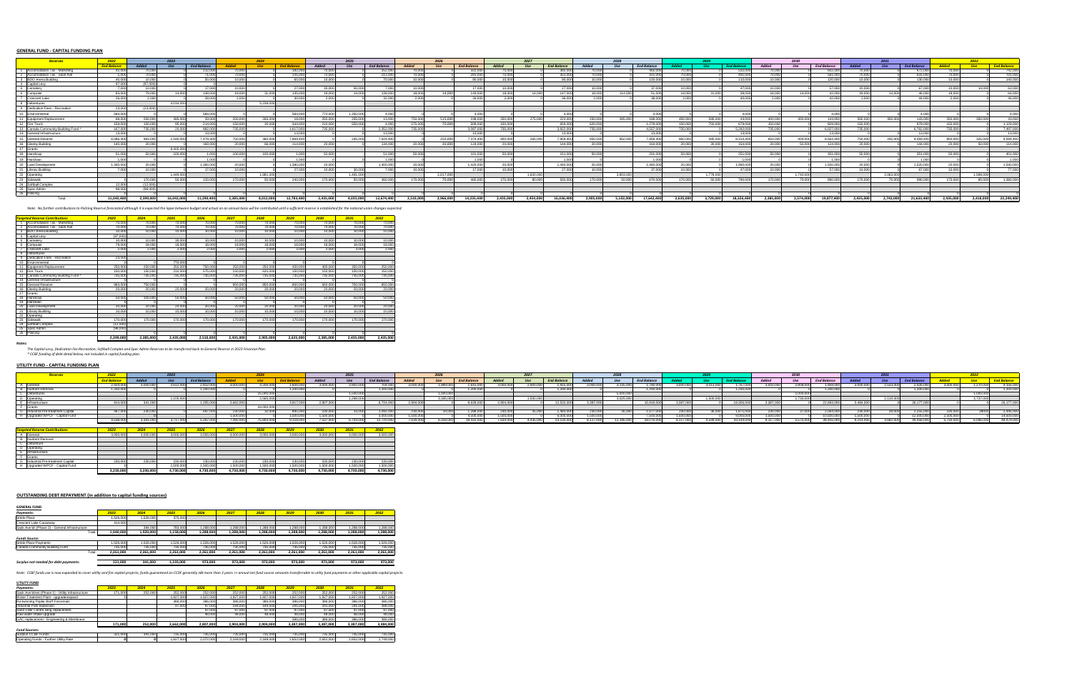#### **GENERAL FUND - CAPITAL FUNDING PLAN**

|                                  |                    |              |            |                    |                 |            |                    |           | 2025      |                    |              | 2026      |                    |                 |           |                    |           |           |                    |           |           |                  |                |           |                    |           |            |                    |           |            |                    |
|----------------------------------|--------------------|--------------|------------|--------------------|-----------------|------------|--------------------|-----------|-----------|--------------------|--------------|-----------|--------------------|-----------------|-----------|--------------------|-----------|-----------|--------------------|-----------|-----------|------------------|----------------|-----------|--------------------|-----------|------------|--------------------|-----------|------------|--------------------|
|                                  | <b>End Balance</b> | <b>Added</b> |            | <b>End Balance</b> |                 | <b>Use</b> | <b>End Balance</b> | Added     | $_{l$     | <b>End Balance</b> | <b>Added</b> | Use       | <b>End Balance</b> | Added           |           | <b>End Balance</b> |           | $_{Use}$  | <b>End Balance</b> |           |           | <b>End Balar</b> | <b>Added</b>   |           | <b>End Balance</b> |           | <b>Use</b> | <b>End Balance</b> |           | <b>Use</b> | <b>End Balance</b> |
| Accomodation Tax - Marketing     | 42.00              |              |            |                    |                 |            | 182,000            |           |           | 252.OO             |              |           |                    |                 |           | 392.00             |           |           | 462.00             | n nnn     |           |                  |                |           | 602.000            |           |            | 672.00             |           |            | 742,000            |
| Accomodation Tax - Sask Ave      |                    | n nnn        |            | 71.000             |                 |            | 141,000            |           |           | 211.00             |              |           | 281.00             |                 |           | 351,000            |           |           | 421.000            | ነ ሰበሰ     |           | 491,000          |                |           | 561,000            |           |            | 631,000            | 'n nnn l  |            | 701,000            |
| BDO Arena Building               |                    |              |            |                    |                 |            | RA AAA             |           |           |                    |              |           | 80.00              |                 |           |                    |           |           | 100.00             | n nnn     |           |                  |                |           | 120,000            |           |            | 130.00             | n nnnl    |            | 140,000            |
| Capital Levy                     |                    |              |            |                    |                 |            |                    |           |           |                    |              |           |                    |                 |           |                    |           |           | 37.000             |           |           |                  |                |           |                    |           |            |                    |           |            |                    |
| Cemetery                         |                    | 10.000       |            | 17.000<br>148,000  | 10.001<br>18.00 |            | 27 NOOL            |           | 50.000    |                    | 10.000       | 14.000    | 17.000             | 10.001<br>18.00 |           | 27 NOOL            | 10.000    |           |                    | 10.000    |           | 47.000           | 10.001<br>IR O |           | 57.000             |           |            | 67.000             | 10.000 l  |            | 63,000             |
| Computer                         |                    | 79.NN        |            |                    |                 |            | 135,000            |           | 14,000    | 139.00             | 18.000       |           | 143,000            |                 |           | 147.000            | 18.000    | 114,000   | 51 N               | 18.000    |           | 38,000           |                |           | 42,000             |           | 14.000     | 46,000             |           |            | 64,000             |
| <b>Crescent Lake</b>             |                    |              |            |                    |                 |            |                    |           |           |                    |              |           |                    |                 |           |                    |           |           |                    |           |           |                  |                |           |                    |           |            |                    |           |            | 46,000             |
| Debentures                       |                    |              | 4.034.00   |                    |                 | 5.239.000  |                    |           |           |                    |              |           |                    |                 |           |                    |           |           |                    |           |           |                  |                |           |                    |           |            |                    |           |            |                    |
| Dedication Fees - Recreation     | 23.000             | 123000       |            |                    |                 |            |                    |           |           |                    |              |           |                    |                 |           |                    |           |           |                    |           |           |                  |                |           |                    |           |            |                    |           |            |                    |
| Environmenta                     | 584,000            |              |            | 584,000            |                 |            | 584,000            | 770.000   | 1.350.000 |                    |              |           | 4.000              |                 |           |                    |           |           |                    |           |           | 4.000            |                |           |                    |           |            | 4.000              |           |            | 4.000              |
| Equipment Replacemen             | 68.000             | 250,000      | 285,000    | 33,000             | 250,000         | 265,000    |                    | 250.000   | 255,000   | 13.000             | 750,000      | 515.000   | 248,000            | 250,000         | 275,000   | 223,000            | 250,000   | 285.000   | 188,000            | 450,000   | 595,000   | 43.000           | 400,000        | 300,000   | 143,000            | 350.000   | 350.000    | 143,000            | 250,000   | 350,000    | 43,000             |
| Fire Truck                       | 159.00             | 150.000      | 95.000     | 214,000            | 150.00          |            | 344.000            |           | 550.000   |                    | 575,000      | 70.00     | 509.00             | 150,000         |           | 659,000            | 820.000   |           | 1.279.000          | 150,000   | 750,000   | 679,000          | 150,000        |           | 829,000            | 150.000   |            | 979,000            | 150,000   |            | 1.129.000          |
| Canada Community Building Fund * |                    |              |            | 9920               | 735,000         |            | 1 617 000          | 735.00    |           | 2.352.00           |              |           | 3.087.00           | <b>735.00</b>   |           | 3.822.00           | 735.000   |           | 4.557.00           |           |           | 5.292.00         | 735.00         |           | 6.027.00           | 735.000   |            | 6,762.00           | 735.000   |            | 7.497.000          |
| General Infrastructure           | 13.000             |              |            | 12.000             |                 |            |                    |           |           | 12.00              |              |           | 12.000             |                 |           |                    |           |           | 12.00              |           |           | 12.000           |                |           | 13.00C             |           |            | 12.00              |           |            | 13,000             |
| General Reserve                  | 8.086.40           | 983,000      | 1.590.000  | 7,479,400          | 750,00          | 360,000    | 7,869,400          |           | 245,000   | 7.624.40           |              | 250,000   | 7.374.400          | 850,000         | 265,000   | 7.959.400          | 850.000   | 850,000   | 7.959.400          | 850,000   | 495,000   | 8,314,400        | 650,000        | 400,000   | 8,564,400          | 750.000   | 245,000    | 9.069.400          | 850,000   | 325,000    | 9,594,400          |
| <b>Glesby Building</b>           | 140,000            | 20.000L      |            | 160,000            | 20 OC           | 66,000     | 114,000            |           |           | 134.00             | 20,000       | 30,000    | 124.00             | 20.00           |           | 144,000            | 20,000    |           | 164.00             | 20,000    | 30.000    | 154,000          | on no          | 50.000    | 124,000            | 20,000    |            | 144.00             | 20,000    |            | 114,000            |
| Grants                           |                    |              | 8.405.000  |                    |                 |            |                    |           |           |                    |              |           |                    |                 |           |                    |           |           |                    |           |           |                  |                |           |                    |           |            |                    |           |            |                    |
| Handicap                         |                    | 50,000       | 100,000    |                    | 100,00          | 100.00     |                    |           |           |                    |              |           | 101.00             |                 |           | 151.00             |           |           |                    |           |           | 251 Q            |                |           | 301,000            |           |            | 351.00             | 50.000    |            | 401.000            |
| Handivan                         |                    |              |            |                    |                 |            |                    |           |           |                    |              |           |                    |                 |           |                    |           |           |                    |           |           |                  |                |           |                    |           |            |                    |           |            | 1.000              |
| Land Development                 | 1.340.000          |              |            | 1.360.000          |                 |            | 1.380.000          |           |           | 1.400.000          |              |           | 1.420.000          |                 |           | 1.440.000          |           |           | 1,460,000          |           |           | 1,480,000        |                |           | 1.500.000          |           |            | 1.520.000          |           |            | 1,540,000          |
| <b>Library Building</b>          |                    | 1በ በበበ       |            | 17.000             | 10.00           |            | 27,000             |           | 30,000    |                    | 10.000       |           | 17,000             | 10.00           |           | 27,000             | 10,000    |           | 37.00              | 10.000    |           | 47,000           | 10.00          |           | 57.000             | 10.000    |            | 67.000             | in nnn l  |            | 77.000             |
| 2 Operating                      |                    |              | 1,449,000  |                    |                 | 1,881,000  |                    |           | 1,491,000 |                    |              | 2.017.000 |                    |                 | 1.820.000 |                    |           | 3.803.000 |                    |           | 1 778 000 |                  |                | 1,740,000 |                    |           | 2.063.000  |                    |           | 1.599.000  |                    |
| 3 Sidewalk                       |                    | 170,000      |            | 120.000            |                 |            | 240,000            | 170.00    |           | 360.00             | 170,000      | 70.000    |                    |                 | 80.000    | 550,000            | 170.000   | 50,000    | 670.000            | 170,000   |           | 790,000          | 170,000        |           | 890,000            | 170.000   |            | 990 OOD            | 170,000   |            | 1.080.000          |
| 24 Softball Complex              |                    |              |            |                    |                 |            |                    |           |           |                    |              |           |                    |                 |           |                    |           |           |                    |           |           |                  |                |           |                    |           |            |                    |           |            |                    |
| Spec Admin                       |                    |              |            |                    |                 |            |                    |           |           |                    |              |           |                    |                 |           |                    |           |           |                    |           |           |                  |                |           |                    |           |            |                    |           |            |                    |
| $26$ Policine                    |                    |              |            |                    |                 |            |                    |           |           |                    |              |           |                    |                 |           |                    |           |           |                    |           |           |                  |                |           |                    |           |            |                    |           |            |                    |
| Total:                           | 11.045.400         | 2.399.000    | 16.042.000 | 11.290.400         | 2.385.000       | 8.012.000  | 12.783.400         | 2.435.000 | 4.035.000 | 12.674.400         | 2.510.000    | 2.966.000 | 14.235.400         | 2.435.000       | 2.454.000 | 16.036.400         | 2.905.000 | 5.102.000 | 17.642.400         | 2.635.000 | 3.729.000 | 18.326.400       | 2.385.000      | 2.574.000 | 19.877.400         | 2.435.000 | 2.742.000  | 21.633.400         | 2.435.000 | 2.418.000  | 23.249.400         |

Note: No further contributions to Policing Reserve forecasted although it is expected the lapse between budget and actual on an annual basis will be contributed until a sufficient reserve is established for the national un

|    | <b>Targeted Reserve Contributions</b> | 2023      | 2024      | 2025      | 2026      | 2027      | 2028      | 2029      | 2030      | 2031      | 2032      |
|----|---------------------------------------|-----------|-----------|-----------|-----------|-----------|-----------|-----------|-----------|-----------|-----------|
|    | Accomodation Tax - Marketing          | 70,000    | 70,000    | 70,000    | 70,000    | 70,000    | 70,000    | 70,000    | 70,000    | 70,000    | 70,000    |
|    | Accomodation Tax - Sask Ave           | 70,000    | 70,000    | 70,000    | 70,000    | 70,000    | 70,000    | 70,000    | 70,000    | 70,000    | 70,000    |
|    | <b>BDO Arena Building</b>             | 10,000    | 10,000    | 10,000    | 10,000    | 10.000    | 10,000    | 10.000    | 10,000    | 10.000    | 10,000    |
|    | Capital Levy                          | (97.000)  |           |           |           |           |           |           |           |           |           |
|    | Cemeterv                              | 10,000    | 10,000    | 30,000    | 10.000    | 10,000    | 10,000    | 10.000    | 10,000    | 10,000    | 10,000    |
|    | Computer                              | 79,000    | 18,000    | 18,000    | 18,000    | 18,000    | 18,000    | 18,000    | 18,000    | 18,000    | 18,000    |
|    | Crescent Lake                         | 2.000     | 2,000     | 2,000     | 2,000     | 2,000     | 2,000     | 2,000     | 2,000     | 2,000     | 2,000     |
|    | Debentures                            |           |           |           |           |           |           |           |           |           |           |
|    | Dedication Fees - Recreation          | $-23.000$ |           |           |           |           |           |           |           |           |           |
| 10 | Environmental                         |           |           | 770,000   |           |           |           |           |           |           |           |
|    | Equipment Replacement                 | 250,000   | 250,000   | 250,000   | 750,000   | 250,000   | 250,000   | 450,000   | 400.000   | 350,000   | 250,000   |
| 12 | Fire Truck                            | 150,000   | 150,000   | 210,000   | 575,000   | 150,000   | 620,000   | 150,000   | 150,000   | 150,000   | 150,000   |
|    | Canada Community Building Fund *      | 735,000   | 735,000   | 735,000   | 735,000   | 735,000   | 735,000   | 735,000   | 735,000   | 735,000   | 735,000   |
| 14 | General Infrastructure                |           |           |           |           |           |           |           |           |           |           |
| 15 | General Reserve                       | 983,000   | 750,000   |           |           | 850,000   | 850,000   | 850,000   | 650,000   | 750,000   | 850,000   |
| 16 | Glesby Building                       | 20,000    | 20,000    | 20,000    | 20,000    | 20,000    | 20,000    | 20,000    | 20,000    | 20,000    | 20,000    |
| 17 | Grants                                |           |           |           |           |           |           |           |           |           |           |
|    | Handicap                              | 50,000    | 100,000   | 50,000    | 50,000    | 50,000    | 50,000    | 50,000    | 50,000    | 50,000    | 50,000    |
| 19 | Handivan                              |           |           |           |           |           |           |           |           |           |           |
| 20 | Land Development                      | 20,000    | 20,000    | 20,000    | 20,000    | 20,000    | 20,000    | 20,000    | 20,000    | 20,000    | 20,000    |
| 21 | Library Building                      | 10,000    | 10.000    | 10,000    | 10,000    | 10,000    | 10,000    | 10.000    | 10,000    | 10,000    | 10,000    |
| 22 | Operating                             |           |           |           |           |           |           |           |           |           |           |
| 23 | Sidewalk                              | 170,000   | 170,000   | 170,000   | 170,000   | 170,000   | 170,000   | 170,000   | 170,000   | 170,000   | 170,000   |
|    | Softball Complex                      | (12,000)  |           |           |           |           |           |           |           |           |           |
| 25 | Spec Admin                            | (98,000)  |           |           |           |           |           |           |           |           |           |
| 26 | Policing                              |           |           |           |           |           |           |           |           |           | $\Omega$  |
|    |                                       | 2,399,000 | 2,385,000 | 2,435,000 | 2,510,000 | 2,435,000 | 2,905,000 | 2.635.000 | 2,385,000 | 2,435,000 | 2,435,000 |

**Notes:**<br>The Capital Levy, Dedication Fes-Recreation; Softball Comples and Spec Admin Reserves to be transferred back to General Reserve in 2023 Financial Plan.<br>\* CCBF funding of debt detail below, not included in capital

#### **UTILITY FUND - CAPITAL FUNDING PLAN**

|                        |              | Addod |           |                     |         |           |             | Addec   | <b>Us</b>  | <b>End Dalance</b> | <b>Added</b> | <b>Use</b>  | <b>End Balan</b> | <b>Added</b> |              | <b>End Balance</b> | Added | - Use     | <b>End Balance</b> |           |           |                | Added     |           | <b>End Balane</b> |         |  |  |                     |
|------------------------|--------------|-------|-----------|---------------------|---------|-----------|-------------|---------|------------|--------------------|--------------|-------------|------------------|--------------|--------------|--------------------|-------|-----------|--------------------|-----------|-----------|----------------|-----------|-----------|-------------------|---------|--|--|---------------------|
|                        |              |       |           |                     |         | 4.206.00  | 1.606.000   | ono oon |            |                    |              |             | 9150             |              | , ann nnn    |                    |       | 135,000   |                    |           |           | <b>767 000</b> | 3.000.000 | 2.909.000 |                   | nnn nnn |  |  | 4 156 000           |
|                        |              |       |           |                     |         |           |             |         |            |                    |              |             |                  |              |              |                    |       |           |                    |           |           |                |           |           |                   |         |  |  |                     |
|                        |              |       |           |                     |         | 25,000.00 |             |         |            |                    |              |             |                  |              |              |                    |       | 5,000.06  |                    |           |           |                |           |           |                   |         |  |  |                     |
|                        |              |       | 1.105.000 |                     |         | 25555     |             |         | 1.269.000L |                    |              | -2.225.0001 |                  |              | - 1.500.0001 |                    |       | 2.025.000 |                    |           | 1.500.000 |                |           | 1.730.000 |                   |         |  |  |                     |
|                        | <b>914 N</b> |       |           |                     |         |           | - 2.017.000 |         |            | 6.724.000          | 2 ana ni     |             | 0.628.000        | 2.904.00     |              |                    |       |           | 15 010 O           | 3.387.000 |           | 19306000       |           |           | 22.693.00         | 484.000 |  |  | $.177 \, \text{mm}$ |
|                        |              |       |           |                     |         |           |             |         |            |                    |              |             |                  |              |              |                    |       |           |                    |           |           |                |           |           |                   |         |  |  |                     |
|                        |              |       |           | <b>PG 7 1 K K 1</b> |         |           |             |         |            |                    |              |             |                  |              | 35. DODI     |                    |       |           |                    | 230.000.  |           |                |           |           |                   |         |  |  | 2.446.000           |
| ed WPCF - Capital Fund |              |       |           |                     | 1.500 C |           | 1.500.001   |         |            |                    |              |             | 4.500.000L       |              |              | חחח חחח            |       |           | ' 500 Or           |           |           |                |           |           | 10 500 000        |         |  |  | 14.500.000          |
|                        | LEDO OOC     |       |           |                     |         |           |             |         |            |                    | 7 634 00     |             | 2 A 21 C         |              |              |                    |       | (400, 0)  |                    |           |           |                |           |           | 29 116 M          |         |  |  |                     |

|   | <b>Taraeted Reserve Contributions</b> | 2023      | 2024      | 2025      | 2026      | 2027      | 2028      | 2029      | 2030      | 2031      | 2032      |
|---|---------------------------------------|-----------|-----------|-----------|-----------|-----------|-----------|-----------|-----------|-----------|-----------|
|   | General                               | 3,000,000 | 3.000.000 | 3.000.000 | 3.000.000 | 3,000,000 | 3,000,000 | 3.000.000 | 3.000.000 | 3.000.000 | 3,000,000 |
|   | Nutrient Removal                      |           |           |           |           |           |           |           |           |           |           |
|   | Debenture                             |           |           |           |           |           |           |           |           |           |           |
|   | Operating                             |           |           |           |           |           |           |           |           |           |           |
|   | Infrastructure                        |           |           |           |           |           |           |           |           |           |           |
|   | Grants                                |           |           |           |           |           |           |           |           |           |           |
| G | Industrial Pre-treatment Capital      | 230,000   | 230,000   | 230,000   | 230,000   | 230,000   | 230,000   | 230,000   | 230,000   | 230,000   | 230,000   |
|   | Upgraded WPCF - Capital Fund          |           |           | 1.500.000 | 1,500,000 | 1.500.000 | 1.500.000 | 1,500,000 | 1.500.000 | 1.500.000 | 1.500.000 |
|   |                                       | 3.230.000 | 3.230.000 | 4.730.000 | 4.730.000 | 4.730.000 | 4.730.000 | 4.730.000 | 4.730.000 | 4.730.000 | 4.730.000 |

#### **OUTSTANDING DEBT REPAYMENT (in addition to capital funding sources)**

| <b>GENERAL FUND</b> |  |
|---------------------|--|
|                     |  |

| Payments:                                     | 2023      | 2024      | 2025      | 2026      | 2027      | 2028      | 2029      | 2030      | 2031      | 2032      |
|-----------------------------------------------|-----------|-----------|-----------|-----------|-----------|-----------|-----------|-----------|-----------|-----------|
| Stride Place                                  | .526.000  | 1.526.000 | 375,000   |           |           |           |           |           |           |           |
| Crescent Lake Causeway                        | 414.000   |           |           |           |           |           |           |           |           |           |
| Sask Ave W (Phase 2) - General Infrastructure |           | 394,000   | 783,000   | 1.288.000 | 1.288.000 | 1.288.000 | .288.000  | 1.288.000 | 1.288.000 | 1,288,000 |
| Total:                                        | 1,940,000 | 1,920,000 | 1,158,000 | 1,288,000 | 1,288,000 | 1,288,000 | 1,288,000 | 1.288.000 | 1.288.000 | 1,288,000 |
| <b>Funds Source:</b>                          |           |           |           |           |           |           |           |           |           |           |
| Stride Place Payments                         | .526.000  | 1.526.000 | 1.526.000 | 1.526.000 | 1,526,000 | 1.526.000 | 1.526.000 | 1.526.000 | 1.526.000 | 1,526,000 |
| Canada Community Building Fund                | 735,000   | 735,000   | 735,000   | 735,000   | 735,000   | 735,000   | 735,000   | 735,000   | 735,000   | 735,000   |
| Total:                                        | 2.261.000 | 2.261.000 | 2.261.000 | 2.261.000 | 2.261.000 | 2.261.000 | 2.261.000 | 2.261.000 | 2.261.000 | 2,261,000 |
|                                               |           |           |           |           |           |           |           |           |           |           |
| Surplus not needed for debt payments:         | 321.000   | 341,000   | 1,103,000 | 973,000   | 973,000   | 973,000   | 973.000   | 973.000   | 973.000   | 973,000   |

Note: CCBF funds use is now expanded to cover utility and fire capital projects, funds guaranteed on CCDF generally nBt more than 3 years >> annual net fund source amounts transferrable to utilty fund payments or other app

| חו<br>TII ITV FI |
|------------------|
|                  |

| .                                                |         |         |           |           |           |           |           |           |           |           |
|--------------------------------------------------|---------|---------|-----------|-----------|-----------|-----------|-----------|-----------|-----------|-----------|
| Payments:                                        | 2023    | 2024    | 2025      | 2026      | 2027      | 2028      | 2029      | 2030      | 2031      | 2032      |
| Sask Ave West (Phase 1) - Utility Infrastructure | 171,000 | 252,000 | 252,000   | 252,000   | 252,000   | 252,000   | 252,000   | 252,000   | 252,000   | 252.000   |
| Water Treatment Plant - upgrade/expand           |         |         | 1.927.000 | 1.927.000 | 1.927.000 | 1.927.000 | 1.927.000 | 1.927.000 | 1.927.000 | 1.927.000 |
| Re-twinning Poplar Bluff Forcemain               |         |         | 386,000   | 386,000   | 386,000   | 386,000   | 386,000   | 386,000   | 386,000   | 386,000   |
| Industrial Park expansion                        |         |         | 97,000    | 97.000    | 194,000   | 194,000   | 291.000   | 291.000   | 291.000   | 388,000   |
| Sand Filter Centre Ring replacement              |         |         |           | 97,000    | 97,000    | 97,000    | 97.000    | 97,000    | 97,000    | 97.000    |
| Raw water intake upgrade                         |         |         |           | 48,000    | 48,000    | 48.000    | 48,000    | 48,000    | 48,000    | 48,000    |
| GAC replacement - Engineering & Membrane         |         |         |           |           |           |           | 386,000   | 386,000   | 386,000   | 386,000   |
|                                                  | 171.000 | 252.000 | 2.662.000 | 2,807,000 | 2,904,000 | 2,904,000 | 3,387,000 | 3,387,000 | 3,387,000 | 3.484.000 |
| <b>Fund Sources:</b>                             |         |         |           |           |           |           |           |           |           |           |
| Surplus CCBF Funds                               | 321.000 | 341.000 | 735,000   | 735,000   | 735,000   | 735,000   | 735,000   | 735,000   | 735,000   | 735,000   |
| Operating Funds - Further Utility Rate           |         |         | 1.927.000 | 2,072,000 | 2.169.000 | 2.169.000 | 2.652.000 | 2,652,000 | 2.652.000 | 2.749.000 |
|                                                  |         |         |           |           |           |           |           |           |           |           |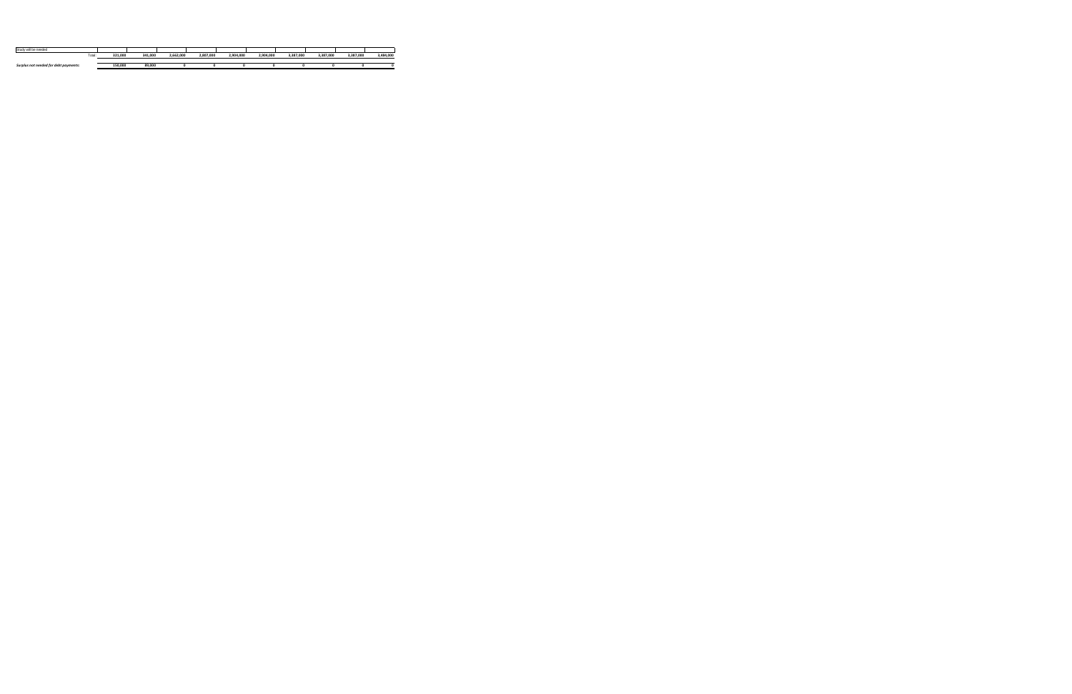| Study will be needed                  |         |         |           |           |           |           |           |           |           |           |
|---------------------------------------|---------|---------|-----------|-----------|-----------|-----------|-----------|-----------|-----------|-----------|
| Total                                 | 321.000 | 341,000 | 2.662.000 | 2.807.000 | 2.904.000 | 2.904.000 | 3.387.000 | 3.387.000 | 3.387.000 | 3,484,000 |
|                                       |         |         |           |           |           |           |           |           |           |           |
| Surplus not needed for debt payments: | 150,000 | 89,000  |           |           |           |           |           |           |           |           |
|                                       |         |         |           |           |           |           |           |           |           |           |